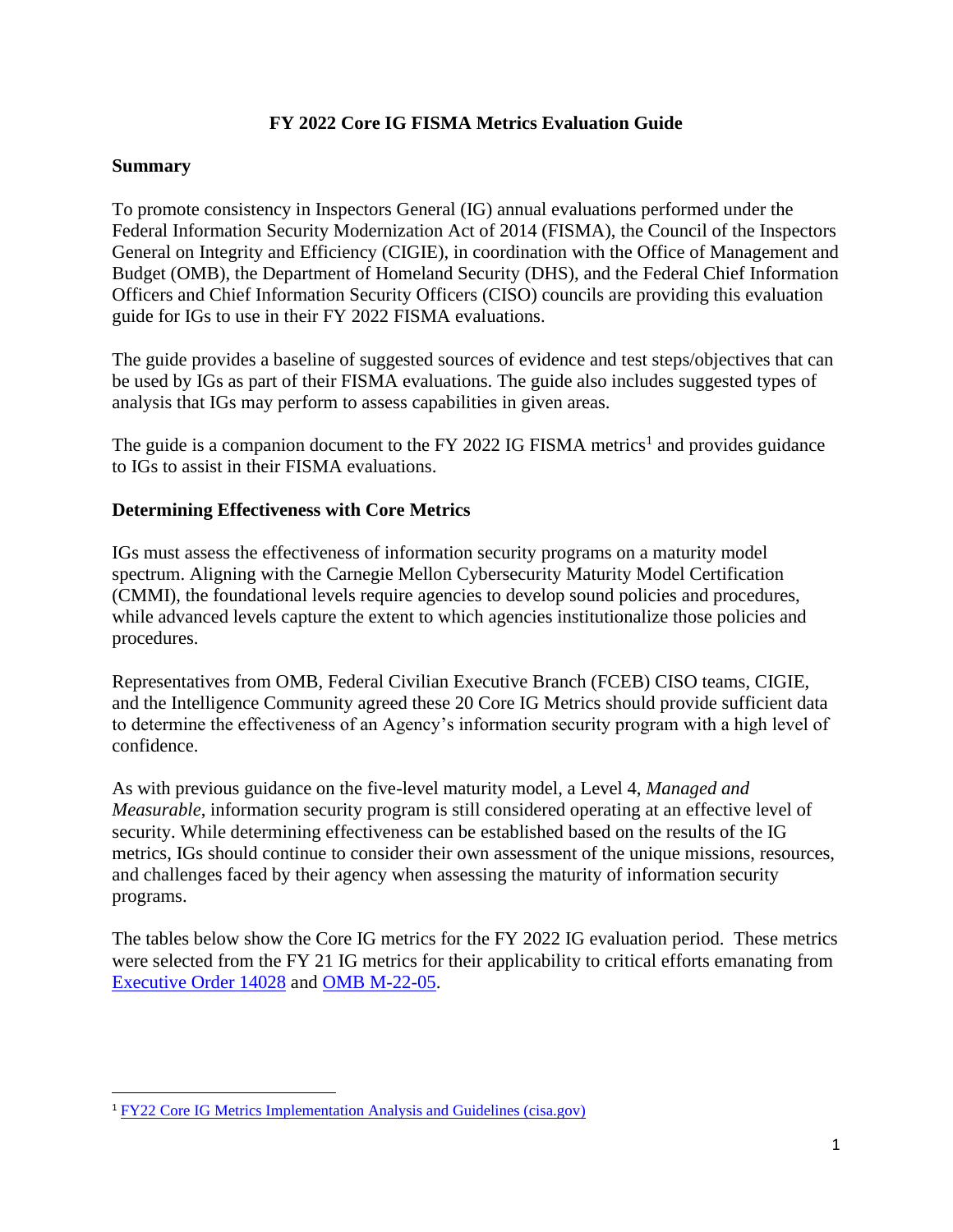### **FY 2022 Core IG FISMA Metrics Evaluation Guide**

#### **Summary**

To promote consistency in Inspectors General (IG) annual evaluations performed under the Federal Information Security Modernization Act of 2014 (FISMA), the Council of the Inspectors General on Integrity and Efficiency (CIGIE), in coordination with the Office of Management and Budget (OMB), the Department of Homeland Security (DHS), and the Federal Chief Information Officers and Chief Information Security Officers (CISO) councils are providing this evaluation guide for IGs to use in their FY 2022 FISMA evaluations.

The guide provides a baseline of suggested sources of evidence and test steps/objectives that can be used by IGs as part of their FISMA evaluations. The guide also includes suggested types of analysis that IGs may perform to assess capabilities in given areas.

The guide is a companion document to the FY 2022 IG FISMA metrics<sup>1</sup> and provides guidance to IGs to assist in their FISMA evaluations.

#### **Determining Effectiveness with Core Metrics**

IGs must assess the effectiveness of information security programs on a maturity model spectrum. Aligning with the Carnegie Mellon Cybersecurity Maturity Model Certification (CMMI), the foundational levels require agencies to develop sound policies and procedures, while advanced levels capture the extent to which agencies institutionalize those policies and procedures.

Representatives from OMB, Federal Civilian Executive Branch (FCEB) CISO teams, CIGIE, and the Intelligence Community agreed these 20 Core IG Metrics should provide sufficient data to determine the effectiveness of an Agency's information security program with a high level of confidence.

As with previous guidance on the five-level maturity model, a Level 4, *Managed and Measurable*, information security program is still considered operating at an effective level of security. While determining effectiveness can be established based on the results of the IG metrics, IGs should continue to consider their own assessment of the unique missions, resources, and challenges faced by their agency when assessing the maturity of information security programs.

The tables below show the Core IG metrics for the FY 2022 IG evaluation period. These metrics were selected from the FY 21 IG metrics for their applicability to critical efforts emanating from [Executive Order 14028](https://www.whitehouse.gov/briefing-room/presidential-actions/2021/05/12/executive-order-on-improving-the-nations-cybersecurity/) and [OMB M-22-05.](https://www.whitehouse.gov/wp-content/uploads/2021/12/M-22-05-FY22-FISMA-Guidance.pdf)

<sup>1</sup> [FY22 Core IG Metrics Implementation Analysis and Guidelines \(cisa.gov\)](https://www.cisa.gov/sites/default/files/publications/CIGIE%20FY22%20Core%20Metrics%20Implementation%20Analysis%20and%20Guidelines-final.pdf)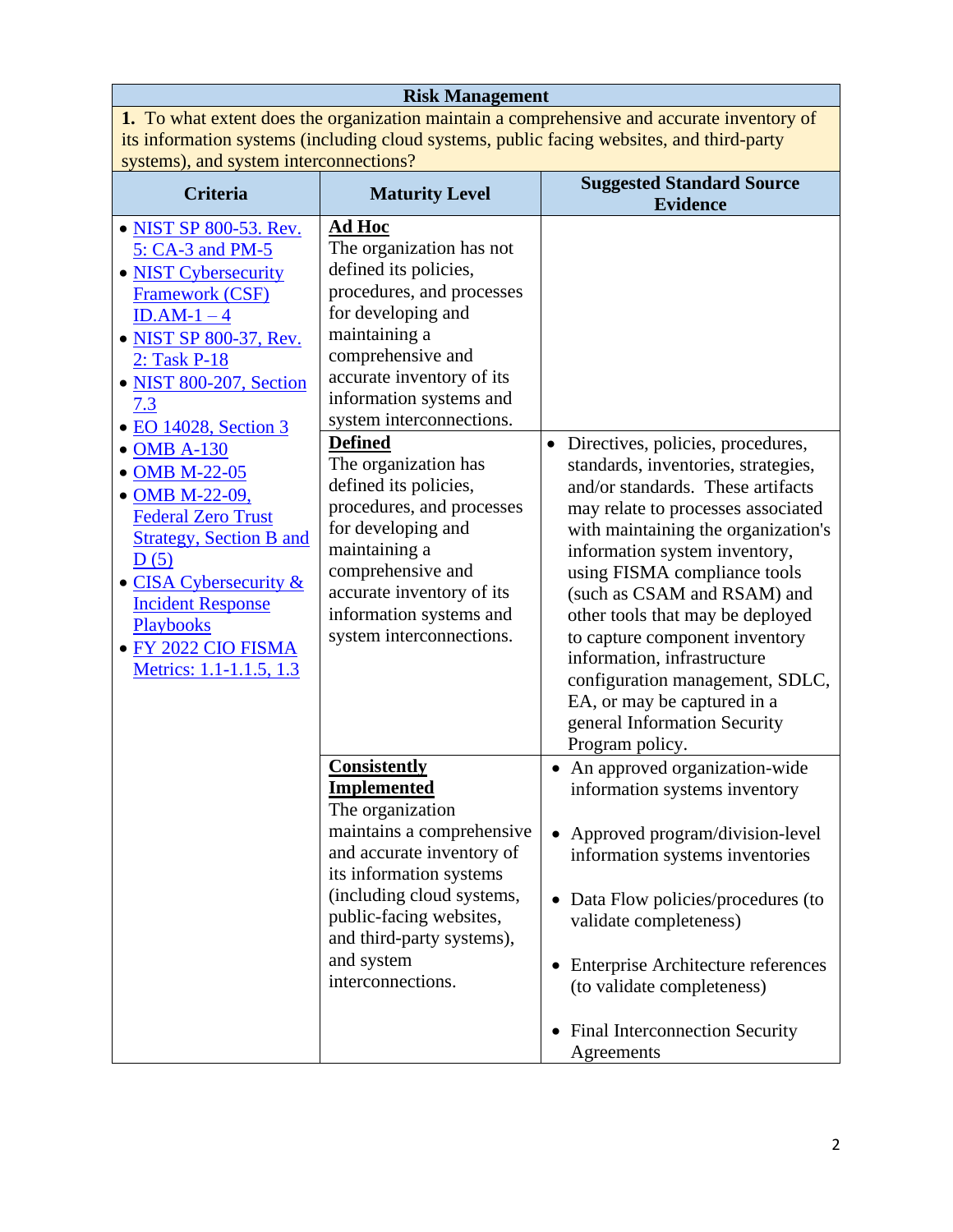**Risk Management 1.** To what extent does the organization maintain a comprehensive and accurate inventory of its information systems (including cloud systems, public facing websites, and third-party systems), and system interconnections?

| <b>Criteria</b>                                                                                                                                                                                                                            | <b>Maturity Level</b>                                                                                                                                                                                                                                                      | <b>Suggested Standard Source</b><br><b>Evidence</b>                                                                                                                                                                                                                                                                                                                                                                                                                             |
|--------------------------------------------------------------------------------------------------------------------------------------------------------------------------------------------------------------------------------------------|----------------------------------------------------------------------------------------------------------------------------------------------------------------------------------------------------------------------------------------------------------------------------|---------------------------------------------------------------------------------------------------------------------------------------------------------------------------------------------------------------------------------------------------------------------------------------------------------------------------------------------------------------------------------------------------------------------------------------------------------------------------------|
| • NIST SP 800-53. Rev.<br>5: CA-3 and PM-5<br>• NIST Cybersecurity<br>Framework (CSF)<br>$ID.AM-1-4$<br>• NIST SP 800-37, Rev.<br>2: Task P-18<br>• NIST 800-207, Section<br>7.3<br>• EO 14028, Section 3                                  | Ad Hoc<br>The organization has not<br>defined its policies,<br>procedures, and processes<br>for developing and<br>maintaining a<br>comprehensive and<br>accurate inventory of its<br>information systems and<br>system interconnections.<br><b>Defined</b>                 | Directives, policies, procedures,<br>$\bullet$                                                                                                                                                                                                                                                                                                                                                                                                                                  |
| • OMB A-130<br>• OMB M-22-05<br>• OMB M-22-09,<br><b>Federal Zero Trust</b><br><b>Strategy, Section B and</b><br>D(5)<br>• CISA Cybersecurity &<br><b>Incident Response</b><br>Playbooks<br>· FY 2022 CIO FISMA<br>Metrics: 1.1-1.1.5, 1.3 | The organization has<br>defined its policies,<br>procedures, and processes<br>for developing and<br>maintaining a<br>comprehensive and<br>accurate inventory of its<br>information systems and<br>system interconnections.                                                 | standards, inventories, strategies,<br>and/or standards. These artifacts<br>may relate to processes associated<br>with maintaining the organization's<br>information system inventory,<br>using FISMA compliance tools<br>(such as CSAM and RSAM) and<br>other tools that may be deployed<br>to capture component inventory<br>information, infrastructure<br>configuration management, SDLC,<br>EA, or may be captured in a<br>general Information Security<br>Program policy. |
|                                                                                                                                                                                                                                            | <b>Consistently</b><br><b>Implemented</b><br>The organization<br>maintains a comprehensive<br>and accurate inventory of<br>its information systems<br>(including cloud systems,<br>public-facing websites,<br>and third-party systems),<br>and system<br>interconnections. | • An approved organization-wide<br>information systems inventory<br>Approved program/division-level<br>information systems inventories<br>Data Flow policies/procedures (to<br>validate completeness)<br>Enterprise Architecture references<br>(to validate completeness)<br><b>Final Interconnection Security</b><br>Agreements                                                                                                                                                |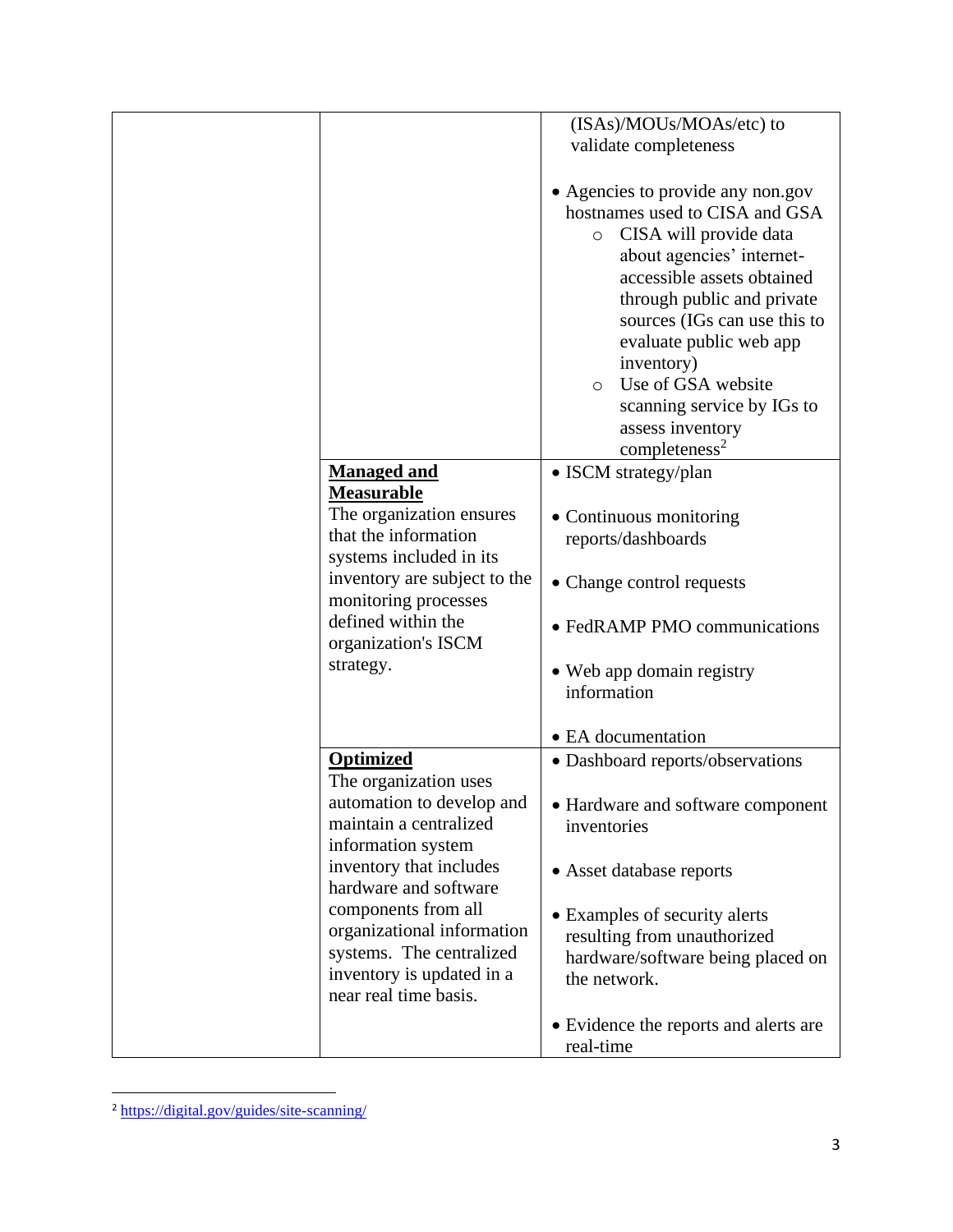|                                                                                                                                                                                                                                                                                                                   | (ISAs)/MOUs/MOAs/etc) to<br>validate completeness                                                                                                                                                                                                                                                                                                                                          |
|-------------------------------------------------------------------------------------------------------------------------------------------------------------------------------------------------------------------------------------------------------------------------------------------------------------------|--------------------------------------------------------------------------------------------------------------------------------------------------------------------------------------------------------------------------------------------------------------------------------------------------------------------------------------------------------------------------------------------|
|                                                                                                                                                                                                                                                                                                                   | • Agencies to provide any non.gov<br>hostnames used to CISA and GSA<br>CISA will provide data<br>$\circ$<br>about agencies' internet-<br>accessible assets obtained<br>through public and private<br>sources (IGs can use this to<br>evaluate public web app<br>inventory)<br>Use of GSA website<br>$\circ$<br>scanning service by IGs to<br>assess inventory<br>completeness <sup>2</sup> |
| <b>Managed and</b><br>Measurable<br>The organization ensures<br>that the information<br>systems included in its<br>inventory are subject to the<br>monitoring processes<br>defined within the<br>organization's ISCM<br>strategy.                                                                                 | • ISCM strategy/plan<br>• Continuous monitoring<br>reports/dashboards<br>• Change control requests<br>• FedRAMP PMO communications<br>• Web app domain registry<br>information<br>• EA documentation                                                                                                                                                                                       |
| <b>Optimized</b><br>The organization uses<br>automation to develop and<br>maintain a centralized<br>information system<br>inventory that includes<br>hardware and software<br>components from all<br>organizational information<br>systems. The centralized<br>inventory is updated in a<br>near real time basis. | • Dashboard reports/observations<br>• Hardware and software component<br>inventories<br>• Asset database reports<br>• Examples of security alerts<br>resulting from unauthorized<br>hardware/software being placed on<br>the network.<br>• Evidence the reports and alerts are                                                                                                             |
|                                                                                                                                                                                                                                                                                                                   | real-time                                                                                                                                                                                                                                                                                                                                                                                  |

<sup>2</sup> <https://digital.gov/guides/site-scanning/>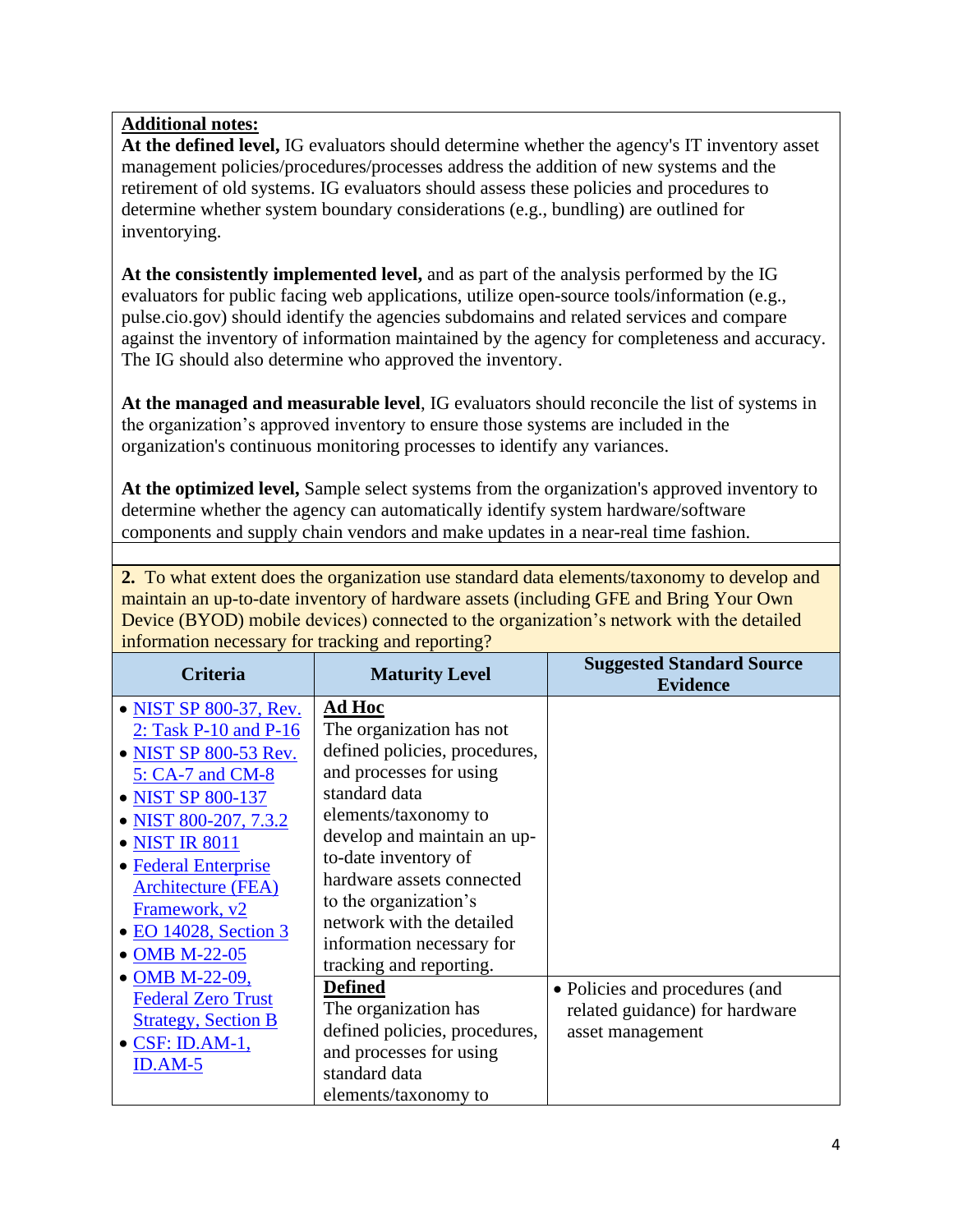**At the defined level,** IG evaluators should determine whether the agency's IT inventory asset management policies/procedures/processes address the addition of new systems and the retirement of old systems. IG evaluators should assess these policies and procedures to determine whether system boundary considerations (e.g., bundling) are outlined for inventorying.

**At the consistently implemented level,** and as part of the analysis performed by the IG evaluators for public facing web applications, utilize open-source tools/information (e.g., pulse.cio.gov) should identify the agencies subdomains and related services and compare against the inventory of information maintained by the agency for completeness and accuracy. The IG should also determine who approved the inventory.

**At the managed and measurable level**, IG evaluators should reconcile the list of systems in the organization's approved inventory to ensure those systems are included in the organization's continuous monitoring processes to identify any variances.

**At the optimized level,** Sample select systems from the organization's approved inventory to determine whether the agency can automatically identify system hardware/software components and supply chain vendors and make updates in a near-real time fashion.

**2.** To what extent does the organization use standard data elements/taxonomy to develop and maintain an up-to-date inventory of hardware assets (including GFE and Bring Your Own Device (BYOD) mobile devices) connected to the organization's network with the detailed information necessary for tracking and reporting?

| <b>Criteria</b>                                                                                                                                                                                                                                                                          | <b>Maturity Level</b>                                                                                                                                                                                                                                                                                          | <b>Suggested Standard Source</b><br><b>Evidence</b>                                  |
|------------------------------------------------------------------------------------------------------------------------------------------------------------------------------------------------------------------------------------------------------------------------------------------|----------------------------------------------------------------------------------------------------------------------------------------------------------------------------------------------------------------------------------------------------------------------------------------------------------------|--------------------------------------------------------------------------------------|
| • NIST SP 800-37, Rev.<br>2: Task $P-10$ and $P-16$<br>• NIST SP 800-53 Rev.<br>5: CA-7 and CM-8<br>• NIST SP 800-137<br>• NIST 800-207, 7.3.2<br>• NIST IR 8011<br>• Federal Enterprise<br><b>Architecture (FEA)</b><br>Framework, v2<br>$\bullet$ EO 14028, Section 3<br>• OMB M-22-05 | Ad Hoc<br>The organization has not<br>defined policies, procedures,<br>and processes for using<br>standard data<br>elements/taxonomy to<br>develop and maintain an up-<br>to-date inventory of<br>hardware assets connected<br>to the organization's<br>network with the detailed<br>information necessary for |                                                                                      |
| • OMB M-22-09,<br><b>Federal Zero Trust</b><br><b>Strategy, Section B</b><br>$\bullet$ CSF: ID.AM-1,<br>$ID. AM-5$                                                                                                                                                                       | tracking and reporting.<br><b>Defined</b><br>The organization has<br>defined policies, procedures,<br>and processes for using<br>standard data<br>elements/taxonomy to                                                                                                                                         | • Policies and procedures (and<br>related guidance) for hardware<br>asset management |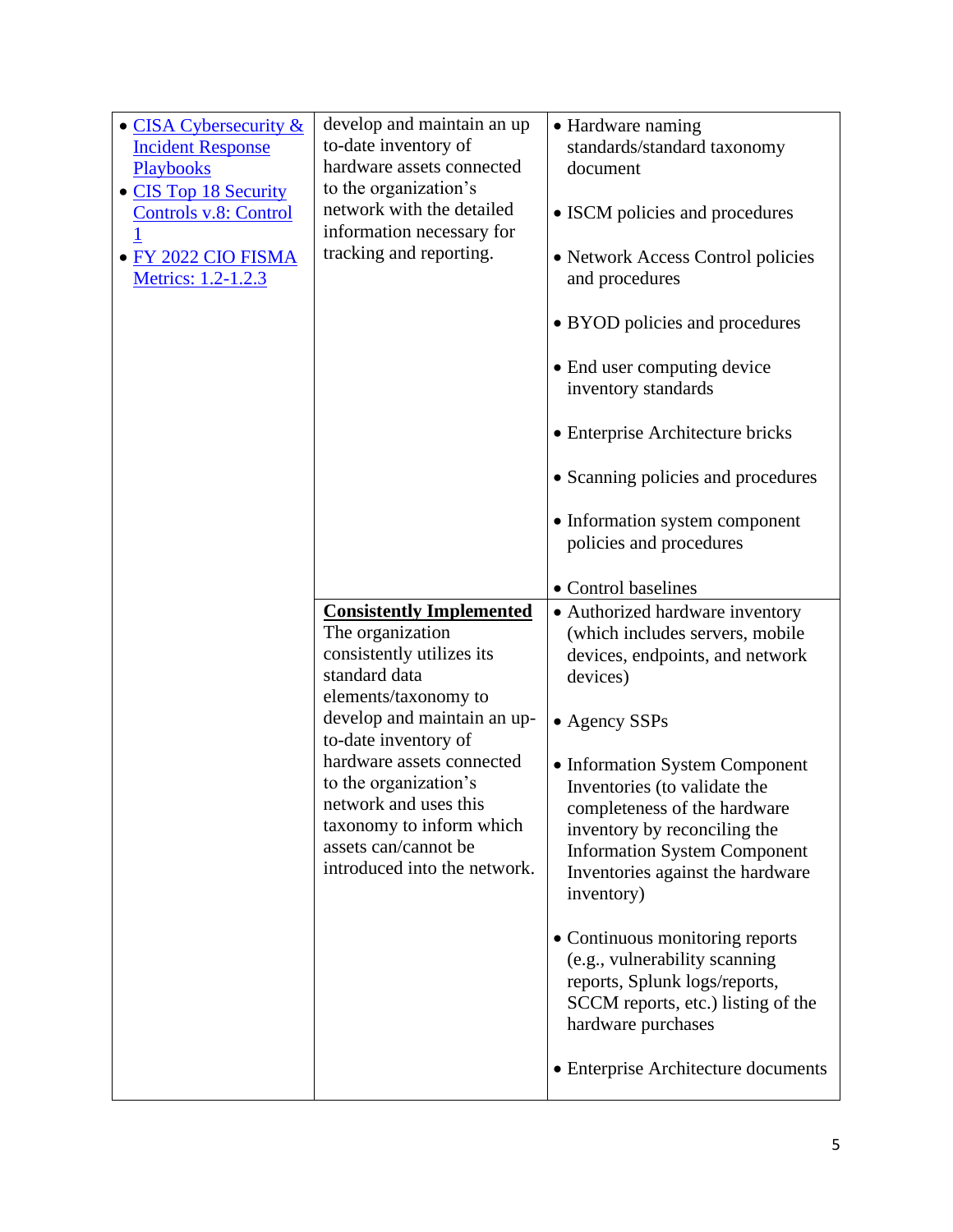| • CISA Cybersecurity $&$<br><b>Incident Response</b><br>Playbooks<br>• CIS Top 18 Security<br><b>Controls v.8: Control</b><br>· FY 2022 CIO FISMA<br>Metrics: 1.2-1.2.3 | develop and maintain an up<br>to-date inventory of<br>hardware assets connected<br>to the organization's<br>network with the detailed<br>information necessary for<br>tracking and reporting.                                                                                                                                                       | • Hardware naming<br>standards/standard taxonomy<br>document<br>• ISCM policies and procedures<br>• Network Access Control policies<br>and procedures<br>• BYOD policies and procedures<br>• End user computing device<br>inventory standards<br>• Enterprise Architecture bricks<br>• Scanning policies and procedures<br>• Information system component<br>policies and procedures                                                                                                                                                                                                         |
|-------------------------------------------------------------------------------------------------------------------------------------------------------------------------|-----------------------------------------------------------------------------------------------------------------------------------------------------------------------------------------------------------------------------------------------------------------------------------------------------------------------------------------------------|----------------------------------------------------------------------------------------------------------------------------------------------------------------------------------------------------------------------------------------------------------------------------------------------------------------------------------------------------------------------------------------------------------------------------------------------------------------------------------------------------------------------------------------------------------------------------------------------|
|                                                                                                                                                                         | <b>Consistently Implemented</b><br>The organization<br>consistently utilizes its<br>standard data<br>elements/taxonomy to<br>develop and maintain an up-<br>to-date inventory of<br>hardware assets connected<br>to the organization's<br>network and uses this<br>taxonomy to inform which<br>assets can/cannot be<br>introduced into the network. | • Control baselines<br>• Authorized hardware inventory<br>(which includes servers, mobile<br>devices, endpoints, and network<br>devices)<br>• Agency SSPs<br>• Information System Component<br>Inventories (to validate the<br>completeness of the hardware<br>inventory by reconciling the<br><b>Information System Component</b><br>Inventories against the hardware<br>inventory)<br>• Continuous monitoring reports<br>(e.g., vulnerability scanning<br>reports, Splunk logs/reports,<br>SCCM reports, etc.) listing of the<br>hardware purchases<br>• Enterprise Architecture documents |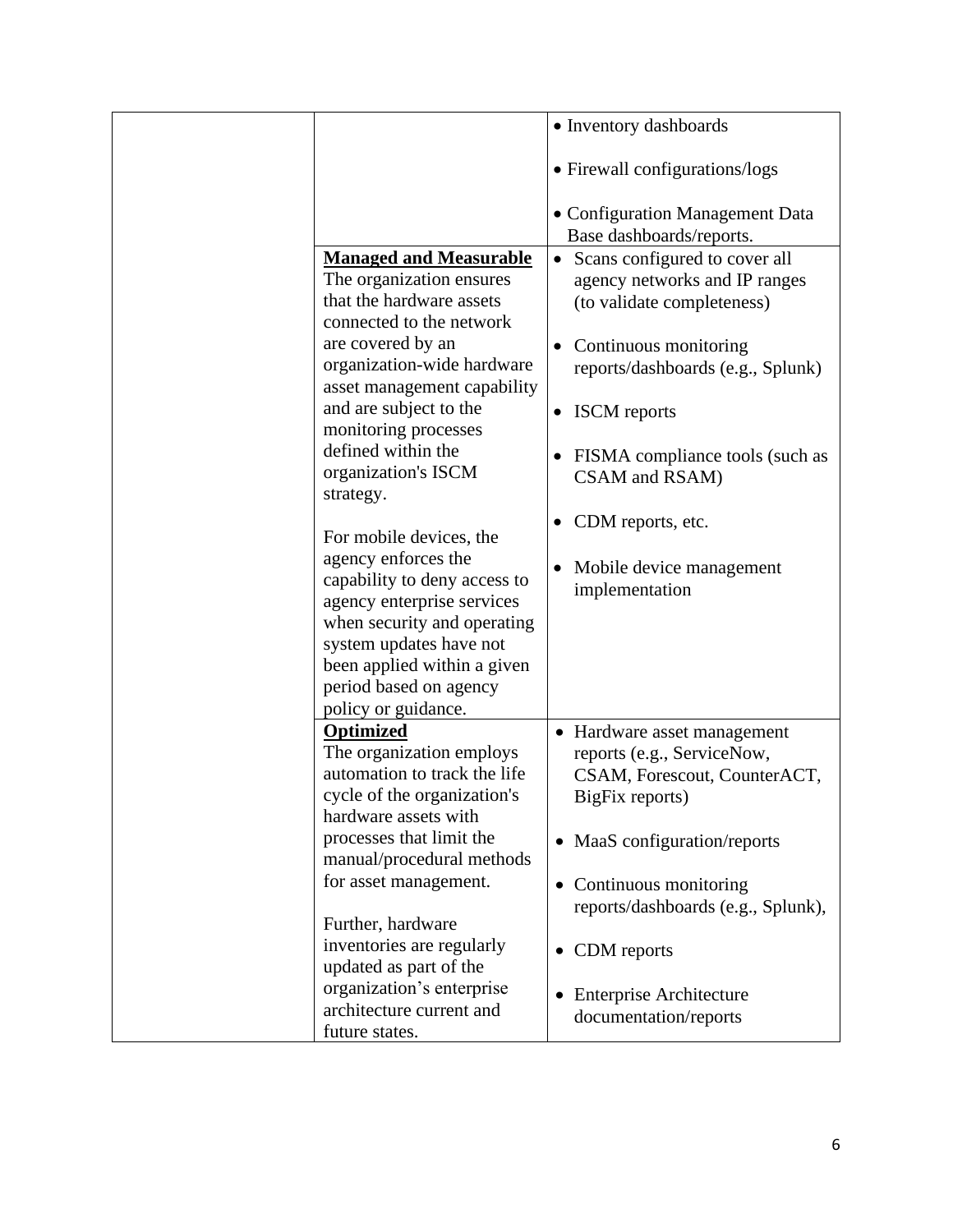|                                                                                                                                                                                                                                                                                                                                                                                                                                                                                                                          | • Inventory dashboards                                                                                                                                                                                                                                                                                                                           |
|--------------------------------------------------------------------------------------------------------------------------------------------------------------------------------------------------------------------------------------------------------------------------------------------------------------------------------------------------------------------------------------------------------------------------------------------------------------------------------------------------------------------------|--------------------------------------------------------------------------------------------------------------------------------------------------------------------------------------------------------------------------------------------------------------------------------------------------------------------------------------------------|
|                                                                                                                                                                                                                                                                                                                                                                                                                                                                                                                          |                                                                                                                                                                                                                                                                                                                                                  |
|                                                                                                                                                                                                                                                                                                                                                                                                                                                                                                                          | • Firewall configurations/logs                                                                                                                                                                                                                                                                                                                   |
|                                                                                                                                                                                                                                                                                                                                                                                                                                                                                                                          | • Configuration Management Data<br>Base dashboards/reports.                                                                                                                                                                                                                                                                                      |
| <b>Managed and Measurable</b><br>The organization ensures<br>that the hardware assets<br>connected to the network<br>are covered by an<br>organization-wide hardware<br>asset management capability<br>and are subject to the<br>monitoring processes<br>defined within the<br>organization's ISCM<br>strategy.<br>For mobile devices, the<br>agency enforces the<br>capability to deny access to<br>agency enterprise services<br>when security and operating<br>system updates have not<br>been applied within a given | Scans configured to cover all<br>$\bullet$<br>agency networks and IP ranges<br>(to validate completeness)<br>Continuous monitoring<br>reports/dashboards (e.g., Splunk)<br><b>ISCM</b> reports<br>$\bullet$<br>FISMA compliance tools (such as<br>CSAM and RSAM)<br>CDM reports, etc.<br>$\bullet$<br>Mobile device management<br>implementation |
| period based on agency<br>policy or guidance.                                                                                                                                                                                                                                                                                                                                                                                                                                                                            |                                                                                                                                                                                                                                                                                                                                                  |
| Optimized<br>The organization employs<br>automation to track the life<br>cycle of the organization's<br>hardware assets with<br>processes that limit the                                                                                                                                                                                                                                                                                                                                                                 | Hardware asset management<br>reports (e.g., ServiceNow,<br>CSAM, Forescout, CounterACT,<br>BigFix reports)<br>MaaS configuration/reports                                                                                                                                                                                                         |
| manual/procedural methods<br>for asset management.                                                                                                                                                                                                                                                                                                                                                                                                                                                                       | Continuous monitoring<br>$\bullet$<br>reports/dashboards (e.g., Splunk),                                                                                                                                                                                                                                                                         |
| Further, hardware<br>inventories are regularly                                                                                                                                                                                                                                                                                                                                                                                                                                                                           | CDM reports                                                                                                                                                                                                                                                                                                                                      |
| updated as part of the<br>organization's enterprise<br>architecture current and<br>future states.                                                                                                                                                                                                                                                                                                                                                                                                                        | <b>Enterprise Architecture</b><br>documentation/reports                                                                                                                                                                                                                                                                                          |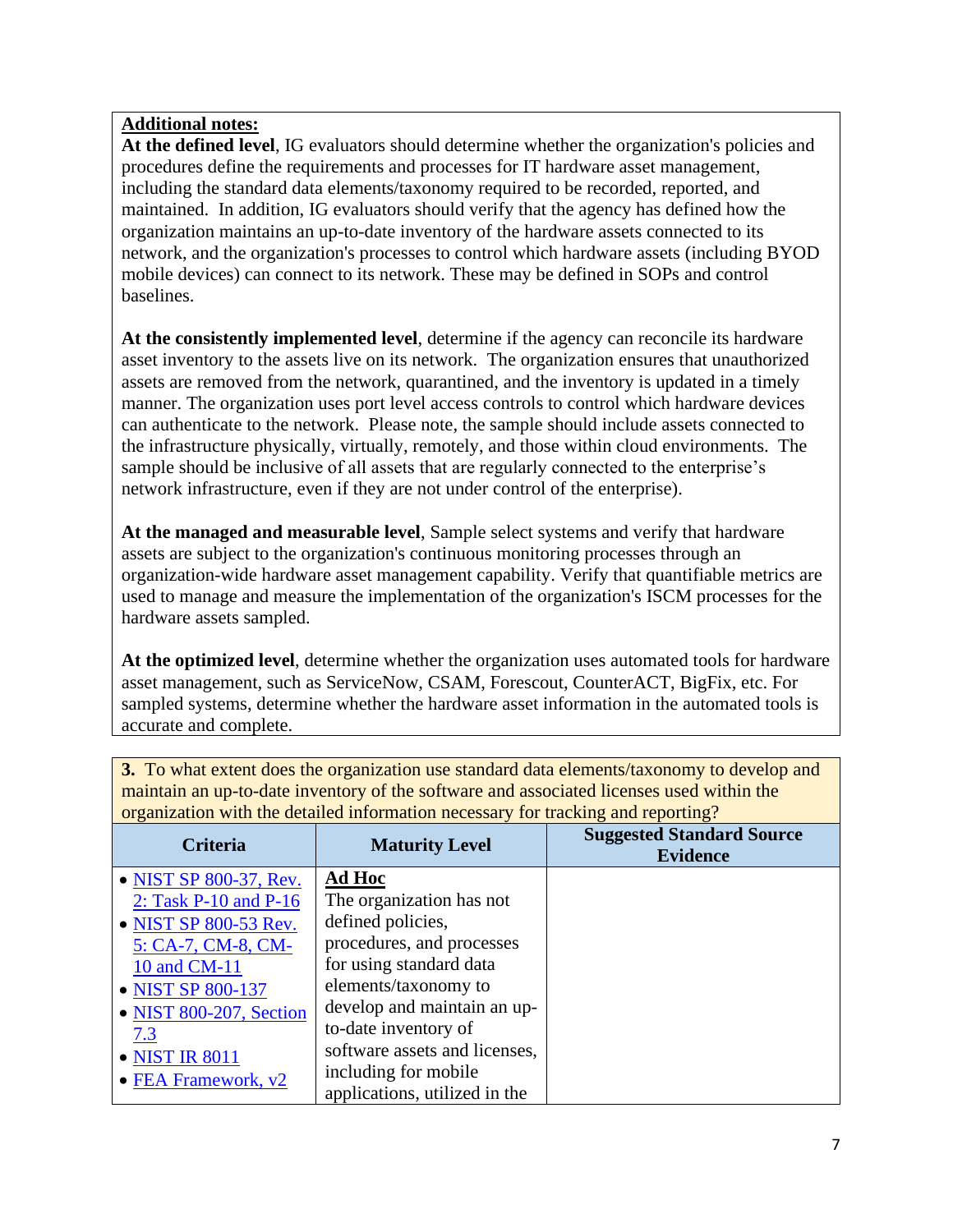**At the defined level**, IG evaluators should determine whether the organization's policies and procedures define the requirements and processes for IT hardware asset management, including the standard data elements/taxonomy required to be recorded, reported, and maintained. In addition, IG evaluators should verify that the agency has defined how the organization maintains an up-to-date inventory of the hardware assets connected to its network, and the organization's processes to control which hardware assets (including BYOD mobile devices) can connect to its network. These may be defined in SOPs and control baselines.

**At the consistently implemented level**, determine if the agency can reconcile its hardware asset inventory to the assets live on its network. The organization ensures that unauthorized assets are removed from the network, quarantined, and the inventory is updated in a timely manner. The organization uses port level access controls to control which hardware devices can authenticate to the network. Please note, the sample should include assets connected to the infrastructure physically, virtually, remotely, and those within cloud environments. The sample should be inclusive of all assets that are regularly connected to the enterprise's network infrastructure, even if they are not under control of the enterprise).

**At the managed and measurable level**, Sample select systems and verify that hardware assets are subject to the organization's continuous monitoring processes through an organization-wide hardware asset management capability. Verify that quantifiable metrics are used to manage and measure the implementation of the organization's ISCM processes for the hardware assets sampled.

**At the optimized level**, determine whether the organization uses automated tools for hardware asset management, such as ServiceNow, CSAM, Forescout, CounterACT, BigFix, etc. For sampled systems, determine whether the hardware asset information in the automated tools is accurate and complete.

| organization with the detailed information necessary for traeking and reporting: |                               |                                                     |
|----------------------------------------------------------------------------------|-------------------------------|-----------------------------------------------------|
| <b>Criteria</b>                                                                  | <b>Maturity Level</b>         | <b>Suggested Standard Source</b><br><b>Evidence</b> |
| • NIST SP 800-37, Rev.                                                           | <b>Ad Hoc</b>                 |                                                     |
| 2: Task $P-10$ and $P-16$                                                        | The organization has not      |                                                     |
| • NIST SP 800-53 Rev.                                                            | defined policies,             |                                                     |
| 5: CA-7, CM-8, CM-                                                               | procedures, and processes     |                                                     |
| 10 and CM-11                                                                     | for using standard data       |                                                     |
| • NIST SP 800-137                                                                | elements/taxonomy to          |                                                     |
| • NIST 800-207, Section                                                          | develop and maintain an up-   |                                                     |
| 7.3                                                                              | to-date inventory of          |                                                     |
| • NIST IR 8011                                                                   | software assets and licenses, |                                                     |
| $\bullet$ FEA Framework, $v2$                                                    | including for mobile          |                                                     |
|                                                                                  | applications, utilized in the |                                                     |

**3.** To what extent does the organization use standard data elements/taxonomy to develop and maintain an up-to-date inventory of the software and associated licenses used within the organization with the detailed information necessary for tracking and reporting?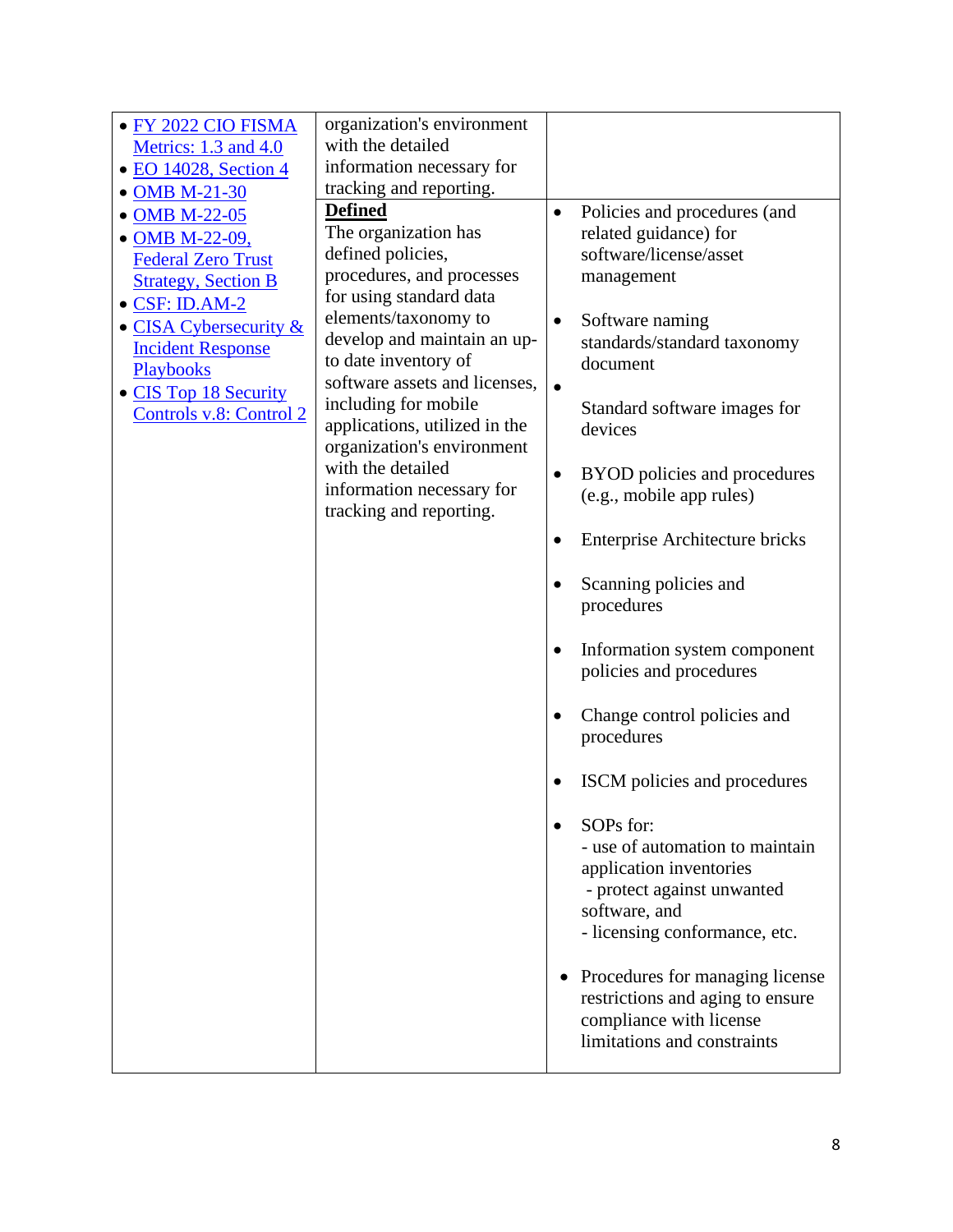| • FY 2022 CIO FISMA        | organization's environment    |           |                                       |
|----------------------------|-------------------------------|-----------|---------------------------------------|
| Metrics: 1.3 and 4.0       | with the detailed             |           |                                       |
| • EO 14028, Section 4      | information necessary for     |           |                                       |
| • OMB M-21-30              | tracking and reporting.       |           |                                       |
| • OMB M-22-05              | <b>Defined</b>                | $\bullet$ | Policies and procedures (and          |
| • OMB M-22-09,             | The organization has          |           | related guidance) for                 |
| <b>Federal Zero Trust</b>  | defined policies,             |           | software/license/asset                |
| <b>Strategy, Section B</b> | procedures, and processes     |           | management                            |
| $\bullet$ CSF: ID.AM-2     | for using standard data       |           |                                       |
| • CISA Cybersecurity &     | elements/taxonomy to          | $\bullet$ | Software naming                       |
| <b>Incident Response</b>   | develop and maintain an up-   |           | standards/standard taxonomy           |
| Playbooks                  | to date inventory of          |           | document                              |
| • CIS Top 18 Security      | software assets and licenses, | $\bullet$ |                                       |
| Controls v.8: Control 2    | including for mobile          |           | Standard software images for          |
|                            | applications, utilized in the |           | devices                               |
|                            | organization's environment    |           |                                       |
|                            | with the detailed             | $\bullet$ | BYOD policies and procedures          |
|                            | information necessary for     |           | (e.g., mobile app rules)              |
|                            | tracking and reporting.       |           |                                       |
|                            |                               |           | <b>Enterprise Architecture bricks</b> |
|                            |                               |           |                                       |
|                            |                               |           | Scanning policies and                 |
|                            |                               |           | procedures                            |
|                            |                               |           |                                       |
|                            |                               |           | Information system component          |
|                            |                               |           | policies and procedures               |
|                            |                               |           |                                       |
|                            |                               |           | Change control policies and           |
|                            |                               |           | procedures                            |
|                            |                               |           |                                       |
|                            |                               |           | ISCM policies and procedures          |
|                            |                               |           |                                       |
|                            |                               |           | SOPs for:                             |
|                            |                               |           | - use of automation to maintain       |
|                            |                               |           | application inventories               |
|                            |                               |           | - protect against unwanted            |
|                            |                               |           | software, and                         |
|                            |                               |           | - licensing conformance, etc.         |
|                            |                               |           |                                       |
|                            |                               |           | Procedures for managing license       |
|                            |                               |           | restrictions and aging to ensure      |
|                            |                               |           | compliance with license               |
|                            |                               |           | limitations and constraints           |
|                            |                               |           |                                       |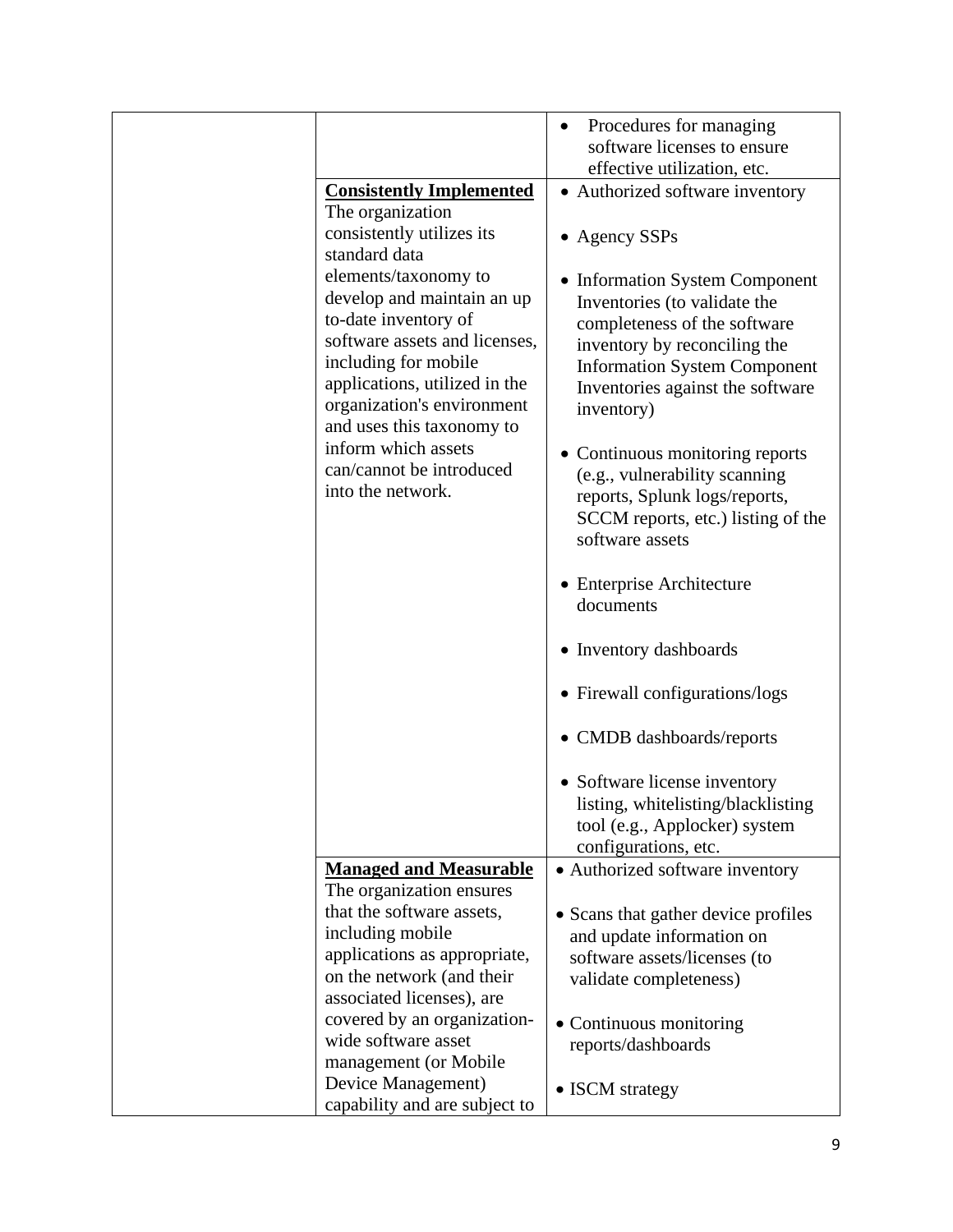|                                 | Procedures for managing             |
|---------------------------------|-------------------------------------|
|                                 | software licenses to ensure         |
|                                 | effective utilization, etc.         |
| <b>Consistently Implemented</b> | • Authorized software inventory     |
| The organization                |                                     |
| consistently utilizes its       | • Agency SSPs                       |
| standard data                   |                                     |
| elements/taxonomy to            | • Information System Component      |
| develop and maintain an up      | Inventories (to validate the        |
| to-date inventory of            |                                     |
| software assets and licenses,   | completeness of the software        |
| including for mobile            | inventory by reconciling the        |
| applications, utilized in the   | <b>Information System Component</b> |
|                                 | Inventories against the software    |
| organization's environment      | inventory)                          |
| and uses this taxonomy to       |                                     |
| inform which assets             | • Continuous monitoring reports     |
| can/cannot be introduced        | (e.g., vulnerability scanning       |
| into the network.               | reports, Splunk logs/reports,       |
|                                 | SCCM reports, etc.) listing of the  |
|                                 | software assets                     |
|                                 |                                     |
|                                 | • Enterprise Architecture           |
|                                 | documents                           |
|                                 |                                     |
|                                 | • Inventory dashboards              |
|                                 |                                     |
|                                 | • Firewall configurations/logs      |
|                                 |                                     |
|                                 | • CMDB dashboards/reports           |
|                                 |                                     |
|                                 | • Software license inventory        |
|                                 | listing, whitelisting/blacklisting  |
|                                 | tool (e.g., Applocker) system       |
|                                 | configurations, etc.                |
| <b>Managed and Measurable</b>   | • Authorized software inventory     |
| The organization ensures        |                                     |
| that the software assets,       | • Scans that gather device profiles |
| including mobile                | and update information on           |
| applications as appropriate,    | software assets/licenses (to        |
| on the network (and their       |                                     |
| associated licenses), are       | validate completeness)              |
| covered by an organization-     |                                     |
| wide software asset             | • Continuous monitoring             |
| management (or Mobile           | reports/dashboards                  |
| Device Management)              |                                     |
| capability and are subject to   | • ISCM strategy                     |
|                                 |                                     |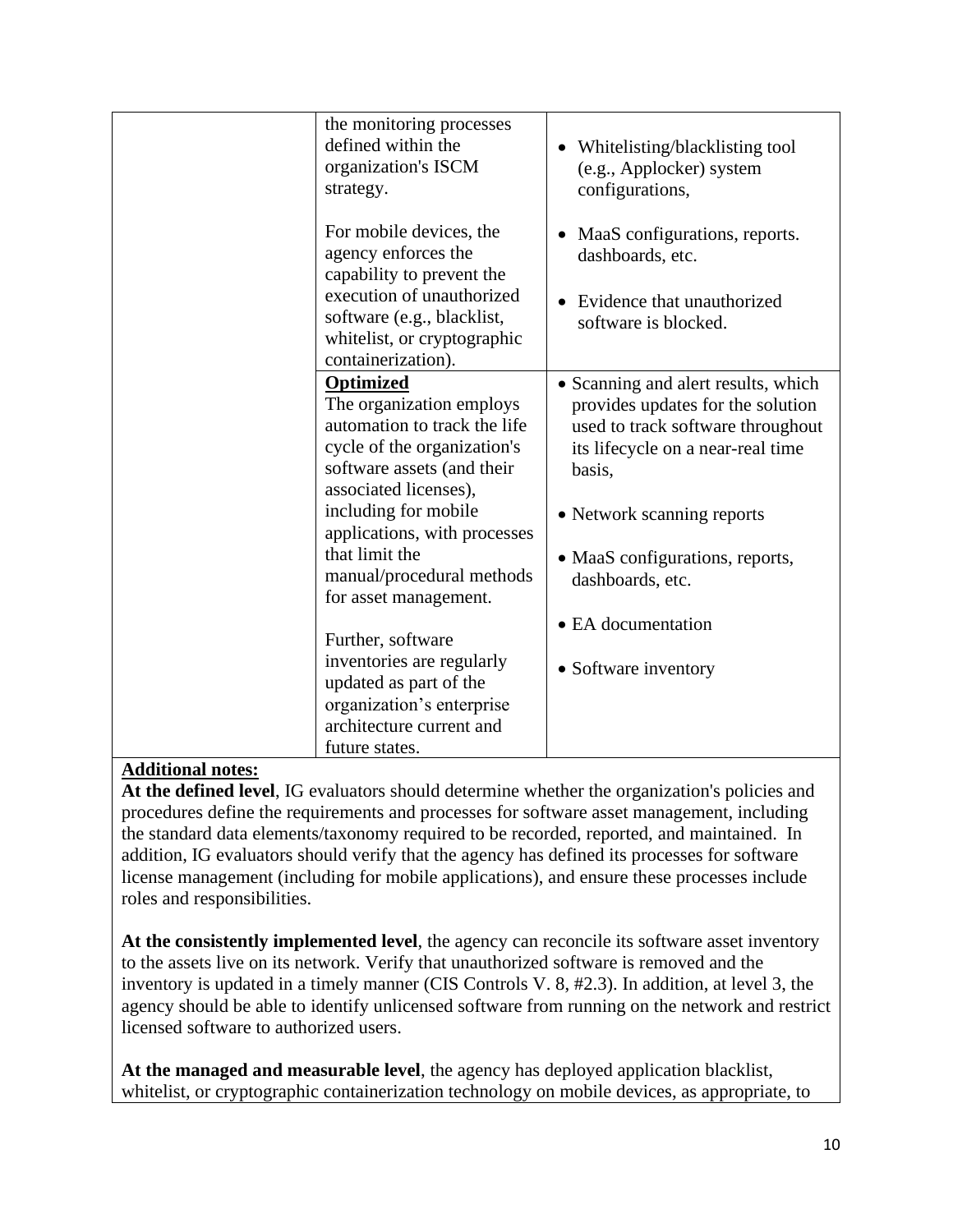| the monitoring processes<br>defined within the<br>organization's ISCM<br>strategy.                                                                                                                                                                                                                 | • Whitelisting/blacklisting tool<br>(e.g., Applocker) system<br>configurations,                                                                                                                                                                   |
|----------------------------------------------------------------------------------------------------------------------------------------------------------------------------------------------------------------------------------------------------------------------------------------------------|---------------------------------------------------------------------------------------------------------------------------------------------------------------------------------------------------------------------------------------------------|
| For mobile devices, the<br>agency enforces the<br>capability to prevent the<br>execution of unauthorized<br>software (e.g., blacklist,<br>whitelist, or cryptographic<br>containerization).                                                                                                        | MaaS configurations, reports.<br>dashboards, etc.<br>Evidence that unauthorized<br>software is blocked.                                                                                                                                           |
| <b>Optimized</b><br>The organization employs<br>automation to track the life<br>cycle of the organization's<br>software assets (and their<br>associated licenses),<br>including for mobile<br>applications, with processes<br>that limit the<br>manual/procedural methods<br>for asset management. | • Scanning and alert results, which<br>provides updates for the solution<br>used to track software throughout<br>its lifecycle on a near-real time<br>basis,<br>• Network scanning reports<br>• MaaS configurations, reports,<br>dashboards, etc. |
| Further, software<br>inventories are regularly<br>updated as part of the<br>organization's enterprise<br>architecture current and<br>future states.                                                                                                                                                | • EA documentation<br>• Software inventory                                                                                                                                                                                                        |

**At the defined level**, IG evaluators should determine whether the organization's policies and procedures define the requirements and processes for software asset management, including the standard data elements/taxonomy required to be recorded, reported, and maintained. In addition, IG evaluators should verify that the agency has defined its processes for software license management (including for mobile applications), and ensure these processes include roles and responsibilities.

**At the consistently implemented level**, the agency can reconcile its software asset inventory to the assets live on its network. Verify that unauthorized software is removed and the inventory is updated in a timely manner (CIS Controls V. 8, #2.3). In addition, at level 3, the agency should be able to identify unlicensed software from running on the network and restrict licensed software to authorized users.

**At the managed and measurable level**, the agency has deployed application blacklist, whitelist, or cryptographic containerization technology on mobile devices, as appropriate, to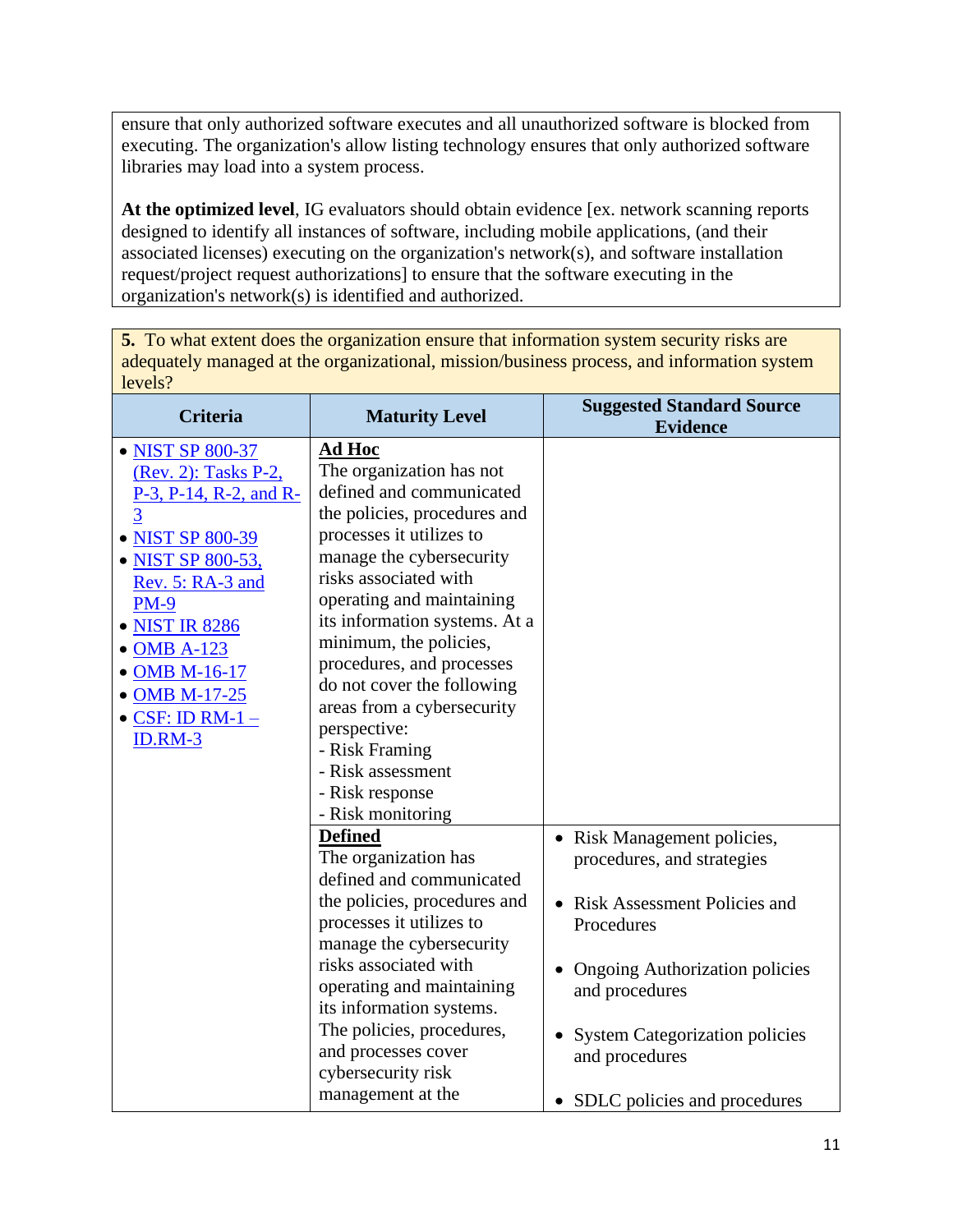ensure that only authorized software executes and all unauthorized software is blocked from executing. The organization's allow listing technology ensures that only authorized software libraries may load into a system process.

**At the optimized level**, IG evaluators should obtain evidence [ex. network scanning reports designed to identify all instances of software, including mobile applications, (and their associated licenses) executing on the organization's network(s), and software installation request/project request authorizations] to ensure that the software executing in the organization's network(s) is identified and authorized.

**5.** To what extent does the organization ensure that information system security risks are adequately managed at the organizational, mission/business process, and information system levels?

| <b>Criteria</b>                                                                                                                                                                                                                                                                       | <b>Maturity Level</b>                                                                                                                                                                                                                                                                                                                                                                                                                                                  | <b>Suggested Standard Source</b><br><b>Evidence</b>                                                                                                                                                                                                             |
|---------------------------------------------------------------------------------------------------------------------------------------------------------------------------------------------------------------------------------------------------------------------------------------|------------------------------------------------------------------------------------------------------------------------------------------------------------------------------------------------------------------------------------------------------------------------------------------------------------------------------------------------------------------------------------------------------------------------------------------------------------------------|-----------------------------------------------------------------------------------------------------------------------------------------------------------------------------------------------------------------------------------------------------------------|
| • NIST SP 800-37<br>(Rev. 2): Tasks P-2,<br>$P-3$ , $P-14$ , $R-2$ , and $R-$<br>$\overline{3}$<br>• NIST SP 800-39<br>• NIST SP 800-53,<br>Rev. 5: RA-3 and<br><b>PM-9</b><br>• NIST IR 8286<br>• OMB A-123<br>• OMB M-16-17<br>• OMB M-17-25<br>$\bullet$ CSF: ID RM-1 -<br>ID.RM-3 | <b>Ad Hoc</b><br>The organization has not<br>defined and communicated<br>the policies, procedures and<br>processes it utilizes to<br>manage the cybersecurity<br>risks associated with<br>operating and maintaining<br>its information systems. At a<br>minimum, the policies,<br>procedures, and processes<br>do not cover the following<br>areas from a cybersecurity<br>perspective:<br>- Risk Framing<br>- Risk assessment<br>- Risk response<br>- Risk monitoring |                                                                                                                                                                                                                                                                 |
|                                                                                                                                                                                                                                                                                       | <b>Defined</b><br>The organization has<br>defined and communicated<br>the policies, procedures and<br>processes it utilizes to<br>manage the cybersecurity<br>risks associated with<br>operating and maintaining<br>its information systems.<br>The policies, procedures,<br>and processes cover<br>cybersecurity risk<br>management at the                                                                                                                            | Risk Management policies,<br>procedures, and strategies<br>• Risk Assessment Policies and<br>Procedures<br><b>Ongoing Authorization policies</b><br>and procedures<br><b>System Categorization policies</b><br>and procedures<br>• SDLC policies and procedures |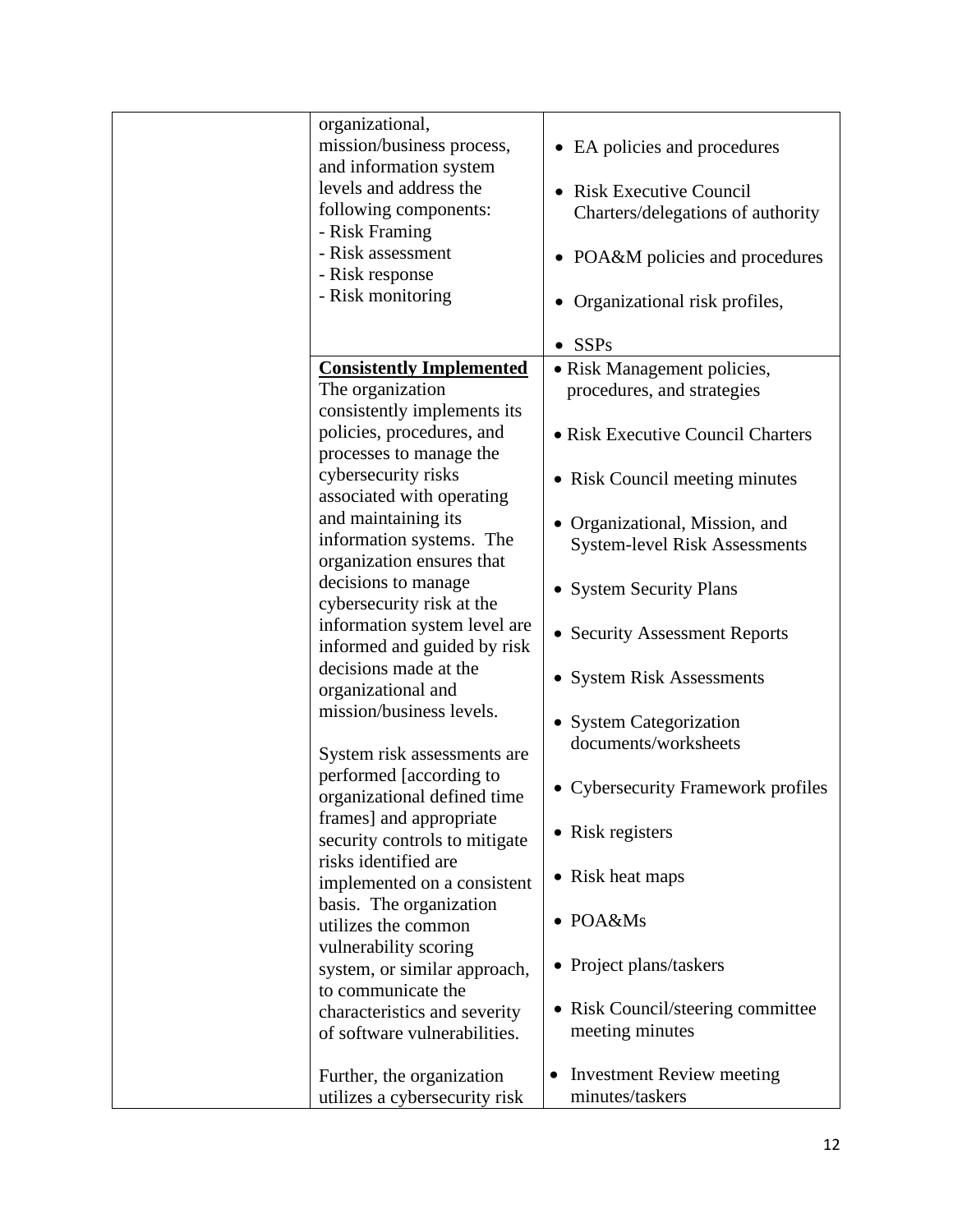| organizational,<br>mission/business process,         | • EA policies and procedures                  |
|------------------------------------------------------|-----------------------------------------------|
| and information system<br>levels and address the     | • Risk Executive Council                      |
| following components:<br>- Risk Framing              | Charters/delegations of authority             |
| - Risk assessment<br>- Risk response                 | POA&M policies and procedures                 |
| - Risk monitoring                                    | Organizational risk profiles,                 |
|                                                      | SSPs                                          |
| <b>Consistently Implemented</b>                      | • Risk Management policies,                   |
| The organization                                     |                                               |
|                                                      | procedures, and strategies                    |
| consistently implements its                          |                                               |
| policies, procedures, and<br>processes to manage the | • Risk Executive Council Charters             |
| cybersecurity risks<br>associated with operating     | • Risk Council meeting minutes                |
| and maintaining its                                  |                                               |
| information systems. The                             | • Organizational, Mission, and                |
|                                                      | <b>System-level Risk Assessments</b>          |
| organization ensures that                            |                                               |
| decisions to manage                                  | <b>System Security Plans</b>                  |
| cybersecurity risk at the                            |                                               |
| information system level are                         |                                               |
| informed and guided by risk                          | • Security Assessment Reports                 |
|                                                      |                                               |
| decisions made at the                                | • System Risk Assessments                     |
| organizational and                                   |                                               |
| mission/business levels.                             |                                               |
|                                                      | • System Categorization                       |
|                                                      | documents/worksheets                          |
| System risk assessments are                          |                                               |
| performed [according to                              | • Cybersecurity Framework profiles            |
| organizational defined time                          |                                               |
| frames] and appropriate                              |                                               |
| security controls to mitigate                        | • Risk registers                              |
| risks identified are                                 |                                               |
|                                                      | • Risk heat maps                              |
| implemented on a consistent                          |                                               |
| basis. The organization                              |                                               |
| utilizes the common                                  | $\bullet$ POA&Ms                              |
| vulnerability scoring                                |                                               |
|                                                      | • Project plans/taskers                       |
| system, or similar approach,                         |                                               |
| to communicate the                                   |                                               |
| characteristics and severity                         | • Risk Council/steering committee             |
| of software vulnerabilities.                         | meeting minutes                               |
|                                                      |                                               |
|                                                      | <b>Investment Review meeting</b><br>$\bullet$ |
| Further, the organization                            |                                               |
| utilizes a cybersecurity risk                        | minutes/taskers                               |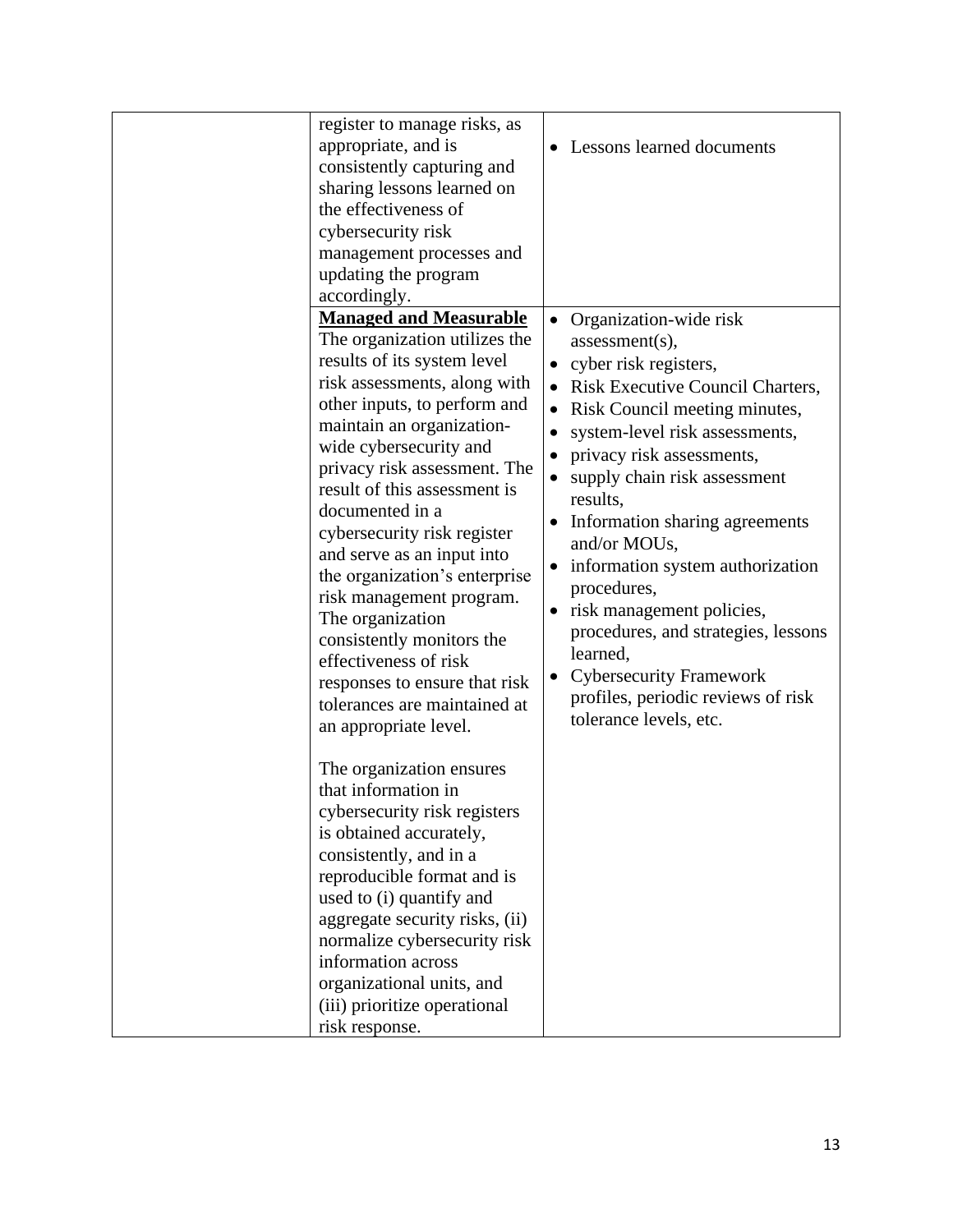| register to manage risks, as<br>appropriate, and is<br>consistently capturing and<br>sharing lessons learned on<br>the effectiveness of<br>cybersecurity risk<br>management processes and<br>updating the program<br>accordingly.                                                                                                                                                                                                                                                                                                                                                                                                 | Lessons learned documents                                                                                                                                                                                                                                                                                                                                                                                                                                                                                                                     |
|-----------------------------------------------------------------------------------------------------------------------------------------------------------------------------------------------------------------------------------------------------------------------------------------------------------------------------------------------------------------------------------------------------------------------------------------------------------------------------------------------------------------------------------------------------------------------------------------------------------------------------------|-----------------------------------------------------------------------------------------------------------------------------------------------------------------------------------------------------------------------------------------------------------------------------------------------------------------------------------------------------------------------------------------------------------------------------------------------------------------------------------------------------------------------------------------------|
| <b>Managed and Measurable</b><br>The organization utilizes the<br>results of its system level<br>risk assessments, along with<br>other inputs, to perform and<br>maintain an organization-<br>wide cybersecurity and<br>privacy risk assessment. The<br>result of this assessment is<br>documented in a<br>cybersecurity risk register<br>and serve as an input into<br>the organization's enterprise<br>risk management program.<br>The organization<br>consistently monitors the<br>effectiveness of risk<br>responses to ensure that risk<br>tolerances are maintained at<br>an appropriate level.<br>The organization ensures | Organization-wide risk<br>assessment(s),<br>cyber risk registers,<br>Risk Executive Council Charters,<br>Risk Council meeting minutes,<br>system-level risk assessments,<br>٠<br>privacy risk assessments,<br>supply chain risk assessment<br>results,<br>Information sharing agreements<br>and/or MOUs,<br>information system authorization<br>procedures,<br>risk management policies,<br>procedures, and strategies, lessons<br>learned,<br><b>Cybersecurity Framework</b><br>profiles, periodic reviews of risk<br>tolerance levels, etc. |
| that information in<br>cybersecurity risk registers<br>is obtained accurately,<br>consistently, and in a<br>reproducible format and is<br>used to (i) quantify and<br>aggregate security risks, (ii)<br>normalize cybersecurity risk<br>information across<br>organizational units, and<br>(iii) prioritize operational<br>risk response.                                                                                                                                                                                                                                                                                         |                                                                                                                                                                                                                                                                                                                                                                                                                                                                                                                                               |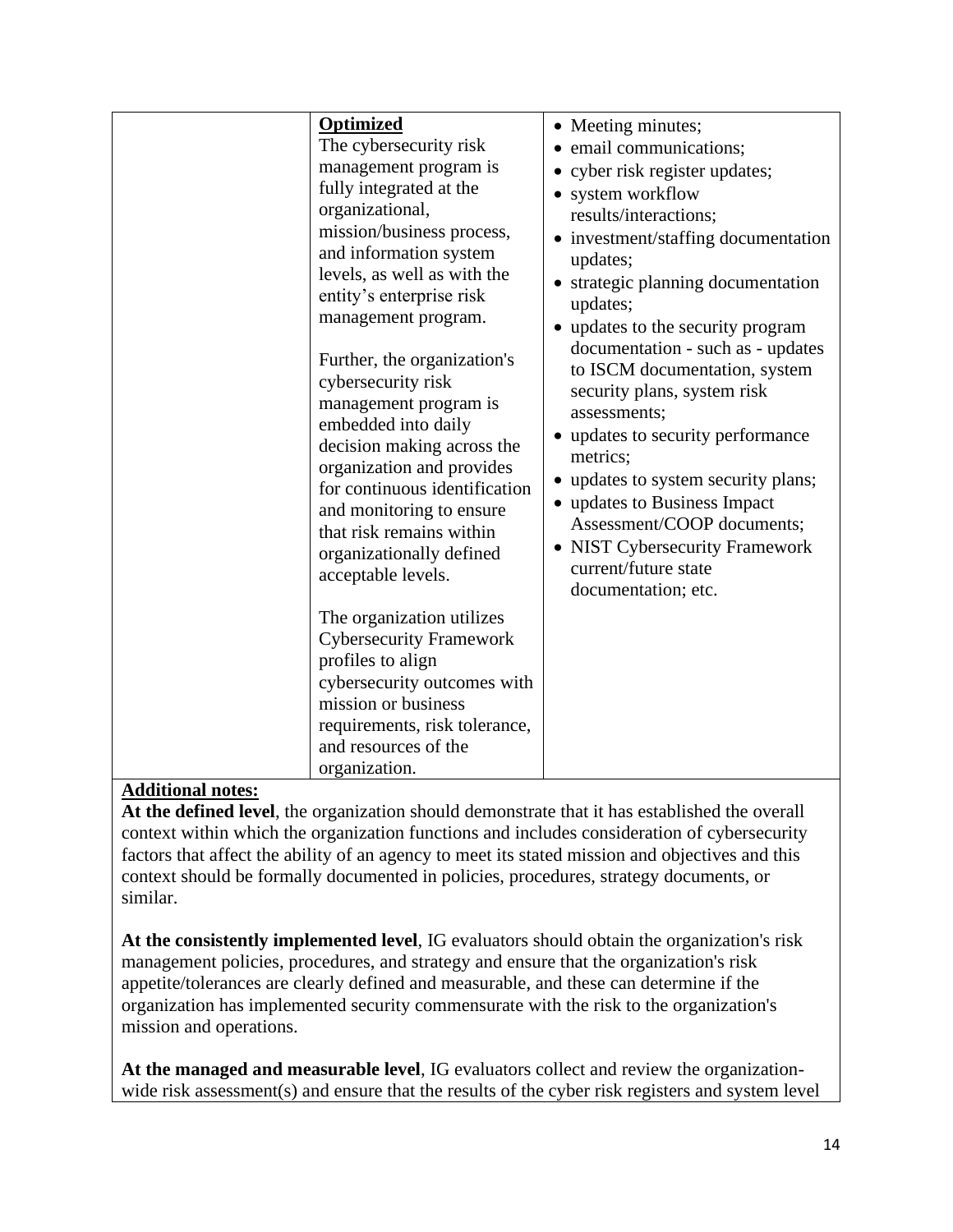| <b>Optimized</b><br>The cybersecurity risk<br>management program is<br>fully integrated at the<br>organizational,<br>mission/business process,<br>and information system<br>levels, as well as with the<br>entity's enterprise risk<br>management program.<br>Further, the organization's<br>cybersecurity risk<br>management program is<br>embedded into daily<br>decision making across the<br>organization and provides<br>for continuous identification<br>and monitoring to ensure<br>that risk remains within<br>organizationally defined<br>acceptable levels. | • Meeting minutes;<br>email communications;<br>• cyber risk register updates;<br>• system workflow<br>results/interactions;<br>• investment/staffing documentation<br>updates;<br>strategic planning documentation<br>updates;<br>• updates to the security program<br>documentation - such as - updates<br>to ISCM documentation, system<br>security plans, system risk<br>assessments;<br>• updates to security performance<br>metrics;<br>• updates to system security plans;<br>• updates to Business Impact<br>Assessment/COOP documents;<br><b>NIST Cybersecurity Framework</b><br>current/future state<br>documentation; etc. |
|-----------------------------------------------------------------------------------------------------------------------------------------------------------------------------------------------------------------------------------------------------------------------------------------------------------------------------------------------------------------------------------------------------------------------------------------------------------------------------------------------------------------------------------------------------------------------|--------------------------------------------------------------------------------------------------------------------------------------------------------------------------------------------------------------------------------------------------------------------------------------------------------------------------------------------------------------------------------------------------------------------------------------------------------------------------------------------------------------------------------------------------------------------------------------------------------------------------------------|
| The organization utilizes<br><b>Cybersecurity Framework</b><br>profiles to align<br>cybersecurity outcomes with<br>mission or business<br>requirements, risk tolerance,<br>and resources of the<br>organization.                                                                                                                                                                                                                                                                                                                                                      |                                                                                                                                                                                                                                                                                                                                                                                                                                                                                                                                                                                                                                      |

**At the defined level**, the organization should demonstrate that it has established the overall context within which the organization functions and includes consideration of cybersecurity factors that affect the ability of an agency to meet its stated mission and objectives and this context should be formally documented in policies, procedures, strategy documents, or similar.

**At the consistently implemented level**, IG evaluators should obtain the organization's risk management policies, procedures, and strategy and ensure that the organization's risk appetite/tolerances are clearly defined and measurable, and these can determine if the organization has implemented security commensurate with the risk to the organization's mission and operations.

**At the managed and measurable level**, IG evaluators collect and review the organizationwide risk assessment(s) and ensure that the results of the cyber risk registers and system level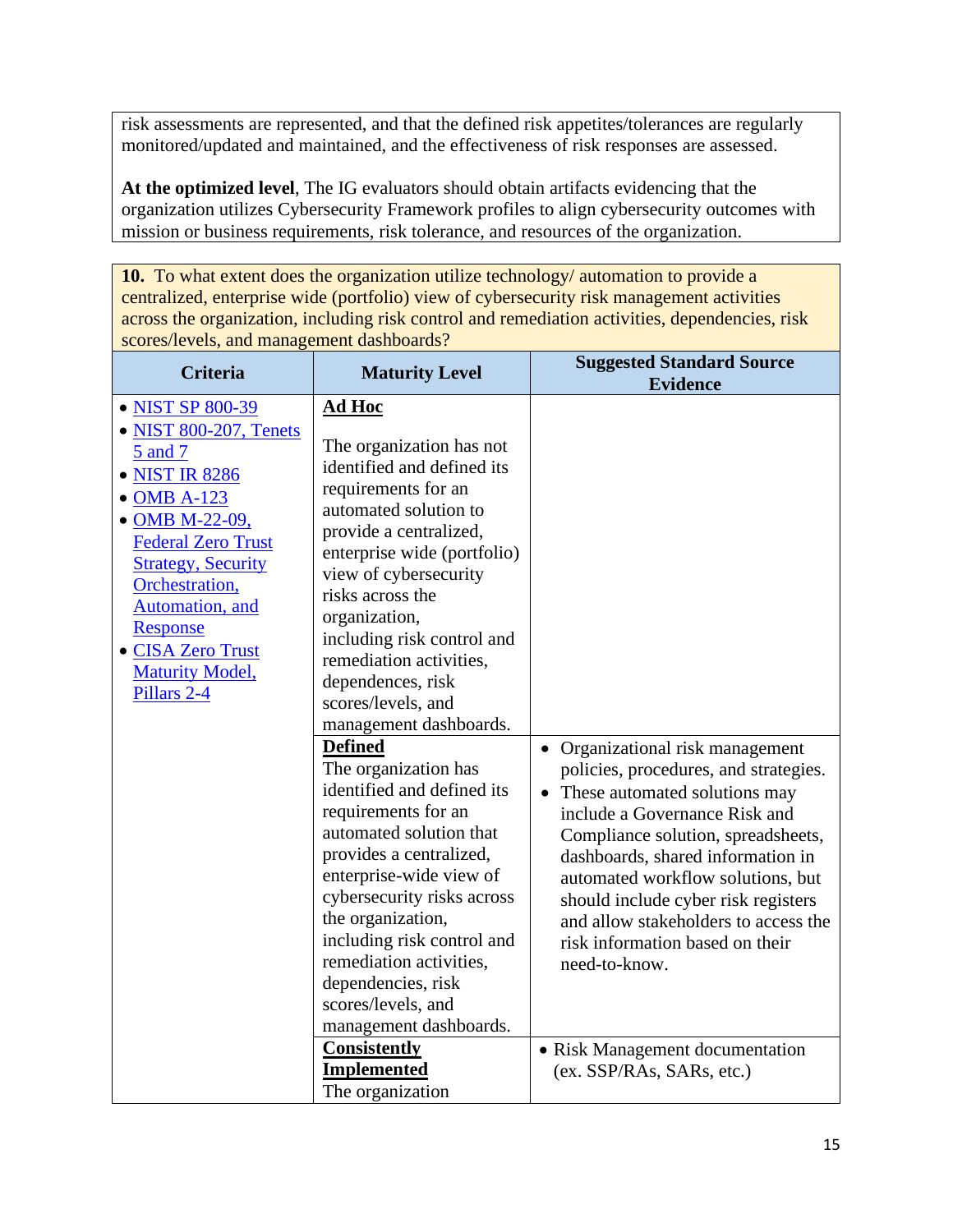risk assessments are represented, and that the defined risk appetites/tolerances are regularly monitored/updated and maintained, and the effectiveness of risk responses are assessed.

**At the optimized level**, The IG evaluators should obtain artifacts evidencing that the organization utilizes Cybersecurity Framework profiles to align cybersecurity outcomes with mission or business requirements, risk tolerance, and resources of the organization.

**10.** To what extent does the organization utilize technology/ automation to provide a centralized, enterprise wide (portfolio) view of cybersecurity risk management activities across the organization, including risk control and remediation activities, dependencies, risk scores/levels, and management dashboards?

| <b>Criteria</b>                                                                                                                                                                                                                                                                   | <b>Maturity Level</b>                                                                                                                                                                                                                                                                                                                                                                                                                                                                                                                                                                                                                                                                                                                                                                       | <b>Suggested Standard Source</b><br><b>Evidence</b>                                                                                                                                                                                                                                                                                                                                                                                                                         |
|-----------------------------------------------------------------------------------------------------------------------------------------------------------------------------------------------------------------------------------------------------------------------------------|---------------------------------------------------------------------------------------------------------------------------------------------------------------------------------------------------------------------------------------------------------------------------------------------------------------------------------------------------------------------------------------------------------------------------------------------------------------------------------------------------------------------------------------------------------------------------------------------------------------------------------------------------------------------------------------------------------------------------------------------------------------------------------------------|-----------------------------------------------------------------------------------------------------------------------------------------------------------------------------------------------------------------------------------------------------------------------------------------------------------------------------------------------------------------------------------------------------------------------------------------------------------------------------|
| • NIST SP 800-39<br>• NIST 800-207, Tenets<br>5 and 7<br>• NIST IR 8286<br>• OMB A-123<br>• OMB M-22-09,<br><b>Federal Zero Trust</b><br><b>Strategy, Security</b><br>Orchestration,<br>Automation, and<br>Response<br>• CISA Zero Trust<br><b>Maturity Model,</b><br>Pillars 2-4 | <b>Ad Hoc</b><br>The organization has not<br>identified and defined its<br>requirements for an<br>automated solution to<br>provide a centralized,<br>enterprise wide (portfolio)<br>view of cybersecurity<br>risks across the<br>organization,<br>including risk control and<br>remediation activities,<br>dependences, risk<br>scores/levels, and<br>management dashboards.<br><b>Defined</b><br>The organization has<br>identified and defined its<br>requirements for an<br>automated solution that<br>provides a centralized,<br>enterprise-wide view of<br>cybersecurity risks across<br>the organization,<br>including risk control and<br>remediation activities,<br>dependencies, risk<br>scores/levels, and<br>management dashboards.<br><b>Consistently</b><br><b>Implemented</b> | • Organizational risk management<br>policies, procedures, and strategies.<br>These automated solutions may<br>$\bullet$<br>include a Governance Risk and<br>Compliance solution, spreadsheets,<br>dashboards, shared information in<br>automated workflow solutions, but<br>should include cyber risk registers<br>and allow stakeholders to access the<br>risk information based on their<br>need-to-know.<br>• Risk Management documentation<br>(ex. SSP/RAs, SARs, etc.) |
|                                                                                                                                                                                                                                                                                   | The organization                                                                                                                                                                                                                                                                                                                                                                                                                                                                                                                                                                                                                                                                                                                                                                            |                                                                                                                                                                                                                                                                                                                                                                                                                                                                             |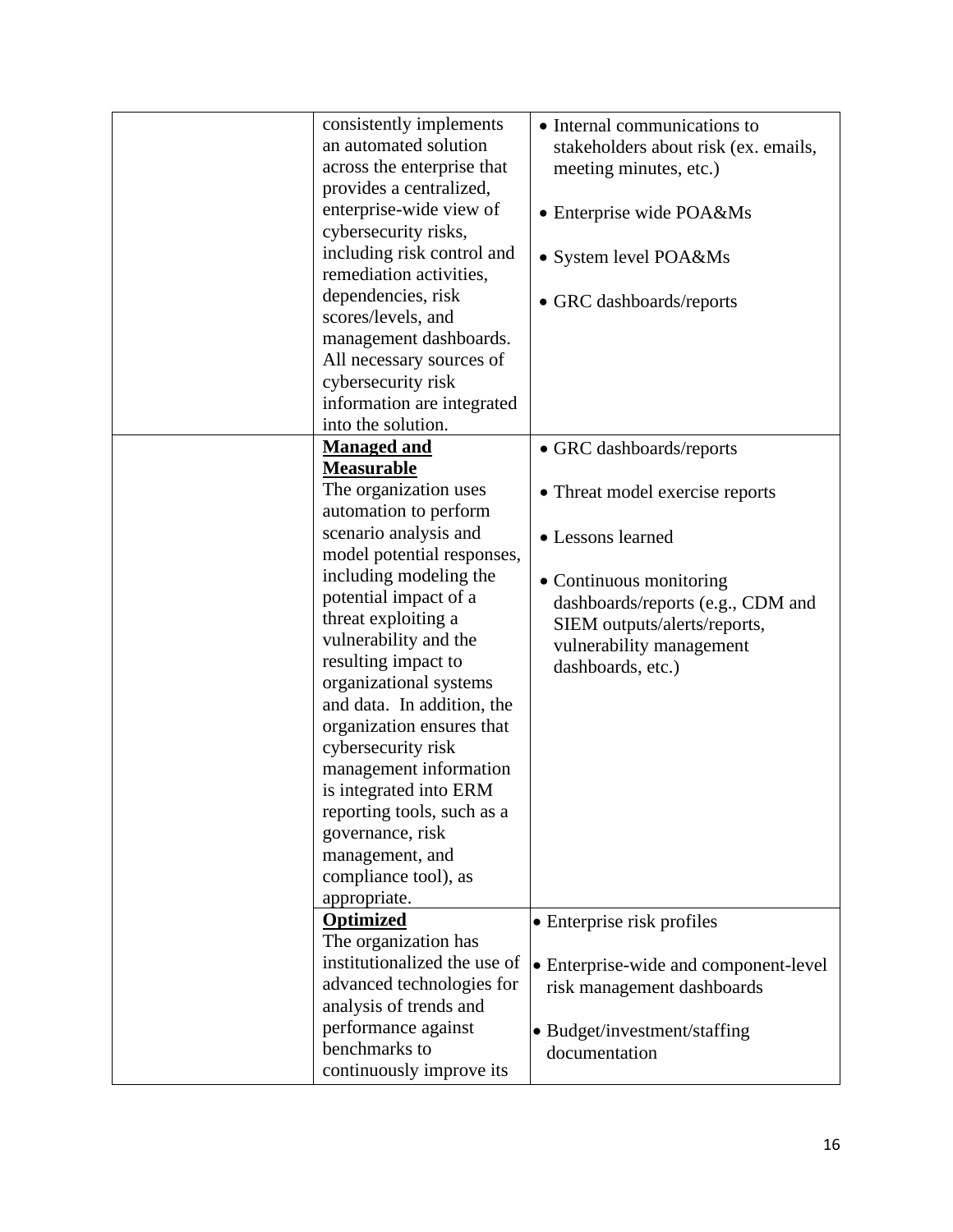| consistently implements      | • Internal communications to          |
|------------------------------|---------------------------------------|
| an automated solution        | stakeholders about risk (ex. emails,  |
| across the enterprise that   | meeting minutes, etc.)                |
| provides a centralized,      |                                       |
| enterprise-wide view of      | • Enterprise wide POA&Ms              |
| cybersecurity risks,         |                                       |
| including risk control and   | • System level POA&Ms                 |
| remediation activities,      |                                       |
| dependencies, risk           | • GRC dashboards/reports              |
| scores/levels, and           |                                       |
| management dashboards.       |                                       |
| All necessary sources of     |                                       |
| cybersecurity risk           |                                       |
| information are integrated   |                                       |
| into the solution.           |                                       |
| <b>Managed and</b>           | • GRC dashboards/reports              |
| <b>Measurable</b>            |                                       |
| The organization uses        | • Threat model exercise reports       |
| automation to perform        |                                       |
| scenario analysis and        | • Lessons learned                     |
| model potential responses,   |                                       |
| including modeling the       | • Continuous monitoring               |
| potential impact of a        | dashboards/reports (e.g., CDM and     |
| threat exploiting a          | SIEM outputs/alerts/reports,          |
| vulnerability and the        | vulnerability management              |
| resulting impact to          | dashboards, etc.)                     |
| organizational systems       |                                       |
| and data. In addition, the   |                                       |
| organization ensures that    |                                       |
| cybersecurity risk           |                                       |
| management information       |                                       |
| is integrated into ERM       |                                       |
| reporting tools, such as a   |                                       |
| governance, risk             |                                       |
| management, and              |                                       |
| compliance tool), as         |                                       |
| appropriate.                 |                                       |
| <b>Optimized</b>             | • Enterprise risk profiles            |
| The organization has         |                                       |
| institutionalized the use of | • Enterprise-wide and component-level |
| advanced technologies for    | risk management dashboards            |
| analysis of trends and       |                                       |
| performance against          | • Budget/investment/staffing          |
| benchmarks to                | documentation                         |
| continuously improve its     |                                       |
|                              |                                       |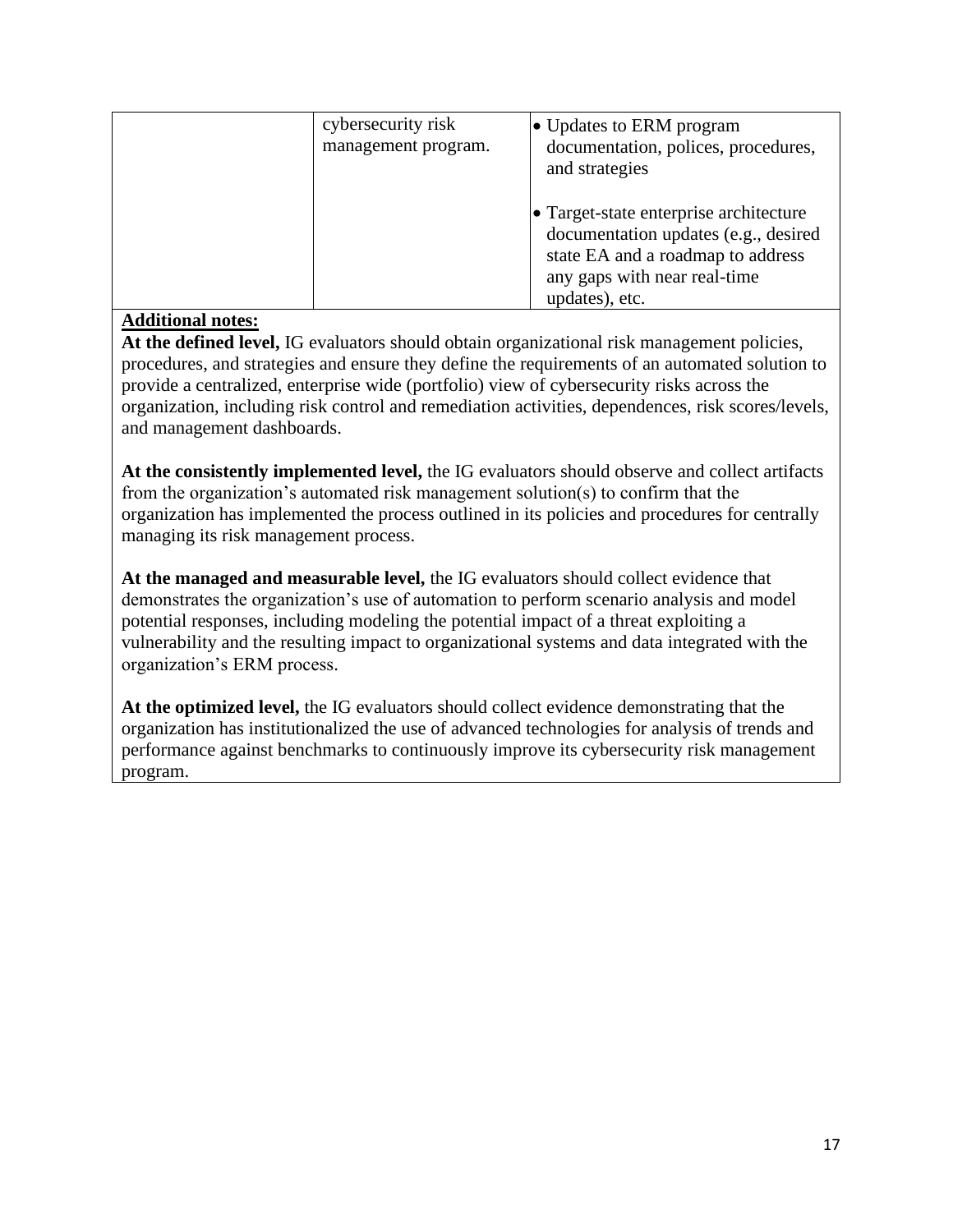| cybersecurity risk<br>management program. | • Updates to ERM program<br>documentation, polices, procedures,<br>and strategies                                                                                     |
|-------------------------------------------|-----------------------------------------------------------------------------------------------------------------------------------------------------------------------|
|                                           | • Target-state enterprise architecture<br>documentation updates (e.g., desired<br>state EA and a roadmap to address<br>any gaps with near real-time<br>updates), etc. |

**At the defined level,** IG evaluators should obtain organizational risk management policies, procedures, and strategies and ensure they define the requirements of an automated solution to provide a centralized, enterprise wide (portfolio) view of cybersecurity risks across the organization, including risk control and remediation activities, dependences, risk scores/levels, and management dashboards.

**At the consistently implemented level,** the IG evaluators should observe and collect artifacts from the organization's automated risk management solution(s) to confirm that the organization has implemented the process outlined in its policies and procedures for centrally managing its risk management process.

**At the managed and measurable level,** the IG evaluators should collect evidence that demonstrates the organization's use of automation to perform scenario analysis and model potential responses, including modeling the potential impact of a threat exploiting a vulnerability and the resulting impact to organizational systems and data integrated with the organization's ERM process.

**At the optimized level,** the IG evaluators should collect evidence demonstrating that the organization has institutionalized the use of advanced technologies for analysis of trends and performance against benchmarks to continuously improve its cybersecurity risk management program.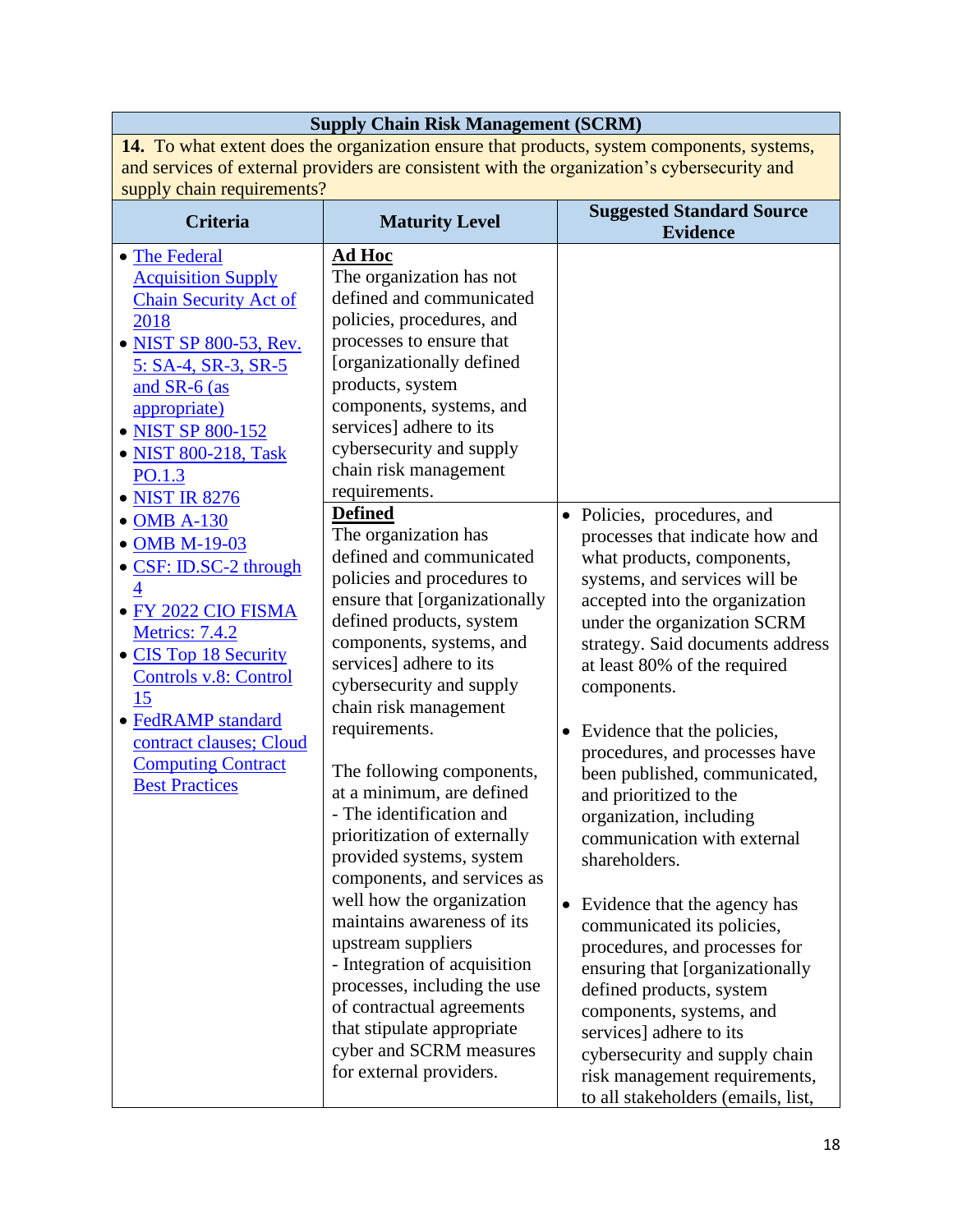|                                                                                                                                                                                                                                                                                                                                                                                                                                                                                                                          | <b>Supply Chain Risk Management (SCRM)</b>                                                                                                                                                                                                                                                                                                                                                                                                                                                                                                                                                                                                                                                                                                                                                                                                                                                                                                                                                                                                                    |                                                                                                                                                                                                                                                                                                                                                                                                                                                                                                                                                                                                                                                                                                                                                                                                                                       |  |  |
|--------------------------------------------------------------------------------------------------------------------------------------------------------------------------------------------------------------------------------------------------------------------------------------------------------------------------------------------------------------------------------------------------------------------------------------------------------------------------------------------------------------------------|---------------------------------------------------------------------------------------------------------------------------------------------------------------------------------------------------------------------------------------------------------------------------------------------------------------------------------------------------------------------------------------------------------------------------------------------------------------------------------------------------------------------------------------------------------------------------------------------------------------------------------------------------------------------------------------------------------------------------------------------------------------------------------------------------------------------------------------------------------------------------------------------------------------------------------------------------------------------------------------------------------------------------------------------------------------|---------------------------------------------------------------------------------------------------------------------------------------------------------------------------------------------------------------------------------------------------------------------------------------------------------------------------------------------------------------------------------------------------------------------------------------------------------------------------------------------------------------------------------------------------------------------------------------------------------------------------------------------------------------------------------------------------------------------------------------------------------------------------------------------------------------------------------------|--|--|
|                                                                                                                                                                                                                                                                                                                                                                                                                                                                                                                          |                                                                                                                                                                                                                                                                                                                                                                                                                                                                                                                                                                                                                                                                                                                                                                                                                                                                                                                                                                                                                                                               | 14. To what extent does the organization ensure that products, system components, systems,                                                                                                                                                                                                                                                                                                                                                                                                                                                                                                                                                                                                                                                                                                                                            |  |  |
|                                                                                                                                                                                                                                                                                                                                                                                                                                                                                                                          | and services of external providers are consistent with the organization's cybersecurity and                                                                                                                                                                                                                                                                                                                                                                                                                                                                                                                                                                                                                                                                                                                                                                                                                                                                                                                                                                   |                                                                                                                                                                                                                                                                                                                                                                                                                                                                                                                                                                                                                                                                                                                                                                                                                                       |  |  |
| supply chain requirements?                                                                                                                                                                                                                                                                                                                                                                                                                                                                                               |                                                                                                                                                                                                                                                                                                                                                                                                                                                                                                                                                                                                                                                                                                                                                                                                                                                                                                                                                                                                                                                               |                                                                                                                                                                                                                                                                                                                                                                                                                                                                                                                                                                                                                                                                                                                                                                                                                                       |  |  |
| <b>Criteria</b>                                                                                                                                                                                                                                                                                                                                                                                                                                                                                                          | <b>Maturity Level</b>                                                                                                                                                                                                                                                                                                                                                                                                                                                                                                                                                                                                                                                                                                                                                                                                                                                                                                                                                                                                                                         | <b>Suggested Standard Source</b><br><b>Evidence</b>                                                                                                                                                                                                                                                                                                                                                                                                                                                                                                                                                                                                                                                                                                                                                                                   |  |  |
| • The Federal<br><b>Acquisition Supply</b><br><b>Chain Security Act of</b><br>2018<br><b>NIST SP 800-53, Rev.</b><br>5: SA-4, SR-3, SR-5<br>and SR-6 (as<br>appropriate)<br>• NIST SP 800-152<br>• NIST 800-218, Task<br>PO.1.3<br>• NIST IR 8276<br><b>OMB A-130</b><br>• OMB M-19-03<br>• CSF: ID.SC-2 through<br>• FY 2022 CIO FISMA<br>Metrics: 7.4.2<br>• CIS Top 18 Security<br>Controls v.8: Control<br>15<br>· FedRAMP standard<br>contract clauses; Cloud<br><b>Computing Contract</b><br><b>Best Practices</b> | <b>Ad Hoc</b><br>The organization has not<br>defined and communicated<br>policies, procedures, and<br>processes to ensure that<br>[organizationally defined<br>products, system<br>components, systems, and<br>services] adhere to its<br>cybersecurity and supply<br>chain risk management<br>requirements.<br><b>Defined</b><br>The organization has<br>defined and communicated<br>policies and procedures to<br>ensure that [organizationally<br>defined products, system<br>components, systems, and<br>services] adhere to its<br>cybersecurity and supply<br>chain risk management<br>requirements.<br>The following components,<br>at a minimum, are defined<br>- The identification and<br>prioritization of externally<br>provided systems, system<br>components, and services as<br>well how the organization<br>maintains awareness of its<br>upstream suppliers<br>- Integration of acquisition<br>processes, including the use<br>of contractual agreements<br>that stipulate appropriate<br>cyber and SCRM measures<br>for external providers. | • Policies, procedures, and<br>processes that indicate how and<br>what products, components,<br>systems, and services will be<br>accepted into the organization<br>under the organization SCRM<br>strategy. Said documents address<br>at least 80% of the required<br>components.<br>Evidence that the policies,<br>$\bullet$<br>procedures, and processes have<br>been published, communicated,<br>and prioritized to the<br>organization, including<br>communication with external<br>shareholders.<br>• Evidence that the agency has<br>communicated its policies,<br>procedures, and processes for<br>ensuring that [organizationally<br>defined products, system<br>components, systems, and<br>services] adhere to its<br>cybersecurity and supply chain<br>risk management requirements,<br>to all stakeholders (emails, list, |  |  |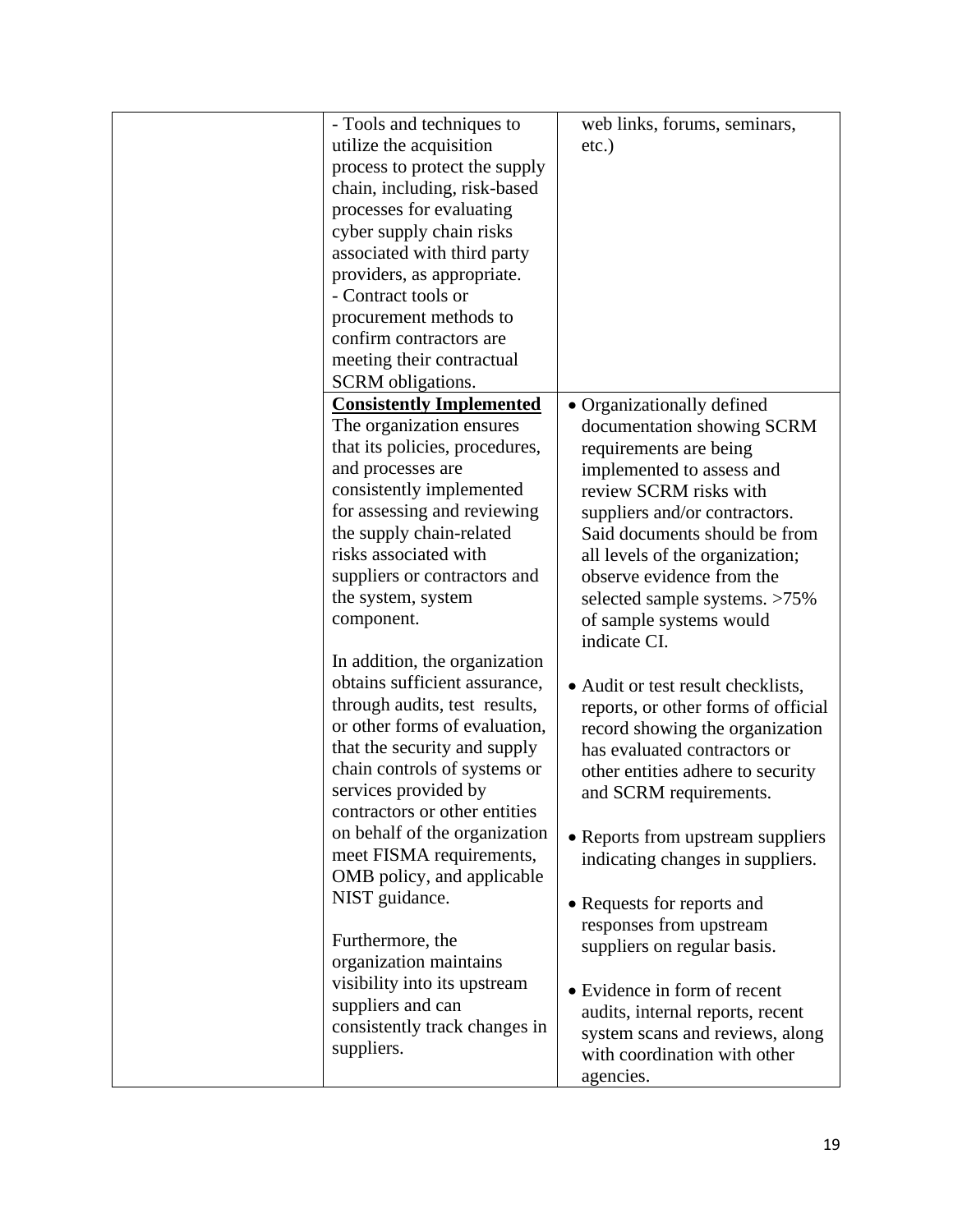| - Tools and techniques to                    | web links, forums, seminars,                        |
|----------------------------------------------|-----------------------------------------------------|
| utilize the acquisition                      | $etc.$ )                                            |
| process to protect the supply                |                                                     |
| chain, including, risk-based                 |                                                     |
| processes for evaluating                     |                                                     |
| cyber supply chain risks                     |                                                     |
| associated with third party                  |                                                     |
| providers, as appropriate.                   |                                                     |
| - Contract tools or                          |                                                     |
| procurement methods to                       |                                                     |
| confirm contractors are                      |                                                     |
| meeting their contractual                    |                                                     |
| SCRM obligations.                            |                                                     |
| <b>Consistently Implemented</b>              | • Organizationally defined                          |
| The organization ensures                     | documentation showing SCRM                          |
| that its policies, procedures,               |                                                     |
| and processes are                            | requirements are being<br>implemented to assess and |
| consistently implemented                     | review SCRM risks with                              |
| for assessing and reviewing                  | suppliers and/or contractors.                       |
| the supply chain-related                     | Said documents should be from                       |
| risks associated with                        | all levels of the organization;                     |
| suppliers or contractors and                 | observe evidence from the                           |
| the system, system                           | selected sample systems. >75%                       |
| component.                                   | of sample systems would                             |
|                                              | indicate CI.                                        |
| In addition, the organization                |                                                     |
| obtains sufficient assurance,                |                                                     |
| through audits, test results,                | • Audit or test result checklists,                  |
| or other forms of evaluation,                | reports, or other forms of official                 |
|                                              | record showing the organization                     |
| that the security and supply                 | has evaluated contractors or                        |
| chain controls of systems or                 | other entities adhere to security                   |
| services provided by                         | and SCRM requirements.                              |
| contractors or other entities                |                                                     |
| on behalf of the organization                | • Reports from upstream suppliers                   |
| meet FISMA requirements,                     | indicating changes in suppliers.                    |
| OMB policy, and applicable<br>NIST guidance. |                                                     |
|                                              | • Requests for reports and                          |
| Furthermore, the                             | responses from upstream                             |
| organization maintains                       | suppliers on regular basis.                         |
| visibility into its upstream                 |                                                     |
| suppliers and can                            | • Evidence in form of recent                        |
| consistently track changes in                | audits, internal reports, recent                    |
| suppliers.                                   | system scans and reviews, along                     |
|                                              | with coordination with other                        |
|                                              | agencies.                                           |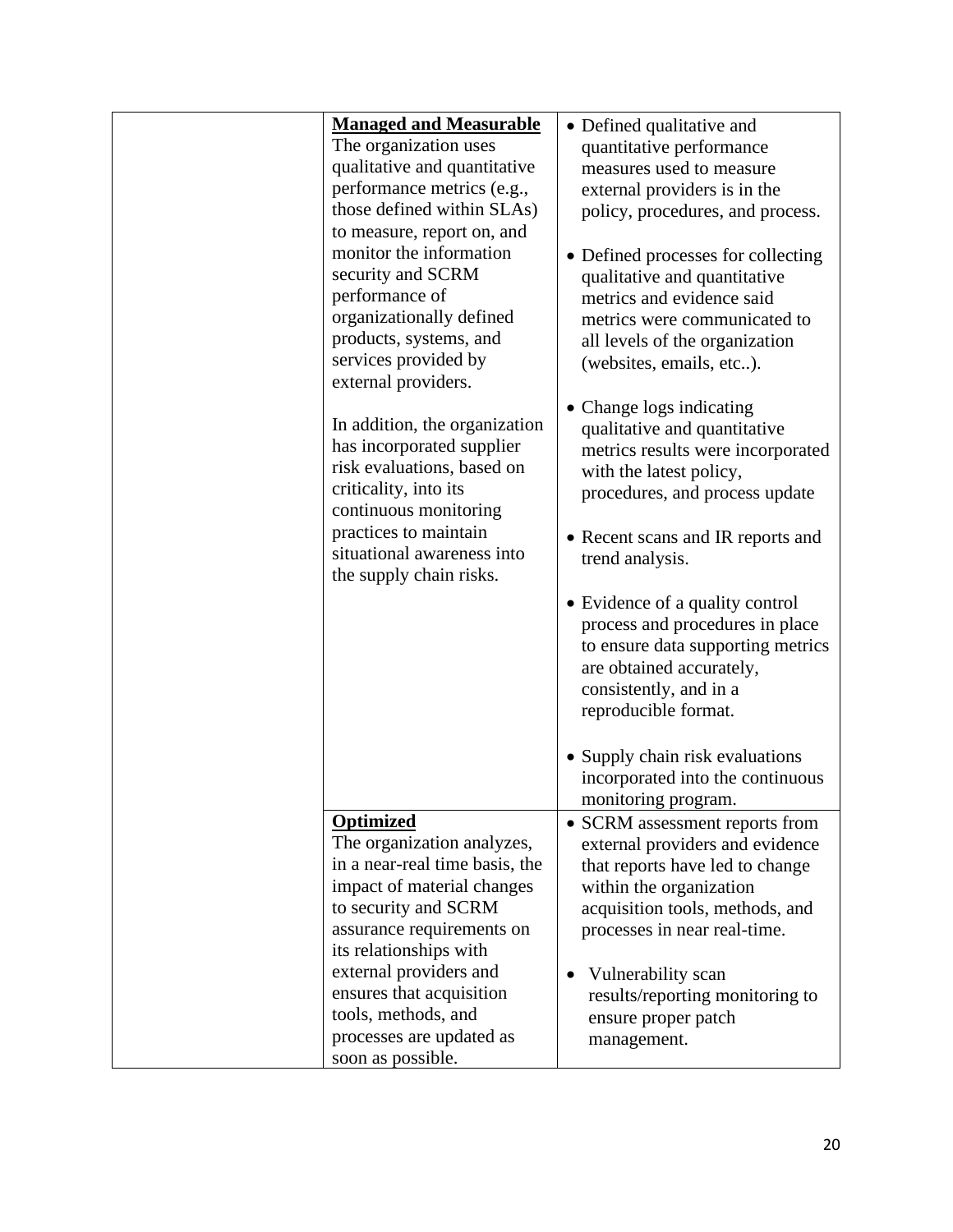| <b>Managed and Measurable</b>                                                                                                                                                                                                                                                                          | • Defined qualitative and                                                                                                                                                                                                                                                                         |
|--------------------------------------------------------------------------------------------------------------------------------------------------------------------------------------------------------------------------------------------------------------------------------------------------------|---------------------------------------------------------------------------------------------------------------------------------------------------------------------------------------------------------------------------------------------------------------------------------------------------|
| The organization uses                                                                                                                                                                                                                                                                                  | quantitative performance                                                                                                                                                                                                                                                                          |
| qualitative and quantitative                                                                                                                                                                                                                                                                           | measures used to measure                                                                                                                                                                                                                                                                          |
| performance metrics (e.g.,                                                                                                                                                                                                                                                                             | external providers is in the                                                                                                                                                                                                                                                                      |
| those defined within SLAs)                                                                                                                                                                                                                                                                             | policy, procedures, and process.                                                                                                                                                                                                                                                                  |
| to measure, report on, and<br>monitor the information<br>security and SCRM<br>performance of<br>organizationally defined<br>products, systems, and<br>services provided by<br>external providers.                                                                                                      | • Defined processes for collecting<br>qualitative and quantitative<br>metrics and evidence said<br>metrics were communicated to<br>all levels of the organization<br>(websites, emails, etc).                                                                                                     |
| In addition, the organization<br>has incorporated supplier<br>risk evaluations, based on<br>criticality, into its<br>continuous monitoring<br>practices to maintain<br>situational awareness into                                                                                                      | • Change logs indicating<br>qualitative and quantitative<br>metrics results were incorporated<br>with the latest policy,<br>procedures, and process update<br>• Recent scans and IR reports and<br>trend analysis.                                                                                |
| the supply chain risks.                                                                                                                                                                                                                                                                                | • Evidence of a quality control<br>process and procedures in place<br>to ensure data supporting metrics<br>are obtained accurately,<br>consistently, and in a<br>reproducible format.<br>• Supply chain risk evaluations<br>incorporated into the continuous                                      |
|                                                                                                                                                                                                                                                                                                        | monitoring program.                                                                                                                                                                                                                                                                               |
| <b>Optimized</b><br>The organization analyzes,<br>in a near-real time basis, the<br>impact of material changes<br>to security and SCRM<br>assurance requirements on<br>its relationships with<br>external providers and<br>ensures that acquisition<br>tools, methods, and<br>processes are updated as | • SCRM assessment reports from<br>external providers and evidence<br>that reports have led to change<br>within the organization<br>acquisition tools, methods, and<br>processes in near real-time.<br>Vulnerability scan<br>results/reporting monitoring to<br>ensure proper patch<br>management. |
| soon as possible.                                                                                                                                                                                                                                                                                      |                                                                                                                                                                                                                                                                                                   |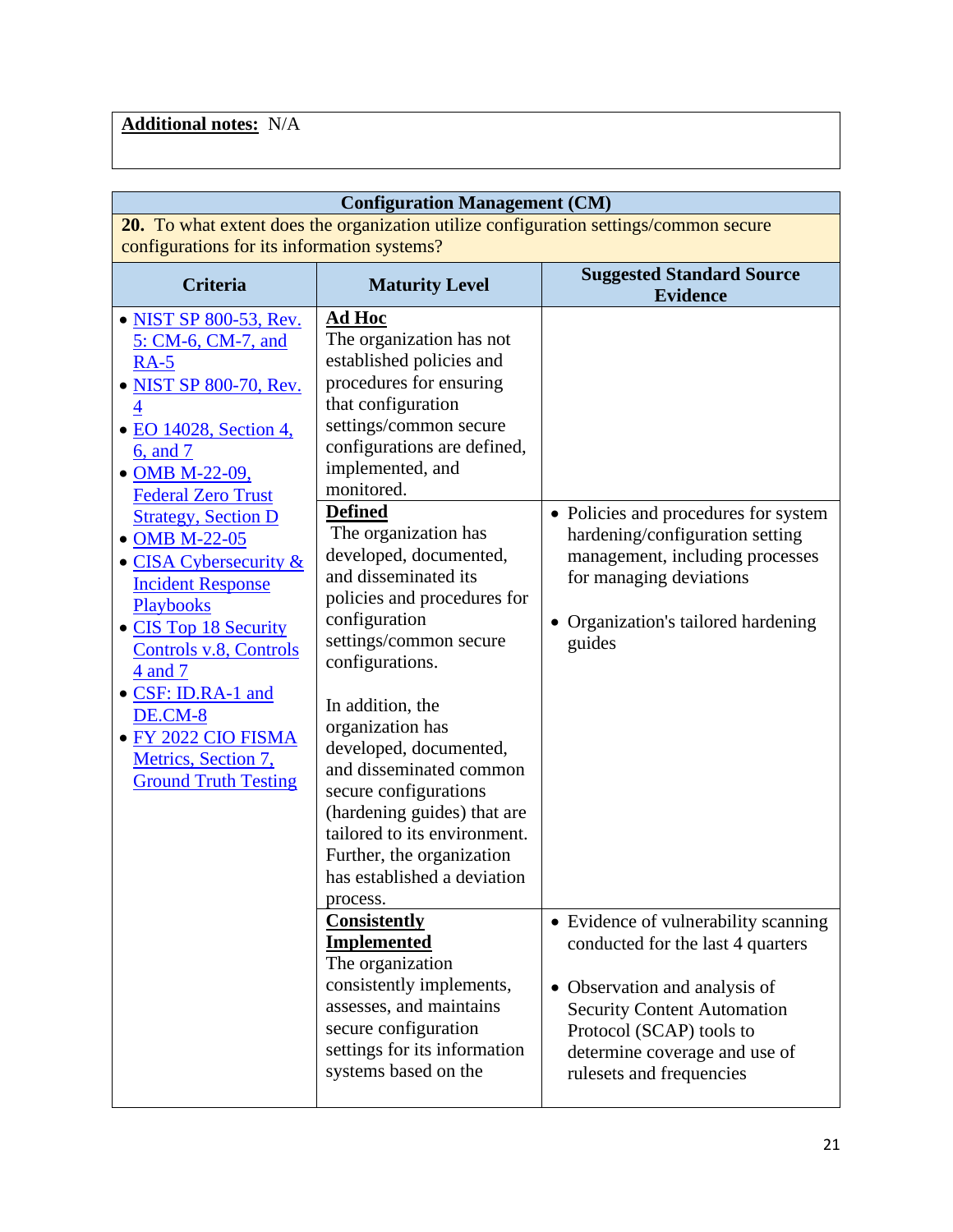# **Additional notes:** N/A

| <b>Configuration Management (CM)</b>                                                                                                                                                                                                                                                                                                           |                                                                                                                                                                                                                                                                                                                                                               |                                                                                                                                                                                                                                           |  |
|------------------------------------------------------------------------------------------------------------------------------------------------------------------------------------------------------------------------------------------------------------------------------------------------------------------------------------------------|---------------------------------------------------------------------------------------------------------------------------------------------------------------------------------------------------------------------------------------------------------------------------------------------------------------------------------------------------------------|-------------------------------------------------------------------------------------------------------------------------------------------------------------------------------------------------------------------------------------------|--|
| 20. To what extent does the organization utilize configuration settings/common secure<br>configurations for its information systems?                                                                                                                                                                                                           |                                                                                                                                                                                                                                                                                                                                                               |                                                                                                                                                                                                                                           |  |
| <b>Criteria</b>                                                                                                                                                                                                                                                                                                                                | <b>Maturity Level</b>                                                                                                                                                                                                                                                                                                                                         | <b>Suggested Standard Source</b><br><b>Evidence</b>                                                                                                                                                                                       |  |
| • NIST SP 800-53, Rev.<br>5: CM-6, CM-7, and<br>$RA-5$<br>• NIST SP 800-70, Rev.<br>$\overline{\mathcal{A}}$<br>• EO 14028, Section 4,<br>6, and 7<br>• OMB M-22-09,<br><b>Federal Zero Trust</b><br><b>Strategy, Section D</b><br>• OMB M-22-05<br>• CISA Cybersecurity $&$<br><b>Incident Response</b><br>Playbooks<br>• CIS Top 18 Security | <u>Ad Hoc</u><br>The organization has not<br>established policies and<br>procedures for ensuring<br>that configuration<br>settings/common secure<br>configurations are defined,<br>implemented, and<br>monitored.<br><b>Defined</b><br>The organization has<br>developed, documented,<br>and disseminated its<br>policies and procedures for<br>configuration | • Policies and procedures for system<br>hardening/configuration setting<br>management, including processes<br>for managing deviations<br>Organization's tailored hardening                                                                |  |
| Controls v.8, Controls<br>4 and 7<br>· CSF: ID.RA-1 and<br>DE.CM-8<br>• FY 2022 CIO FISMA<br>Metrics, Section 7,<br><b>Ground Truth Testing</b>                                                                                                                                                                                                | settings/common secure<br>configurations.<br>In addition, the<br>organization has<br>developed, documented,<br>and disseminated common<br>secure configurations<br>(hardening guides) that are<br>tailored to its environment.<br>Further, the organization<br>has established a deviation<br>process.                                                        | guides                                                                                                                                                                                                                                    |  |
|                                                                                                                                                                                                                                                                                                                                                | <b>Consistently</b><br><b>Implemented</b><br>The organization<br>consistently implements,<br>assesses, and maintains<br>secure configuration<br>settings for its information<br>systems based on the                                                                                                                                                          | • Evidence of vulnerability scanning<br>conducted for the last 4 quarters<br>• Observation and analysis of<br><b>Security Content Automation</b><br>Protocol (SCAP) tools to<br>determine coverage and use of<br>rulesets and frequencies |  |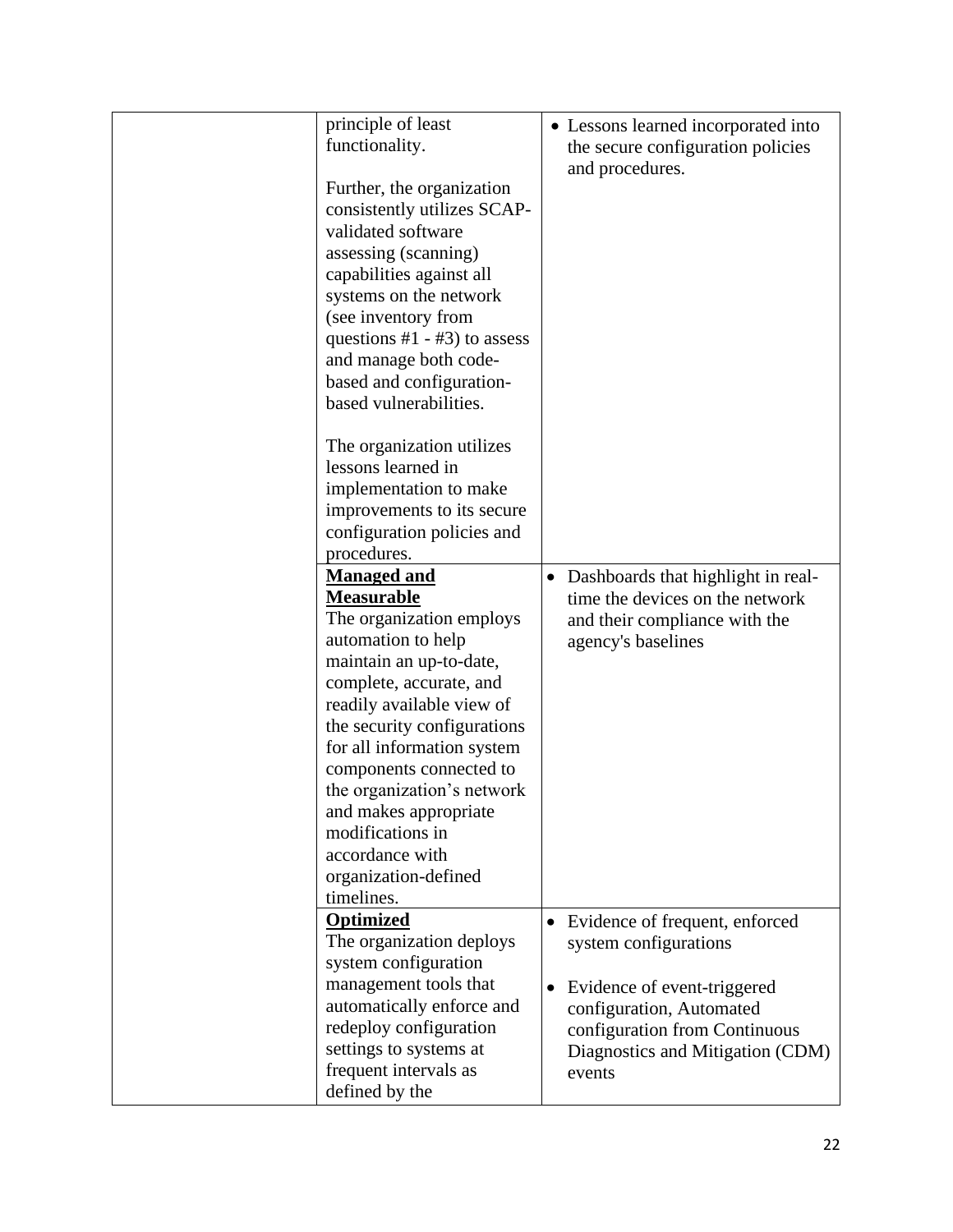| principle of least                            |           | • Lessons learned incorporated into |
|-----------------------------------------------|-----------|-------------------------------------|
| functionality.                                |           | the secure configuration policies   |
|                                               |           | and procedures.                     |
| Further, the organization                     |           |                                     |
| consistently utilizes SCAP-                   |           |                                     |
| validated software                            |           |                                     |
| assessing (scanning)                          |           |                                     |
| capabilities against all                      |           |                                     |
| systems on the network<br>(see inventory from |           |                                     |
| questions $#1 - #3$ ) to assess               |           |                                     |
| and manage both code-                         |           |                                     |
| based and configuration-                      |           |                                     |
| based vulnerabilities.                        |           |                                     |
|                                               |           |                                     |
| The organization utilizes                     |           |                                     |
| lessons learned in                            |           |                                     |
| implementation to make                        |           |                                     |
| improvements to its secure                    |           |                                     |
| configuration policies and                    |           |                                     |
| procedures.                                   |           |                                     |
| <b>Managed and</b>                            | $\bullet$ | Dashboards that highlight in real-  |
| <b>Measurable</b>                             |           | time the devices on the network     |
| The organization employs                      |           | and their compliance with the       |
| automation to help                            |           | agency's baselines                  |
| maintain an up-to-date,                       |           |                                     |
| complete, accurate, and                       |           |                                     |
| readily available view of                     |           |                                     |
| the security configurations                   |           |                                     |
| for all information system                    |           |                                     |
| components connected to                       |           |                                     |
| the organization's network                    |           |                                     |
| and makes appropriate                         |           |                                     |
| modifications in                              |           |                                     |
| accordance with                               |           |                                     |
| organization-defined<br>timelines.            |           |                                     |
| <b>Optimized</b>                              |           |                                     |
| The organization deploys                      | $\bullet$ | Evidence of frequent, enforced      |
| system configuration                          |           | system configurations               |
| management tools that                         | $\bullet$ | Evidence of event-triggered         |
| automatically enforce and                     |           | configuration, Automated            |
| redeploy configuration                        |           | configuration from Continuous       |
| settings to systems at                        |           | Diagnostics and Mitigation (CDM)    |
| frequent intervals as                         |           | events                              |
|                                               |           |                                     |
| defined by the                                |           |                                     |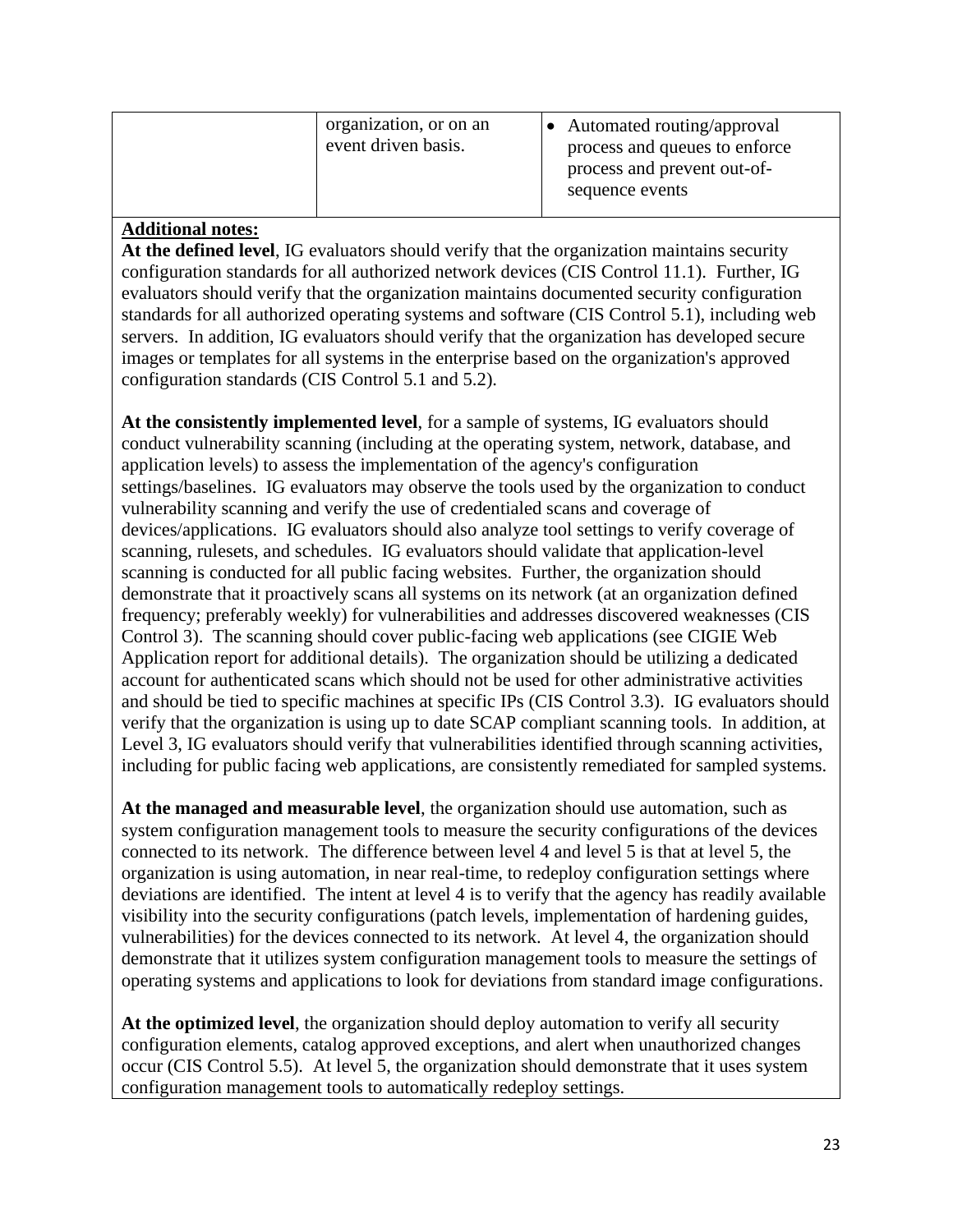| organization, or on an<br>event driven basis. | Automated routing/approval<br>process and queues to enforce<br>process and prevent out-of-<br>sequence events |
|-----------------------------------------------|---------------------------------------------------------------------------------------------------------------|
|                                               |                                                                                                               |

**At the defined level**, IG evaluators should verify that the organization maintains security configuration standards for all authorized network devices (CIS Control 11.1). Further, IG evaluators should verify that the organization maintains documented security configuration standards for all authorized operating systems and software (CIS Control 5.1), including web servers. In addition, IG evaluators should verify that the organization has developed secure images or templates for all systems in the enterprise based on the organization's approved configuration standards (CIS Control 5.1 and 5.2).

**At the consistently implemented level**, for a sample of systems, IG evaluators should conduct vulnerability scanning (including at the operating system, network, database, and application levels) to assess the implementation of the agency's configuration settings/baselines. IG evaluators may observe the tools used by the organization to conduct vulnerability scanning and verify the use of credentialed scans and coverage of devices/applications. IG evaluators should also analyze tool settings to verify coverage of scanning, rulesets, and schedules. IG evaluators should validate that application-level scanning is conducted for all public facing websites. Further, the organization should demonstrate that it proactively scans all systems on its network (at an organization defined frequency; preferably weekly) for vulnerabilities and addresses discovered weaknesses (CIS Control 3). The scanning should cover public-facing web applications (see CIGIE Web Application report for additional details). The organization should be utilizing a dedicated account for authenticated scans which should not be used for other administrative activities and should be tied to specific machines at specific IPs (CIS Control 3.3). IG evaluators should verify that the organization is using up to date SCAP compliant scanning tools. In addition, at Level 3, IG evaluators should verify that vulnerabilities identified through scanning activities, including for public facing web applications, are consistently remediated for sampled systems.

**At the managed and measurable level**, the organization should use automation, such as system configuration management tools to measure the security configurations of the devices connected to its network. The difference between level 4 and level 5 is that at level 5, the organization is using automation, in near real-time, to redeploy configuration settings where deviations are identified. The intent at level 4 is to verify that the agency has readily available visibility into the security configurations (patch levels, implementation of hardening guides, vulnerabilities) for the devices connected to its network. At level 4, the organization should demonstrate that it utilizes system configuration management tools to measure the settings of operating systems and applications to look for deviations from standard image configurations.

**At the optimized level**, the organization should deploy automation to verify all security configuration elements, catalog approved exceptions, and alert when unauthorized changes occur (CIS Control 5.5). At level 5, the organization should demonstrate that it uses system configuration management tools to automatically redeploy settings.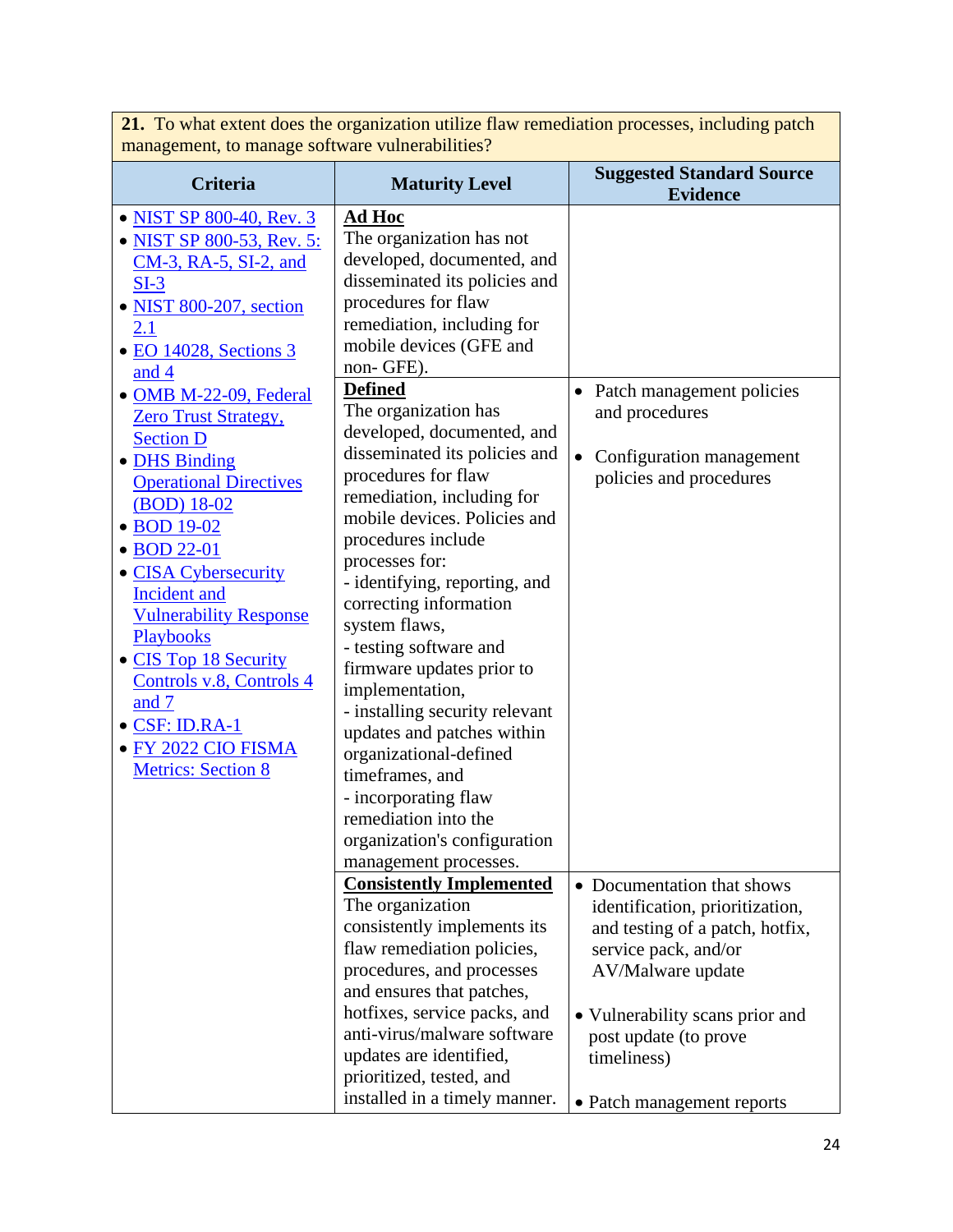| management, to manage software vulnerabilities?                                                                                                                                                                                                                                                                                                                                                                                                                                                                                                                            |                                                                                                                                                                                                                                                                                                                                                                                                                                                                                                                                                                                                                                                                                                                                                                                                |                                                                                                                                                                                                                          |  |
|----------------------------------------------------------------------------------------------------------------------------------------------------------------------------------------------------------------------------------------------------------------------------------------------------------------------------------------------------------------------------------------------------------------------------------------------------------------------------------------------------------------------------------------------------------------------------|------------------------------------------------------------------------------------------------------------------------------------------------------------------------------------------------------------------------------------------------------------------------------------------------------------------------------------------------------------------------------------------------------------------------------------------------------------------------------------------------------------------------------------------------------------------------------------------------------------------------------------------------------------------------------------------------------------------------------------------------------------------------------------------------|--------------------------------------------------------------------------------------------------------------------------------------------------------------------------------------------------------------------------|--|
| <b>Criteria</b>                                                                                                                                                                                                                                                                                                                                                                                                                                                                                                                                                            | <b>Maturity Level</b>                                                                                                                                                                                                                                                                                                                                                                                                                                                                                                                                                                                                                                                                                                                                                                          | <b>Suggested Standard Source</b><br><b>Evidence</b>                                                                                                                                                                      |  |
| • NIST SP 800-40, Rev. 3<br>• NIST SP 800-53, Rev. 5:<br>CM-3, RA-5, SI-2, and<br>$SI-3$<br>· NIST 800-207, section<br><u>2.1</u><br>• EO 14028, Sections 3<br>and 4<br>· OMB M-22-09, Federal<br><b>Zero Trust Strategy,</b><br><b>Section D</b><br>• DHS Binding<br><b>Operational Directives</b><br>(BOD) 18-02<br>• BOD 19-02<br>• BOD 22-01<br>• CISA Cybersecurity<br>Incident and<br><b>Vulnerability Response</b><br>Playbooks<br>• CIS Top 18 Security<br>Controls v.8, Controls 4<br>and 7<br>• CSF: ID.RA-1<br>· FY 2022 CIO FISMA<br><b>Metrics: Section 8</b> | <u>Ad Hoc</u><br>The organization has not<br>developed, documented, and<br>disseminated its policies and<br>procedures for flaw<br>remediation, including for<br>mobile devices (GFE and<br>non-GFE).<br><b>Defined</b><br>The organization has<br>developed, documented, and<br>disseminated its policies and<br>procedures for flaw<br>remediation, including for<br>mobile devices. Policies and<br>procedures include<br>processes for:<br>- identifying, reporting, and<br>correcting information<br>system flaws,<br>- testing software and<br>firmware updates prior to<br>implementation,<br>- installing security relevant<br>updates and patches within<br>organizational-defined<br>timeframes, and<br>- incorporating flaw<br>remediation into the<br>organization's configuration | Patch management policies<br>and procedures<br>Configuration management<br>policies and procedures                                                                                                                       |  |
|                                                                                                                                                                                                                                                                                                                                                                                                                                                                                                                                                                            | management processes.                                                                                                                                                                                                                                                                                                                                                                                                                                                                                                                                                                                                                                                                                                                                                                          |                                                                                                                                                                                                                          |  |
|                                                                                                                                                                                                                                                                                                                                                                                                                                                                                                                                                                            | <b>Consistently Implemented</b><br>The organization<br>consistently implements its<br>flaw remediation policies,<br>procedures, and processes<br>and ensures that patches,<br>hotfixes, service packs, and<br>anti-virus/malware software<br>updates are identified,<br>prioritized, tested, and                                                                                                                                                                                                                                                                                                                                                                                                                                                                                               | • Documentation that shows<br>identification, prioritization,<br>and testing of a patch, hotfix,<br>service pack, and/or<br>AV/Malware update<br>• Vulnerability scans prior and<br>post update (to prove<br>timeliness) |  |
|                                                                                                                                                                                                                                                                                                                                                                                                                                                                                                                                                                            | installed in a timely manner.                                                                                                                                                                                                                                                                                                                                                                                                                                                                                                                                                                                                                                                                                                                                                                  | • Patch management reports                                                                                                                                                                                               |  |

**21.** To what extent does the organization utilize flaw remediation processes, including patch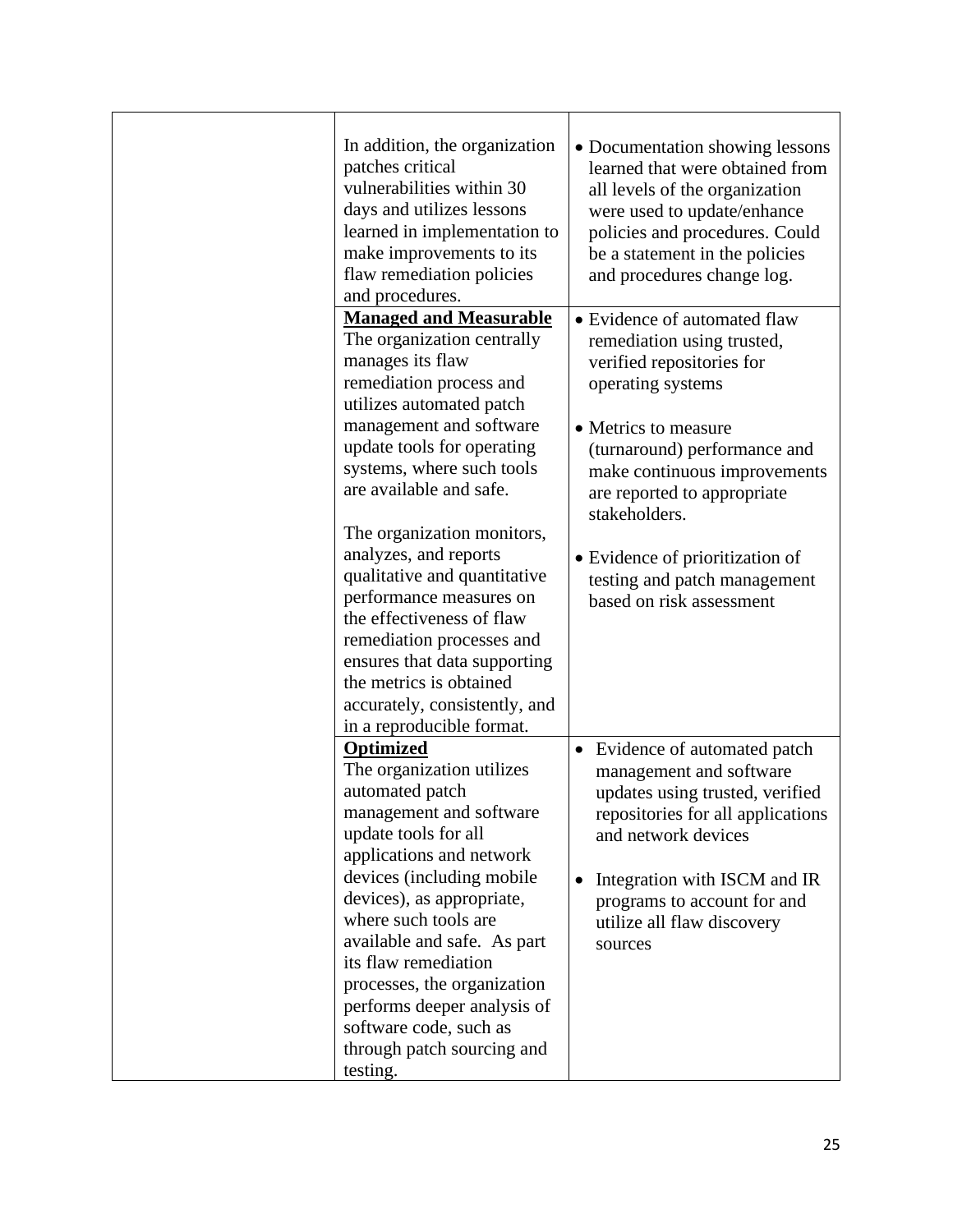| In addition, the organization<br>patches critical<br>vulnerabilities within 30<br>days and utilizes lessons<br>learned in implementation to<br>make improvements to its<br>flaw remediation policies<br>and procedures.                                                                  | • Documentation showing lessons<br>learned that were obtained from<br>all levels of the organization<br>were used to update/enhance<br>policies and procedures. Could<br>be a statement in the policies<br>and procedures change log.                           |
|------------------------------------------------------------------------------------------------------------------------------------------------------------------------------------------------------------------------------------------------------------------------------------------|-----------------------------------------------------------------------------------------------------------------------------------------------------------------------------------------------------------------------------------------------------------------|
| <b>Managed and Measurable</b><br>The organization centrally<br>manages its flaw<br>remediation process and<br>utilizes automated patch                                                                                                                                                   | • Evidence of automated flaw<br>remediation using trusted,<br>verified repositories for<br>operating systems                                                                                                                                                    |
| management and software<br>update tools for operating<br>systems, where such tools<br>are available and safe.<br>The organization monitors,                                                                                                                                              | • Metrics to measure<br>(turnaround) performance and<br>make continuous improvements<br>are reported to appropriate<br>stakeholders.                                                                                                                            |
| analyzes, and reports<br>qualitative and quantitative<br>performance measures on<br>the effectiveness of flaw<br>remediation processes and<br>ensures that data supporting<br>the metrics is obtained<br>accurately, consistently, and<br>in a reproducible format.                      | • Evidence of prioritization of<br>testing and patch management<br>based on risk assessment                                                                                                                                                                     |
| <b>Optimized</b><br>The organization utilizes<br>automated patch<br>management and software<br>update tools for all<br>applications and network<br>devices (including mobile<br>devices), as appropriate,<br>where such tools are<br>available and safe. As part<br>its flaw remediation | • Evidence of automated patch<br>management and software<br>updates using trusted, verified<br>repositories for all applications<br>and network devices<br>Integration with ISCM and IR<br>programs to account for and<br>utilize all flaw discovery<br>sources |
| processes, the organization<br>performs deeper analysis of<br>software code, such as<br>through patch sourcing and<br>testing.                                                                                                                                                           |                                                                                                                                                                                                                                                                 |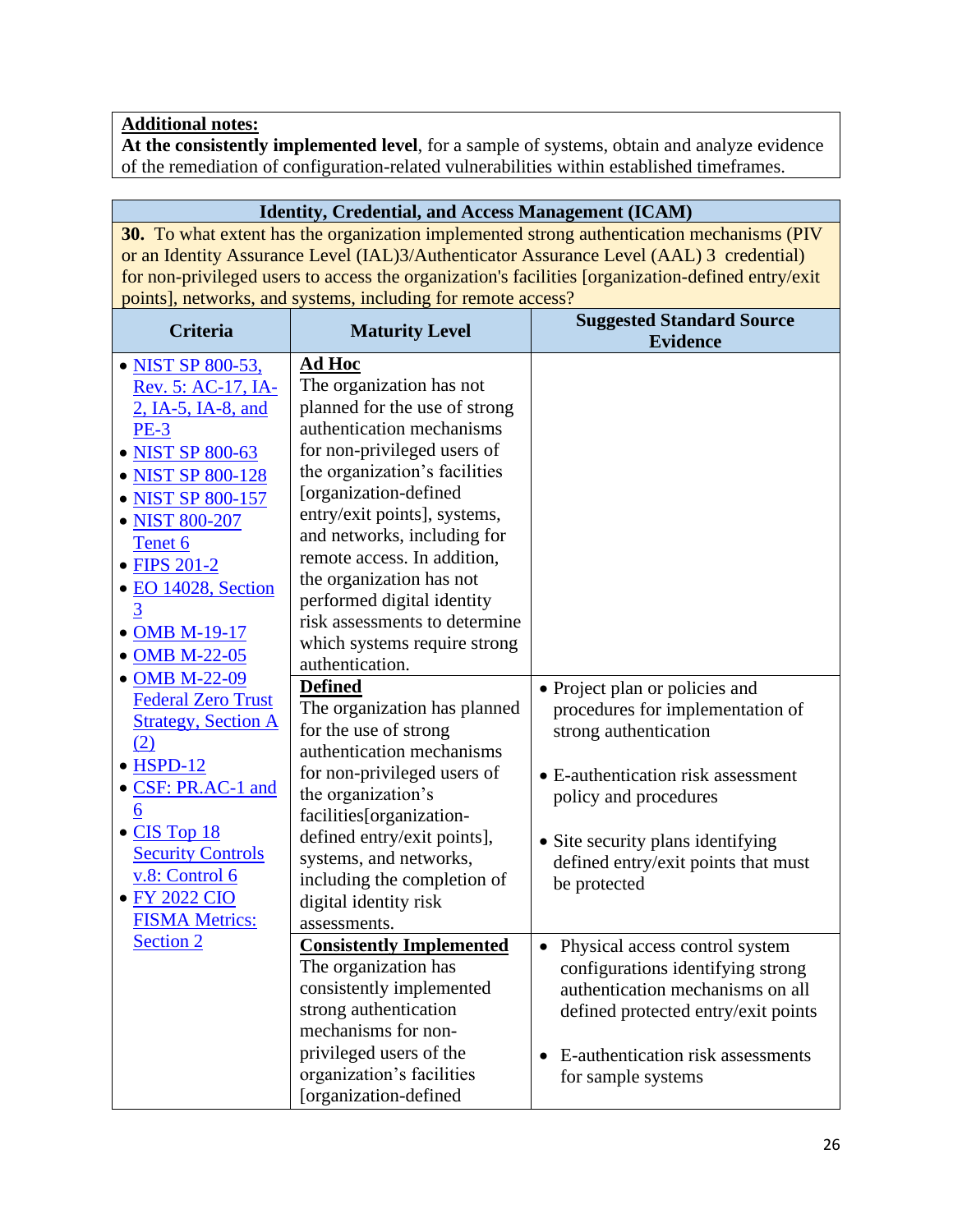**At the consistently implemented level**, for a sample of systems, obtain and analyze evidence of the remediation of configuration-related vulnerabilities within established timeframes.

| <b>Identity, Credential, and Access Management (ICAM)</b>                                 |                                                                                                   |                                                |  |  |
|-------------------------------------------------------------------------------------------|---------------------------------------------------------------------------------------------------|------------------------------------------------|--|--|
| 30. To what extent has the organization implemented strong authentication mechanisms (PIV |                                                                                                   |                                                |  |  |
| or an Identity Assurance Level (IAL)3/Authenticator Assurance Level (AAL) 3 credential)   |                                                                                                   |                                                |  |  |
|                                                                                           | for non-privileged users to access the organization's facilities [organization-defined entry/exit |                                                |  |  |
|                                                                                           | points], networks, and systems, including for remote access?                                      |                                                |  |  |
| <b>Criteria</b>                                                                           |                                                                                                   | <b>Suggested Standard Source</b>               |  |  |
|                                                                                           | <b>Maturity Level</b>                                                                             | <b>Evidence</b>                                |  |  |
| • NIST SP 800-53,                                                                         | <b>Ad Hoc</b>                                                                                     |                                                |  |  |
| Rev. 5: AC-17, IA-                                                                        | The organization has not                                                                          |                                                |  |  |
| 2, IA-5, IA-8, and                                                                        | planned for the use of strong                                                                     |                                                |  |  |
| <b>PE-3</b>                                                                               | authentication mechanisms                                                                         |                                                |  |  |
| • NIST SP 800-63                                                                          | for non-privileged users of                                                                       |                                                |  |  |
| • NIST SP 800-128                                                                         | the organization's facilities                                                                     |                                                |  |  |
| • NIST SP 800-157                                                                         | [organization-defined                                                                             |                                                |  |  |
| • NIST 800-207                                                                            | entry/exit points], systems,                                                                      |                                                |  |  |
| Tenet 6                                                                                   | and networks, including for                                                                       |                                                |  |  |
| • FIPS 201-2                                                                              | remote access. In addition,                                                                       |                                                |  |  |
| · EO 14028, Section                                                                       | the organization has not                                                                          |                                                |  |  |
| 3                                                                                         | performed digital identity                                                                        |                                                |  |  |
| • OMB M-19-17                                                                             | risk assessments to determine                                                                     |                                                |  |  |
|                                                                                           | which systems require strong                                                                      |                                                |  |  |
| • OMB M-22-05                                                                             | authentication.                                                                                   |                                                |  |  |
| • OMB M-22-09                                                                             | <b>Defined</b>                                                                                    | • Project plan or policies and                 |  |  |
| <b>Federal Zero Trust</b>                                                                 | The organization has planned                                                                      | procedures for implementation of               |  |  |
| <b>Strategy, Section A</b>                                                                | for the use of strong                                                                             | strong authentication                          |  |  |
| (2)                                                                                       | authentication mechanisms                                                                         |                                                |  |  |
| $\bullet$ HSPD-12                                                                         | for non-privileged users of                                                                       | • E-authentication risk assessment             |  |  |
| • CSF: PR.AC-1 and                                                                        | the organization's                                                                                | policy and procedures                          |  |  |
| 6                                                                                         | facilities[organization-                                                                          |                                                |  |  |
| $\bullet$ CIS Top 18                                                                      | defined entry/exit points],                                                                       | • Site security plans identifying              |  |  |
| <b>Security Controls</b>                                                                  | systems, and networks,                                                                            | defined entry/exit points that must            |  |  |
| v.8: Control 6                                                                            | including the completion of                                                                       | be protected                                   |  |  |
| • FY 2022 CIO                                                                             | digital identity risk                                                                             |                                                |  |  |
| <b>FISMA Metrics:</b>                                                                     | assessments.                                                                                      |                                                |  |  |
| <b>Section 2</b>                                                                          | <b>Consistently Implemented</b>                                                                   | Physical access control system<br>$\bullet$    |  |  |
|                                                                                           | The organization has                                                                              | configurations identifying strong              |  |  |
|                                                                                           | consistently implemented                                                                          | authentication mechanisms on all               |  |  |
|                                                                                           | strong authentication                                                                             | defined protected entry/exit points            |  |  |
|                                                                                           | mechanisms for non-                                                                               |                                                |  |  |
|                                                                                           | privileged users of the                                                                           | E-authentication risk assessments<br>$\bullet$ |  |  |
|                                                                                           | organization's facilities                                                                         | for sample systems                             |  |  |
|                                                                                           | [organization-defined                                                                             |                                                |  |  |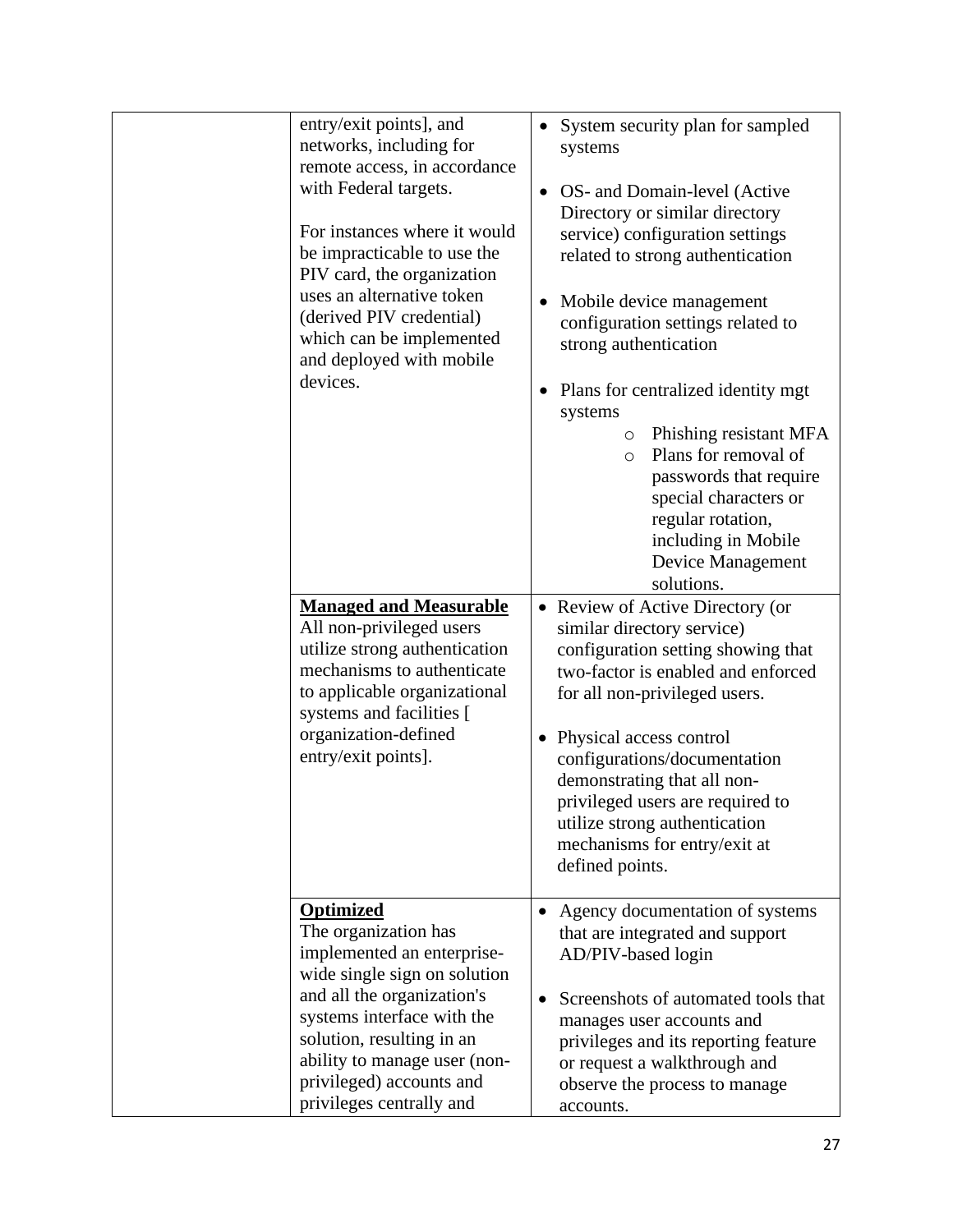| entry/exit points], and<br>networks, including for<br>remote access, in accordance<br>with Federal targets.<br>For instances where it would<br>be impracticable to use the<br>PIV card, the organization<br>uses an alternative token<br>(derived PIV credential)<br>which can be implemented<br>and deployed with mobile<br>devices.<br><b>Managed and Measurable</b><br>All non-privileged users<br>utilize strong authentication<br>mechanisms to authenticate<br>to applicable organizational<br>systems and facilities [<br>organization-defined<br>entry/exit points]. | $\bullet$ | System security plan for sampled<br>systems<br>OS- and Domain-level (Active<br>Directory or similar directory<br>service) configuration settings<br>related to strong authentication<br>Mobile device management<br>configuration settings related to<br>strong authentication<br>Plans for centralized identity mgt<br>systems<br>Phishing resistant MFA<br>$\circ$<br>Plans for removal of<br>$\circ$<br>passwords that require<br>special characters or<br>regular rotation,<br>including in Mobile<br>Device Management<br>solutions.<br>• Review of Active Directory (or<br>similar directory service)<br>configuration setting showing that<br>two-factor is enabled and enforced<br>for all non-privileged users.<br>• Physical access control<br>configurations/documentation<br>demonstrating that all non-<br>privileged users are required to |
|------------------------------------------------------------------------------------------------------------------------------------------------------------------------------------------------------------------------------------------------------------------------------------------------------------------------------------------------------------------------------------------------------------------------------------------------------------------------------------------------------------------------------------------------------------------------------|-----------|----------------------------------------------------------------------------------------------------------------------------------------------------------------------------------------------------------------------------------------------------------------------------------------------------------------------------------------------------------------------------------------------------------------------------------------------------------------------------------------------------------------------------------------------------------------------------------------------------------------------------------------------------------------------------------------------------------------------------------------------------------------------------------------------------------------------------------------------------------|
|                                                                                                                                                                                                                                                                                                                                                                                                                                                                                                                                                                              |           | utilize strong authentication<br>mechanisms for entry/exit at<br>defined points.                                                                                                                                                                                                                                                                                                                                                                                                                                                                                                                                                                                                                                                                                                                                                                         |
| <b>Optimized</b><br>The organization has<br>implemented an enterprise-<br>wide single sign on solution<br>and all the organization's<br>systems interface with the<br>solution, resulting in an<br>ability to manage user (non-<br>privileged) accounts and<br>privileges centrally and                                                                                                                                                                                                                                                                                      |           | Agency documentation of systems<br>that are integrated and support<br>AD/PIV-based login<br>Screenshots of automated tools that<br>manages user accounts and<br>privileges and its reporting feature<br>or request a walkthrough and<br>observe the process to manage<br>accounts.                                                                                                                                                                                                                                                                                                                                                                                                                                                                                                                                                                       |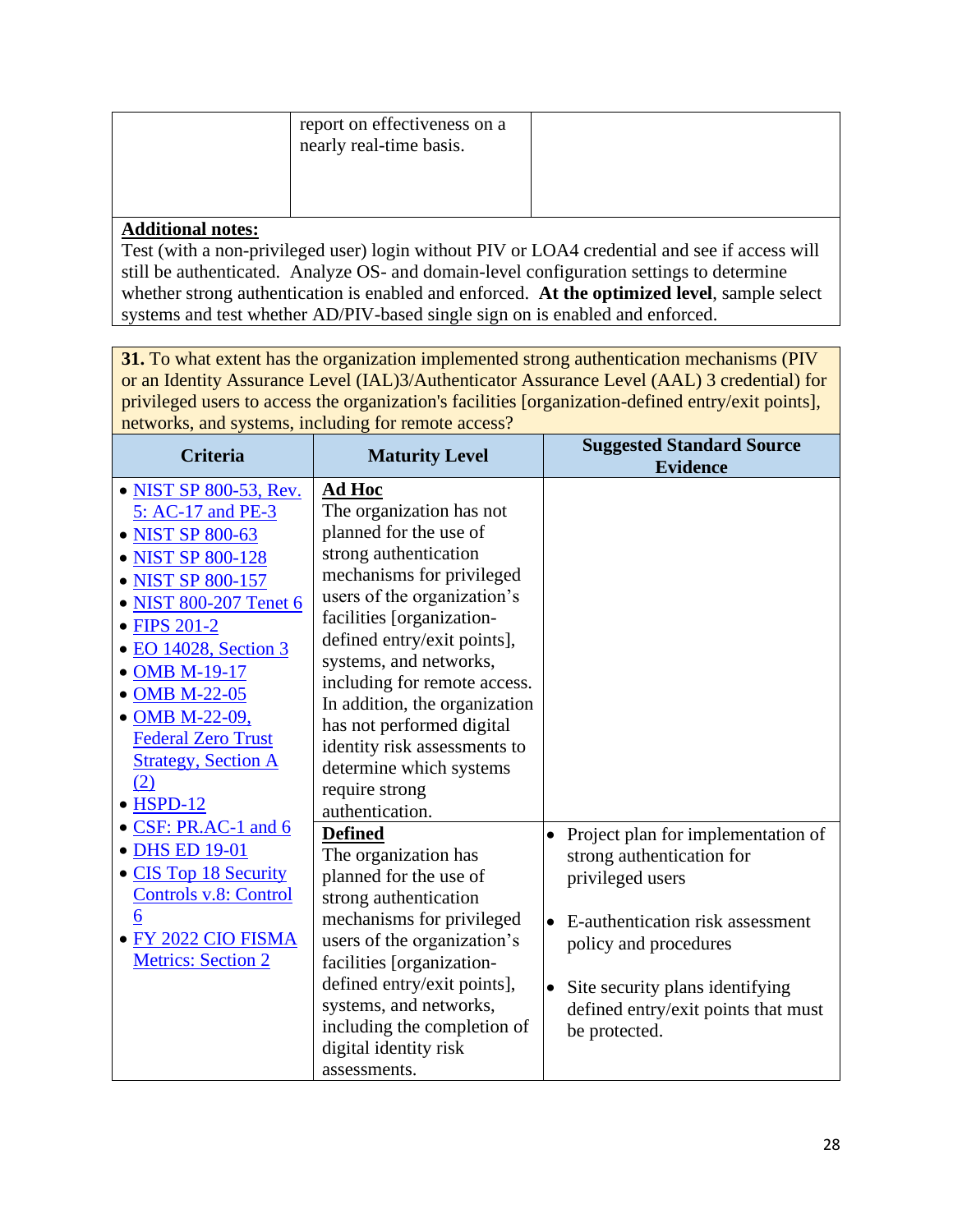|                  | report on effectiveness on a<br>nearly real-time basis. |  |
|------------------|---------------------------------------------------------|--|
| Additional notes |                                                         |  |

Test (with a non-privileged user) login without PIV or LOA4 credential and see if access will still be authenticated. Analyze OS- and domain-level configuration settings to determine whether strong authentication is enabled and enforced. **At the optimized level**, sample select systems and test whether AD/PIV-based single sign on is enabled and enforced.

**31.** To what extent has the organization implemented strong authentication mechanisms (PIV or an Identity Assurance Level (IAL)3/Authenticator Assurance Level (AAL) 3 credential) for privileged users to access the organization's facilities [organization-defined entry/exit points], networks, and systems, including for remote access?

| <b>Criteria</b>              | <b>Maturity Level</b>         | <b>Suggested Standard Source</b><br><b>Evidence</b> |
|------------------------------|-------------------------------|-----------------------------------------------------|
| • NIST SP 800-53, Rev.       | Ad Hoc                        |                                                     |
| 5: AC-17 and PE-3            | The organization has not      |                                                     |
| • NIST SP 800-63             | planned for the use of        |                                                     |
| • NIST SP 800-128            | strong authentication         |                                                     |
| • NIST SP 800-157            | mechanisms for privileged     |                                                     |
| • NIST 800-207 Tenet 6       | users of the organization's   |                                                     |
| • FIPS 201-2                 | facilities [organization-     |                                                     |
| • EO 14028, Section 3        | defined entry/exit points],   |                                                     |
| • OMB M-19-17                | systems, and networks,        |                                                     |
| • OMB M-22-05                | including for remote access.  |                                                     |
|                              | In addition, the organization |                                                     |
| • OMB M-22-09,               | has not performed digital     |                                                     |
| <b>Federal Zero Trust</b>    | identity risk assessments to  |                                                     |
| <b>Strategy, Section A</b>   | determine which systems       |                                                     |
| (2)                          | require strong                |                                                     |
| $\bullet$ HSPD-12            | authentication.               |                                                     |
| • CSF: PR.AC-1 and 6         | <b>Defined</b>                | Project plan for implementation of                  |
| • DHS ED 19-01               | The organization has          | strong authentication for                           |
| • CIS Top 18 Security        | planned for the use of        | privileged users                                    |
| <b>Controls v.8: Control</b> | strong authentication         |                                                     |
| 6                            | mechanisms for privileged     | E-authentication risk assessment                    |
| FY 2022 CIO FISMA            | users of the organization's   | policy and procedures                               |
| <b>Metrics: Section 2</b>    | facilities [organization-     |                                                     |
|                              | defined entry/exit points],   | Site security plans identifying                     |
|                              | systems, and networks,        | defined entry/exit points that must                 |
|                              | including the completion of   | be protected.                                       |
|                              | digital identity risk         |                                                     |
|                              | assessments.                  |                                                     |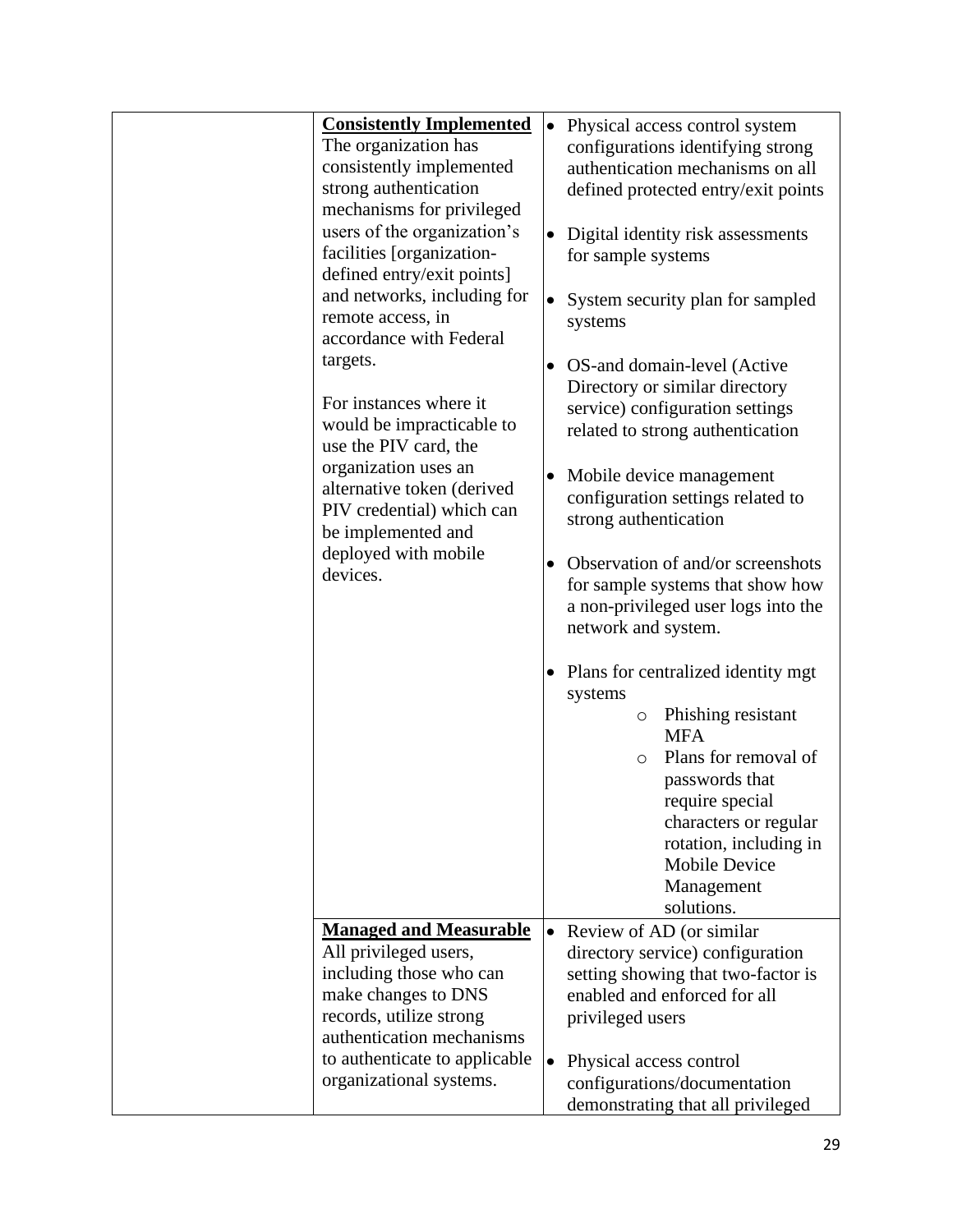| <b>Consistently Implemented</b> | $\bullet$ | Physical access control system                                |
|---------------------------------|-----------|---------------------------------------------------------------|
| The organization has            |           | configurations identifying strong                             |
| consistently implemented        |           | authentication mechanisms on all                              |
| strong authentication           |           | defined protected entry/exit points                           |
| mechanisms for privileged       |           |                                                               |
| users of the organization's     |           | Digital identity risk assessments                             |
| facilities [organization-       |           | for sample systems                                            |
| defined entry/exit points]      |           |                                                               |
| and networks, including for     |           | System security plan for sampled                              |
| remote access, in               |           | systems                                                       |
| accordance with Federal         |           |                                                               |
| targets.                        |           |                                                               |
|                                 |           | OS-and domain-level (Active<br>Directory or similar directory |
| For instances where it          |           | service) configuration settings                               |
| would be impracticable to       |           |                                                               |
| use the PIV card, the           |           | related to strong authentication                              |
| organization uses an            |           |                                                               |
| alternative token (derived      | $\bullet$ | Mobile device management                                      |
| PIV credential) which can       |           | configuration settings related to                             |
| be implemented and              |           | strong authentication                                         |
| deployed with mobile            |           |                                                               |
| devices.                        |           | Observation of and/or screenshots                             |
|                                 |           | for sample systems that show how                              |
|                                 |           | a non-privileged user logs into the                           |
|                                 |           | network and system.                                           |
|                                 | $\bullet$ | Plans for centralized identity mgt.                           |
|                                 |           | systems                                                       |
|                                 |           | Phishing resistant<br>$\circ$                                 |
|                                 |           | <b>MFA</b>                                                    |
|                                 |           | Plans for removal of<br>$\circ$                               |
|                                 |           | passwords that                                                |
|                                 |           | require special                                               |
|                                 |           | characters or regular                                         |
|                                 |           | rotation, including in                                        |
|                                 |           | <b>Mobile Device</b>                                          |
|                                 |           | Management                                                    |
|                                 |           | solutions.                                                    |
| <b>Managed and Measurable</b>   |           | Review of AD (or similar                                      |
| All privileged users,           |           | directory service) configuration                              |
| including those who can         |           | setting showing that two-factor is                            |
| make changes to DNS             |           | enabled and enforced for all                                  |
| records, utilize strong         |           | privileged users                                              |
| authentication mechanisms       |           |                                                               |
| to authenticate to applicable   | $\bullet$ | Physical access control                                       |
| organizational systems.         |           | configurations/documentation                                  |
|                                 |           | demonstrating that all privileged                             |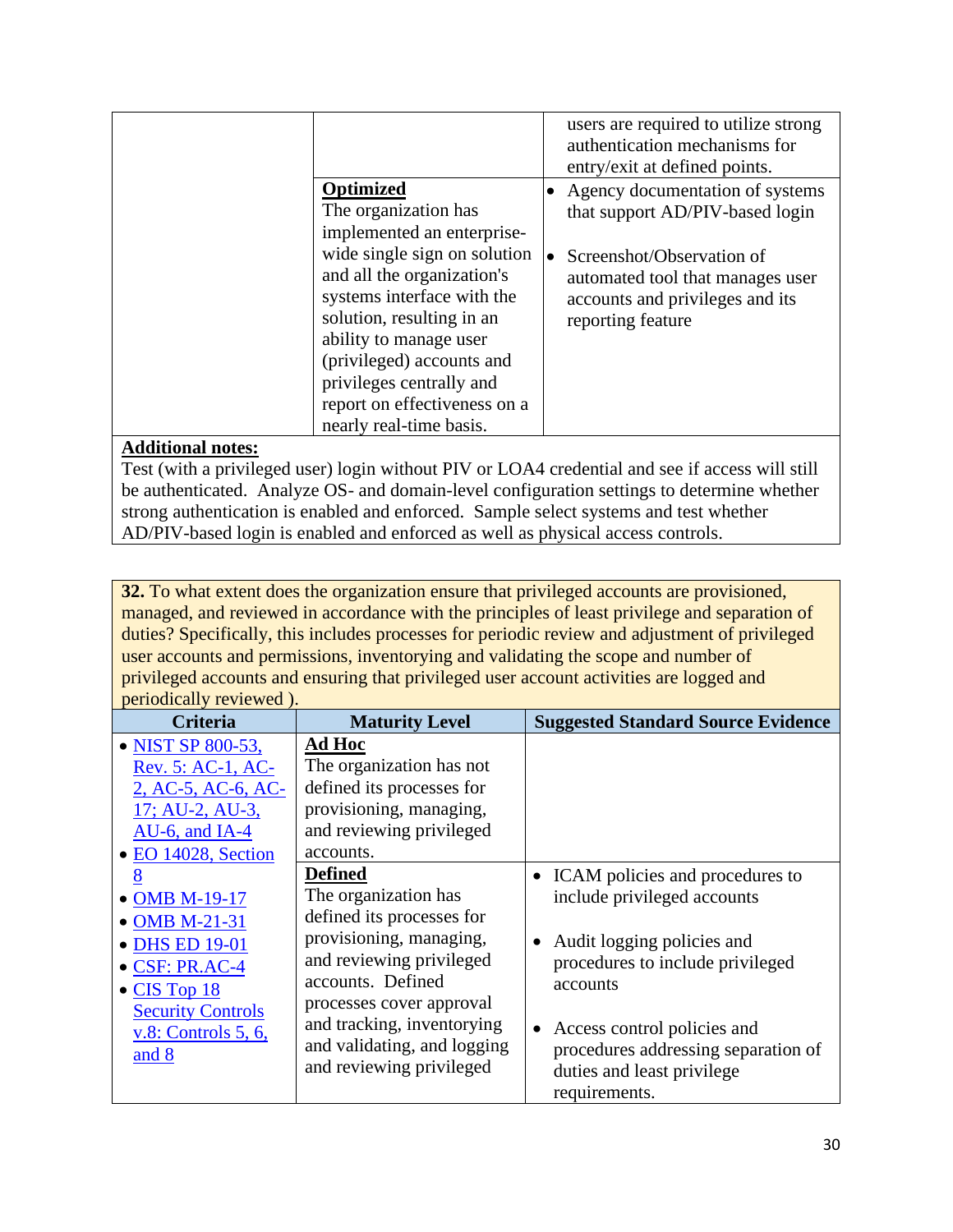|                                                                                                                                                                                                                                                                                                                                        | users are required to utilize strong<br>authentication mechanisms for<br>entry/exit at defined points.                                                                                        |
|----------------------------------------------------------------------------------------------------------------------------------------------------------------------------------------------------------------------------------------------------------------------------------------------------------------------------------------|-----------------------------------------------------------------------------------------------------------------------------------------------------------------------------------------------|
| Optimized<br>The organization has<br>implemented an enterprise-<br>wide single sign on solution<br>and all the organization's<br>systems interface with the<br>solution, resulting in an<br>ability to manage user<br>(privileged) accounts and<br>privileges centrally and<br>report on effectiveness on a<br>nearly real-time basis. | • Agency documentation of systems<br>that support AD/PIV-based login<br>Screenshot/Observation of<br>automated tool that manages user<br>accounts and privileges and its<br>reporting feature |

Test (with a privileged user) login without PIV or LOA4 credential and see if access will still be authenticated. Analyze OS- and domain-level configuration settings to determine whether strong authentication is enabled and enforced. Sample select systems and test whether AD/PIV-based login is enabled and enforced as well as physical access controls.

**32.** To what extent does the organization ensure that privileged accounts are provisioned, managed, and reviewed in accordance with the principles of least privilege and separation of duties? Specifically, this includes processes for periodic review and adjustment of privileged user accounts and permissions, inventorying and validating the scope and number of privileged accounts and ensuring that privileged user account activities are logged and periodically reviewed ).

| <b>Criteria</b>             | <b>Maturity Level</b>       | <b>Suggested Standard Source Evidence</b> |
|-----------------------------|-----------------------------|-------------------------------------------|
| • NIST SP 800-53,           | Ad Hoc                      |                                           |
| Rev. 5: AC-1, AC-           | The organization has not    |                                           |
| 2, AC-5, AC-6, AC-          | defined its processes for   |                                           |
| 17; AU-2, AU-3,             | provisioning, managing,     |                                           |
| $AU-6$ , and $IA-4$         | and reviewing privileged    |                                           |
| • EO 14028, Section         | accounts.                   |                                           |
| 8                           | <b>Defined</b>              | • ICAM policies and procedures to         |
| • OMB M-19-17               | The organization has        | include privileged accounts               |
| • OMB M-21-31               | defined its processes for   |                                           |
| • DHS ED 19-01              | provisioning, managing,     | Audit logging policies and                |
| $\bullet$ CSF: PR.AC-4      | and reviewing privileged    | procedures to include privileged          |
| $\bullet$ CIS Top 18        | accounts. Defined           | accounts                                  |
| <b>Security Controls</b>    | processes cover approval    |                                           |
| <u>v.8: Controls 5, 6, </u> | and tracking, inventorying  | Access control policies and               |
| and 8                       | and validating, and logging | procedures addressing separation of       |
|                             | and reviewing privileged    | duties and least privilege                |
|                             |                             | requirements.                             |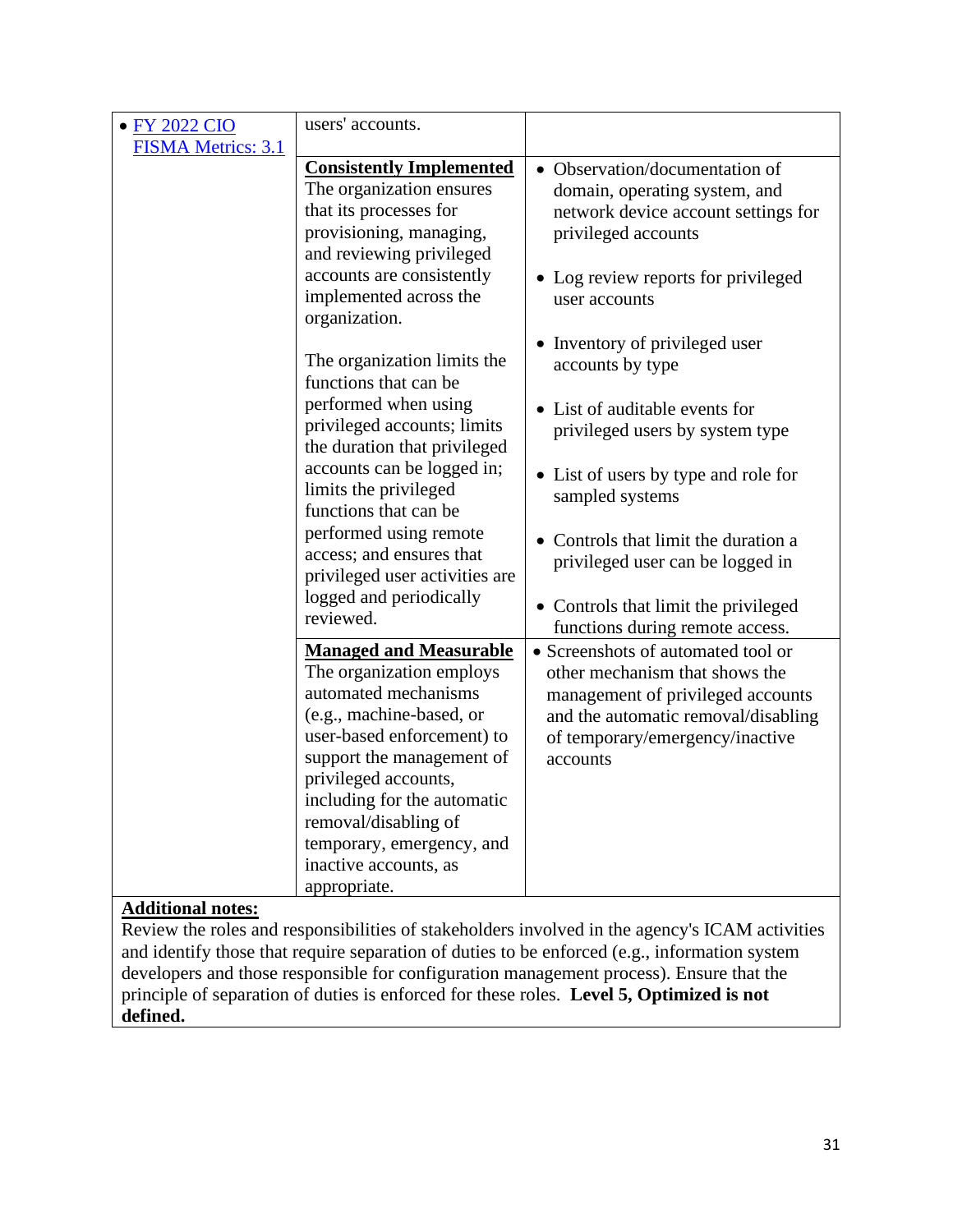| <b>FY 2022 CIO</b>        | users' accounts.                                                                                                                                                                                                                                                                                                              |                                                                                                                                                                                                 |
|---------------------------|-------------------------------------------------------------------------------------------------------------------------------------------------------------------------------------------------------------------------------------------------------------------------------------------------------------------------------|-------------------------------------------------------------------------------------------------------------------------------------------------------------------------------------------------|
| <b>FISMA Metrics: 3.1</b> |                                                                                                                                                                                                                                                                                                                               |                                                                                                                                                                                                 |
|                           | <b>Consistently Implemented</b><br>The organization ensures<br>that its processes for<br>provisioning, managing,<br>and reviewing privileged<br>accounts are consistently<br>implemented across the<br>organization.                                                                                                          | • Observation/documentation of<br>domain, operating system, and<br>network device account settings for<br>privileged accounts<br>• Log review reports for privileged<br>user accounts           |
|                           | The organization limits the<br>functions that can be                                                                                                                                                                                                                                                                          | • Inventory of privileged user<br>accounts by type                                                                                                                                              |
|                           | performed when using<br>privileged accounts; limits<br>the duration that privileged                                                                                                                                                                                                                                           | • List of auditable events for<br>privileged users by system type                                                                                                                               |
|                           | accounts can be logged in;<br>limits the privileged<br>functions that can be                                                                                                                                                                                                                                                  | • List of users by type and role for<br>sampled systems                                                                                                                                         |
|                           | performed using remote<br>access; and ensures that<br>privileged user activities are                                                                                                                                                                                                                                          | Controls that limit the duration a<br>privileged user can be logged in                                                                                                                          |
|                           | logged and periodically<br>reviewed.                                                                                                                                                                                                                                                                                          | • Controls that limit the privileged<br>functions during remote access.                                                                                                                         |
|                           | <b>Managed and Measurable</b><br>The organization employs<br>automated mechanisms<br>(e.g., machine-based, or<br>user-based enforcement) to<br>support the management of<br>privileged accounts,<br>including for the automatic<br>removal/disabling of<br>temporary, emergency, and<br>inactive accounts, as<br>appropriate. | • Screenshots of automated tool or<br>other mechanism that shows the<br>management of privileged accounts<br>and the automatic removal/disabling<br>of temporary/emergency/inactive<br>accounts |

Review the roles and responsibilities of stakeholders involved in the agency's ICAM activities and identify those that require separation of duties to be enforced (e.g., information system developers and those responsible for configuration management process). Ensure that the principle of separation of duties is enforced for these roles. **Level 5, Optimized is not defined.**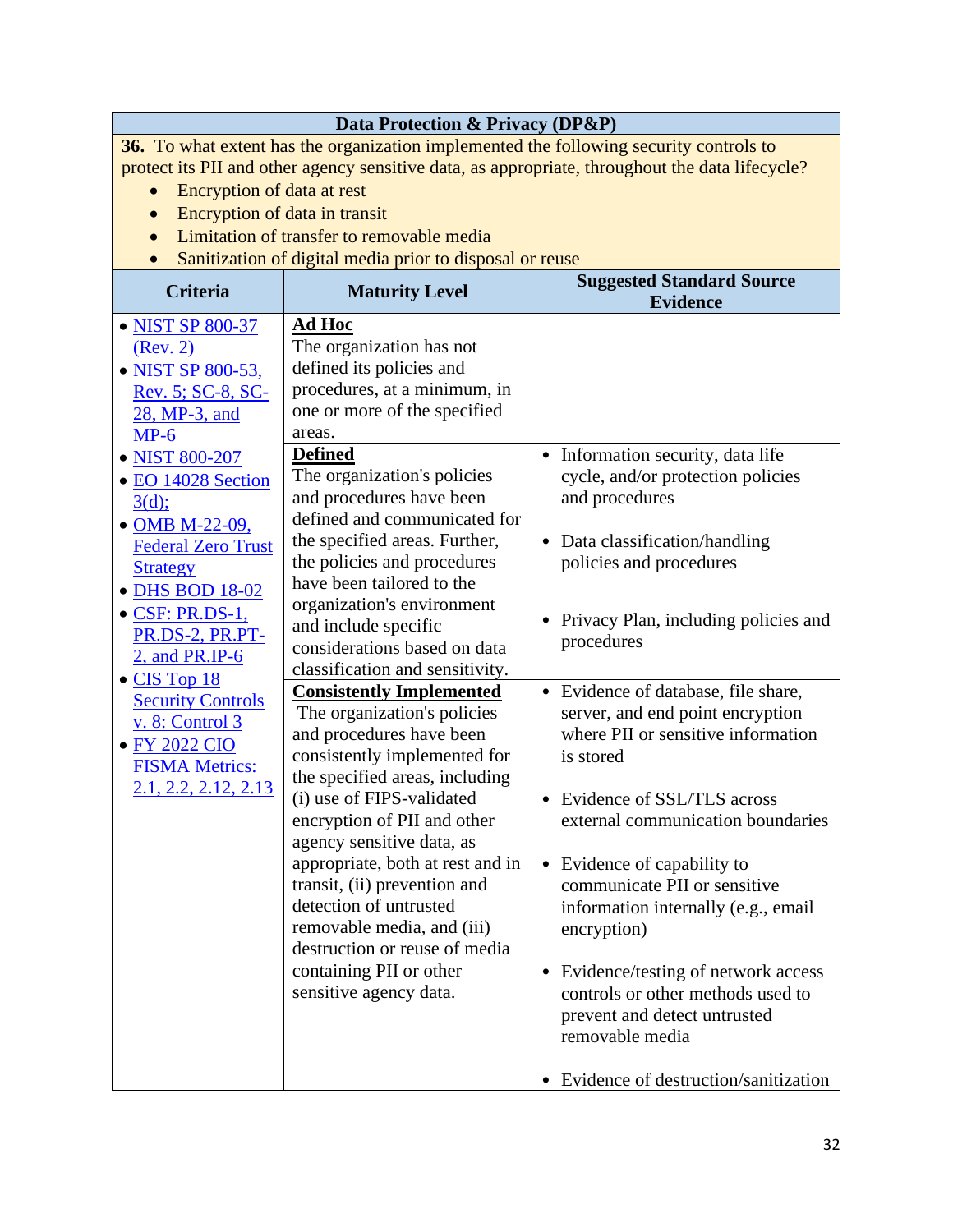|                                                                                                 | Data Protection & Privacy (DP&P)                                                       |                                                                        |  |
|-------------------------------------------------------------------------------------------------|----------------------------------------------------------------------------------------|------------------------------------------------------------------------|--|
|                                                                                                 | 36. To what extent has the organization implemented the following security controls to |                                                                        |  |
| protect its PII and other agency sensitive data, as appropriate, throughout the data lifecycle? |                                                                                        |                                                                        |  |
|                                                                                                 | Encryption of data at rest                                                             |                                                                        |  |
| Encryption of data in transit                                                                   |                                                                                        |                                                                        |  |
| $\bullet$                                                                                       | Limitation of transfer to removable media                                              |                                                                        |  |
|                                                                                                 | Sanitization of digital media prior to disposal or reuse                               |                                                                        |  |
| <b>Criteria</b>                                                                                 |                                                                                        | <b>Suggested Standard Source</b>                                       |  |
|                                                                                                 | <b>Maturity Level</b>                                                                  | <b>Evidence</b>                                                        |  |
| • NIST SP 800-37                                                                                | Ad Hoc                                                                                 |                                                                        |  |
| (Rev. 2)                                                                                        | The organization has not                                                               |                                                                        |  |
| • NIST SP 800-53,                                                                               | defined its policies and                                                               |                                                                        |  |
| Rev. 5; SC-8, SC-                                                                               | procedures, at a minimum, in                                                           |                                                                        |  |
| 28, MP-3, and                                                                                   | one or more of the specified                                                           |                                                                        |  |
| $MP-6$                                                                                          | areas.                                                                                 |                                                                        |  |
| • NIST 800-207                                                                                  | <b>Defined</b>                                                                         | • Information security, data life                                      |  |
| • EO 14028 Section                                                                              | The organization's policies                                                            | cycle, and/or protection policies                                      |  |
| 3(d);                                                                                           | and procedures have been                                                               | and procedures                                                         |  |
| • OMB M-22-09,                                                                                  | defined and communicated for                                                           |                                                                        |  |
| <b>Federal Zero Trust</b>                                                                       | the specified areas. Further,                                                          | Data classification/handling                                           |  |
| <b>Strategy</b>                                                                                 | the policies and procedures                                                            | policies and procedures                                                |  |
| • DHS BOD 18-02                                                                                 | have been tailored to the                                                              |                                                                        |  |
| · CSF: PR.DS-1,                                                                                 | organization's environment                                                             | Privacy Plan, including policies and                                   |  |
| PR.DS-2, PR.PT-                                                                                 | and include specific                                                                   | procedures                                                             |  |
| 2, and PR.IP-6                                                                                  | considerations based on data                                                           |                                                                        |  |
| • CIS Top 18                                                                                    | classification and sensitivity.                                                        |                                                                        |  |
| <b>Security Controls</b>                                                                        | <b>Consistently Implemented</b>                                                        | • Evidence of database, file share,                                    |  |
| v. 8: Control 3                                                                                 | The organization's policies                                                            | server, and end point encryption                                       |  |
| • FY 2022 CIO                                                                                   | and procedures have been                                                               | where PII or sensitive information                                     |  |
| <b>FISMA Metrics:</b>                                                                           | consistently implemented for                                                           | is stored                                                              |  |
| 2.1, 2.2, 2.12, 2.13                                                                            | the specified areas, including<br>(i) use of FIPS-validated                            |                                                                        |  |
|                                                                                                 |                                                                                        | • Evidence of SSL/TLS across                                           |  |
|                                                                                                 | encryption of PII and other                                                            | external communication boundaries                                      |  |
|                                                                                                 | agency sensitive data, as<br>appropriate, both at rest and in                          |                                                                        |  |
|                                                                                                 | transit, (ii) prevention and                                                           | Evidence of capability to<br>$\bullet$<br>communicate PII or sensitive |  |
|                                                                                                 | detection of untrusted                                                                 |                                                                        |  |
|                                                                                                 | removable media, and (iii)                                                             | information internally (e.g., email<br>encryption)                     |  |
|                                                                                                 | destruction or reuse of media                                                          |                                                                        |  |
|                                                                                                 | containing PII or other                                                                | Evidence/testing of network access<br>$\bullet$                        |  |
|                                                                                                 | sensitive agency data.                                                                 | controls or other methods used to                                      |  |
|                                                                                                 |                                                                                        | prevent and detect untrusted                                           |  |
|                                                                                                 |                                                                                        | removable media                                                        |  |
|                                                                                                 |                                                                                        |                                                                        |  |
|                                                                                                 |                                                                                        | Evidence of destruction/sanitization<br>$\bullet$                      |  |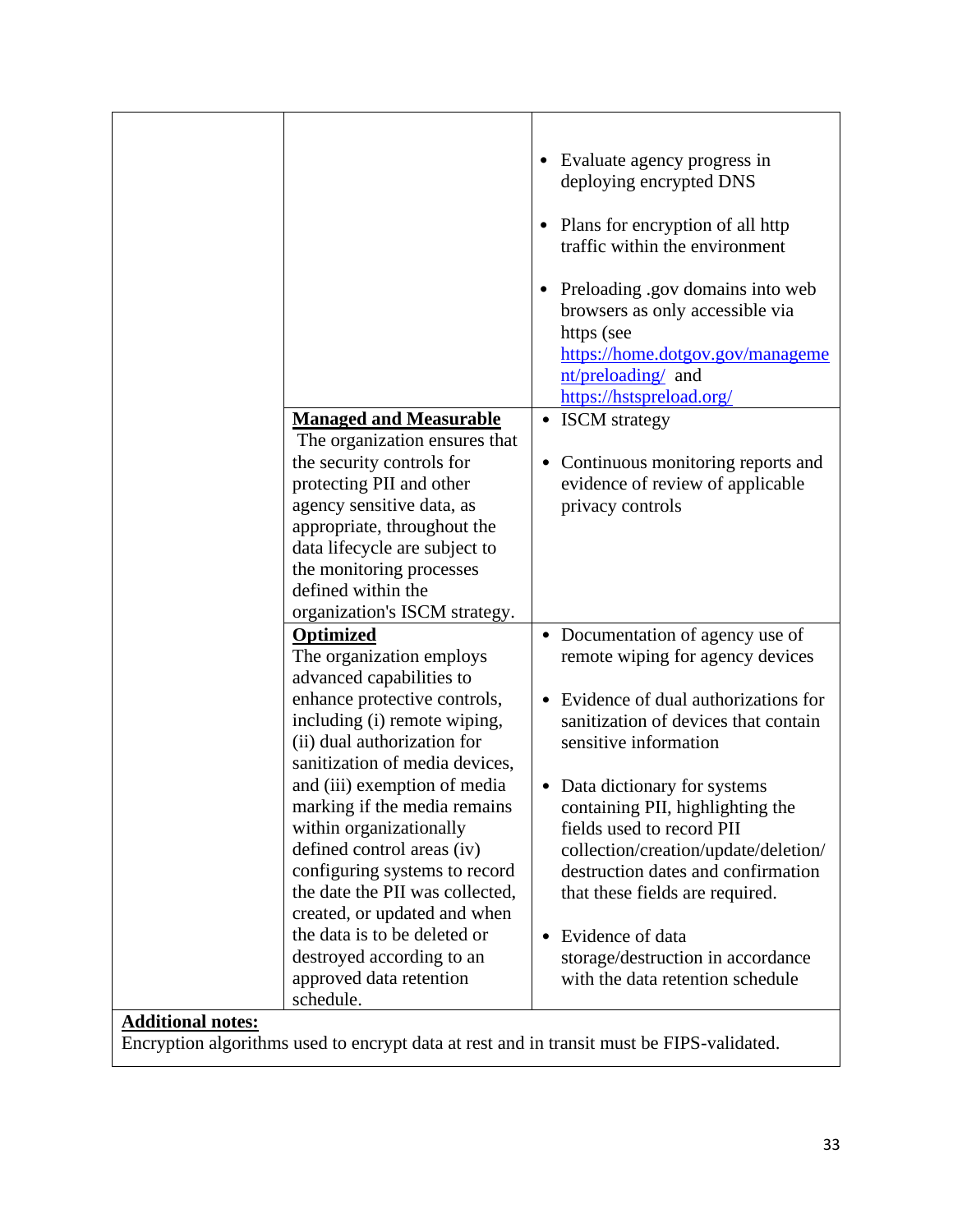|                          | <b>Managed and Measurable</b><br>The organization ensures that<br>the security controls for<br>protecting PII and other<br>agency sensitive data, as<br>appropriate, throughout the<br>data lifecycle are subject to<br>the monitoring processes<br>defined within the                                                                                                                                                           | Evaluate agency progress in<br>deploying encrypted DNS<br>Plans for encryption of all http<br>$\bullet$<br>traffic within the environment<br>Preloading .gov domains into web<br>٠<br>browsers as only accessible via<br>https (see<br>https://home.dotgov.gov/manageme<br>nt/preloading/ and<br>https://hstspreload.org/<br>• ISCM strategy<br>• Continuous monitoring reports and<br>evidence of review of applicable<br>privacy controls |
|--------------------------|----------------------------------------------------------------------------------------------------------------------------------------------------------------------------------------------------------------------------------------------------------------------------------------------------------------------------------------------------------------------------------------------------------------------------------|---------------------------------------------------------------------------------------------------------------------------------------------------------------------------------------------------------------------------------------------------------------------------------------------------------------------------------------------------------------------------------------------------------------------------------------------|
|                          | organization's ISCM strategy.<br>Optimized<br>The organization employs<br>advanced capabilities to<br>enhance protective controls,<br>including (i) remote wiping,<br>(ii) dual authorization for<br>sanitization of media devices,<br>and (iii) exemption of media<br>marking if the media remains<br>within organizationally<br>defined control areas (iv)<br>configuring systems to record<br>the date the PII was collected, | Documentation of agency use of<br>$\bullet$<br>remote wiping for agency devices<br>Evidence of dual authorizations for<br>$\bullet$<br>sanitization of devices that contain<br>sensitive information<br>• Data dictionary for systems<br>containing PII, highlighting the<br>fields used to record PII<br>collection/creation/update/deletion/<br>destruction dates and confirmation                                                        |
| <b>Additional notes:</b> | created, or updated and when<br>the data is to be deleted or<br>destroyed according to an<br>approved data retention<br>schedule.                                                                                                                                                                                                                                                                                                | that these fields are required.<br>Evidence of data<br>$\bullet$<br>storage/destruction in accordance<br>with the data retention schedule                                                                                                                                                                                                                                                                                                   |

Encryption algorithms used to encrypt data at rest and in transit must be FIPS-validated.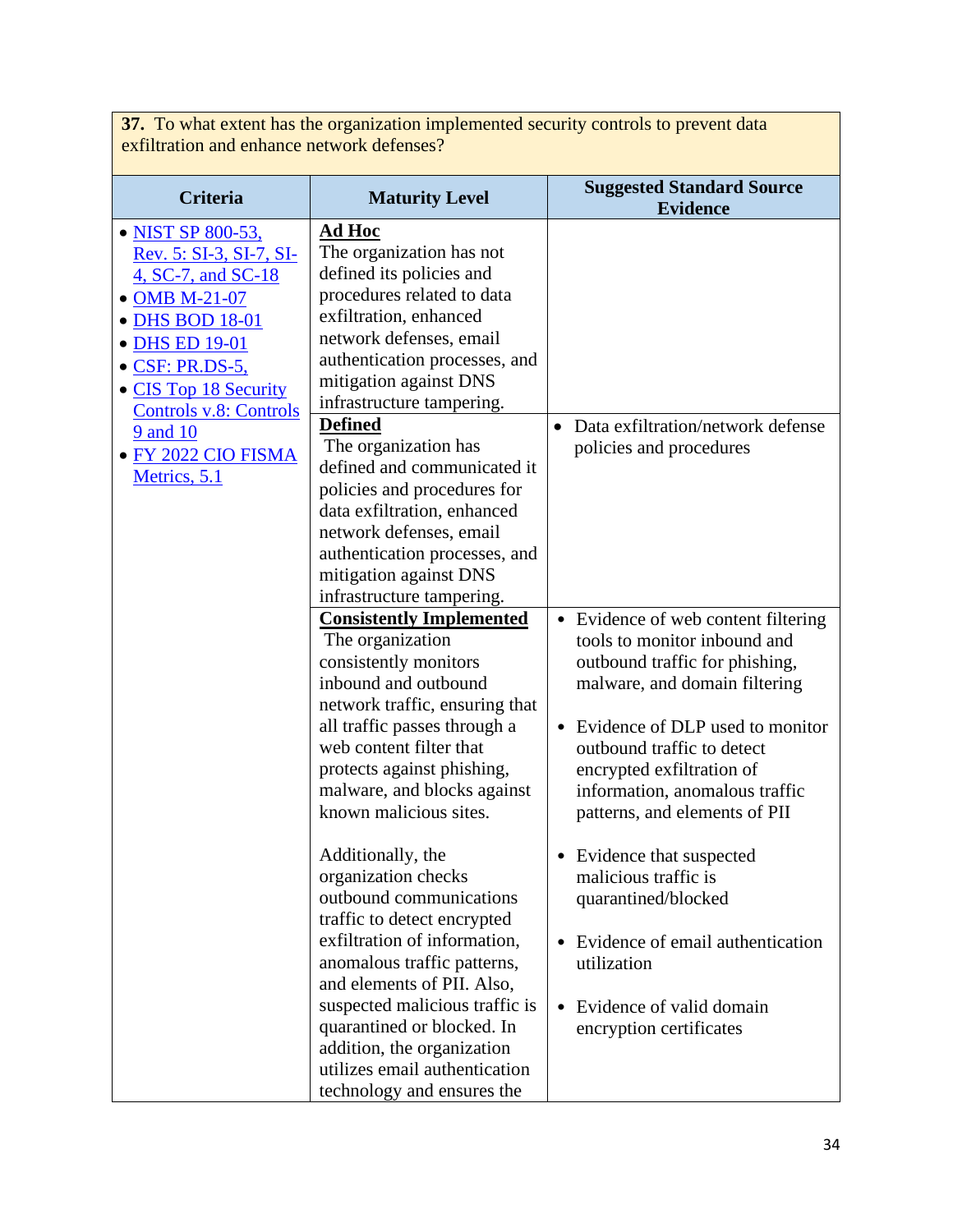**37.** To what extent has the organization implemented security controls to prevent data exfiltration and enhance network defenses?

| <b>Criteria</b>                                                                                                                                                                                                                                          | <b>Maturity Level</b>                                                                                                                                                                                                                                                                                                                                                                                                                                                                                                                                                                                                                                                                                                                                                                                  | <b>Suggested Standard Source</b><br><b>Evidence</b>                                                                                                                                                                                                                                                                                                                                  |
|----------------------------------------------------------------------------------------------------------------------------------------------------------------------------------------------------------------------------------------------------------|--------------------------------------------------------------------------------------------------------------------------------------------------------------------------------------------------------------------------------------------------------------------------------------------------------------------------------------------------------------------------------------------------------------------------------------------------------------------------------------------------------------------------------------------------------------------------------------------------------------------------------------------------------------------------------------------------------------------------------------------------------------------------------------------------------|--------------------------------------------------------------------------------------------------------------------------------------------------------------------------------------------------------------------------------------------------------------------------------------------------------------------------------------------------------------------------------------|
| • NIST SP 800-53,<br>Rev. 5: SI-3, SI-7, SI-<br>4, SC-7, and SC-18<br>• OMB M-21-07<br>• DHS BOD 18-01<br>• DHS ED 19-01<br>• CSF: PR.DS-5,<br>• CIS Top 18 Security<br><b>Controls v.8: Controls</b><br>9 and 10<br>· FY 2022 CIO FISMA<br>Metrics, 5.1 | <b>Ad Hoc</b><br>The organization has not<br>defined its policies and<br>procedures related to data<br>exfiltration, enhanced<br>network defenses, email<br>authentication processes, and<br>mitigation against DNS<br>infrastructure tampering.<br><b>Defined</b><br>The organization has<br>defined and communicated it<br>policies and procedures for<br>data exfiltration, enhanced<br>network defenses, email<br>authentication processes, and<br>mitigation against DNS<br>infrastructure tampering.<br><b>Consistently Implemented</b><br>The organization<br>consistently monitors<br>inbound and outbound<br>network traffic, ensuring that<br>all traffic passes through a<br>web content filter that<br>protects against phishing,<br>malware, and blocks against<br>known malicious sites. | Data exfiltration/network defense<br>$\bullet$<br>policies and procedures<br>• Evidence of web content filtering<br>tools to monitor inbound and<br>outbound traffic for phishing,<br>malware, and domain filtering<br>Evidence of DLP used to monitor<br>outbound traffic to detect<br>encrypted exfiltration of<br>information, anomalous traffic<br>patterns, and elements of PII |
|                                                                                                                                                                                                                                                          | Additionally, the<br>organization checks<br>outbound communications<br>traffic to detect encrypted<br>exfiltration of information,<br>anomalous traffic patterns,<br>and elements of PII. Also,<br>suspected malicious traffic is<br>quarantined or blocked. In<br>addition, the organization<br>utilizes email authentication<br>technology and ensures the                                                                                                                                                                                                                                                                                                                                                                                                                                           | • Evidence that suspected<br>malicious traffic is<br>quarantined/blocked<br>Evidence of email authentication<br>٠<br>utilization<br>Evidence of valid domain<br>encryption certificates                                                                                                                                                                                              |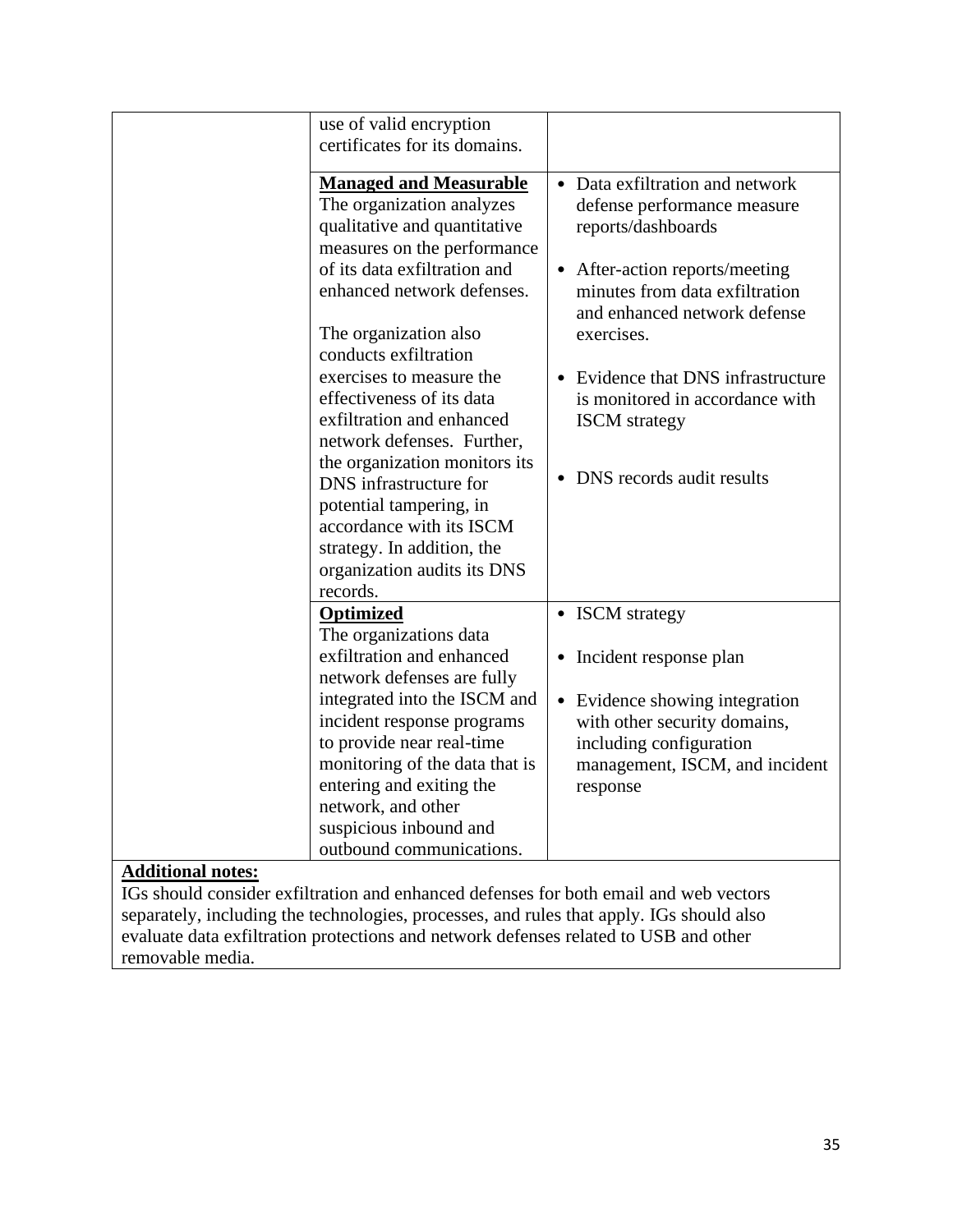|                          | use of valid encryption                                                                                                                                                                                                                                                         |                                                                                                                                                                                                                                                         |
|--------------------------|---------------------------------------------------------------------------------------------------------------------------------------------------------------------------------------------------------------------------------------------------------------------------------|---------------------------------------------------------------------------------------------------------------------------------------------------------------------------------------------------------------------------------------------------------|
|                          | certificates for its domains.                                                                                                                                                                                                                                                   |                                                                                                                                                                                                                                                         |
|                          | <b>Managed and Measurable</b><br>The organization analyzes<br>qualitative and quantitative<br>measures on the performance<br>of its data exfiltration and<br>enhanced network defenses.<br>The organization also<br>conducts exfiltration<br>exercises to measure the           | • Data exfiltration and network<br>defense performance measure<br>reports/dashboards<br>After-action reports/meeting<br>$\bullet$<br>minutes from data exfiltration<br>and enhanced network defense<br>exercises.<br>• Evidence that DNS infrastructure |
|                          | effectiveness of its data<br>exfiltration and enhanced<br>network defenses. Further,<br>the organization monitors its<br>DNS infrastructure for<br>potential tampering, in<br>accordance with its ISCM<br>strategy. In addition, the<br>organization audits its DNS<br>records. | is monitored in accordance with<br><b>ISCM</b> strategy<br>• DNS records audit results                                                                                                                                                                  |
|                          | <b>Optimized</b><br>The organizations data                                                                                                                                                                                                                                      | • ISCM strategy                                                                                                                                                                                                                                         |
|                          | exfiltration and enhanced<br>network defenses are fully                                                                                                                                                                                                                         | • Incident response plan                                                                                                                                                                                                                                |
|                          | integrated into the ISCM and<br>incident response programs<br>to provide near real-time<br>monitoring of the data that is<br>entering and exiting the<br>network, and other<br>suspicious inbound and<br>outbound communications.                                               | • Evidence showing integration<br>with other security domains,<br>including configuration<br>management, ISCM, and incident<br>response                                                                                                                 |
| <b>Additional notes:</b> |                                                                                                                                                                                                                                                                                 |                                                                                                                                                                                                                                                         |

IGs should consider exfiltration and enhanced defenses for both email and web vectors separately, including the technologies, processes, and rules that apply. IGs should also evaluate data exfiltration protections and network defenses related to USB and other removable media.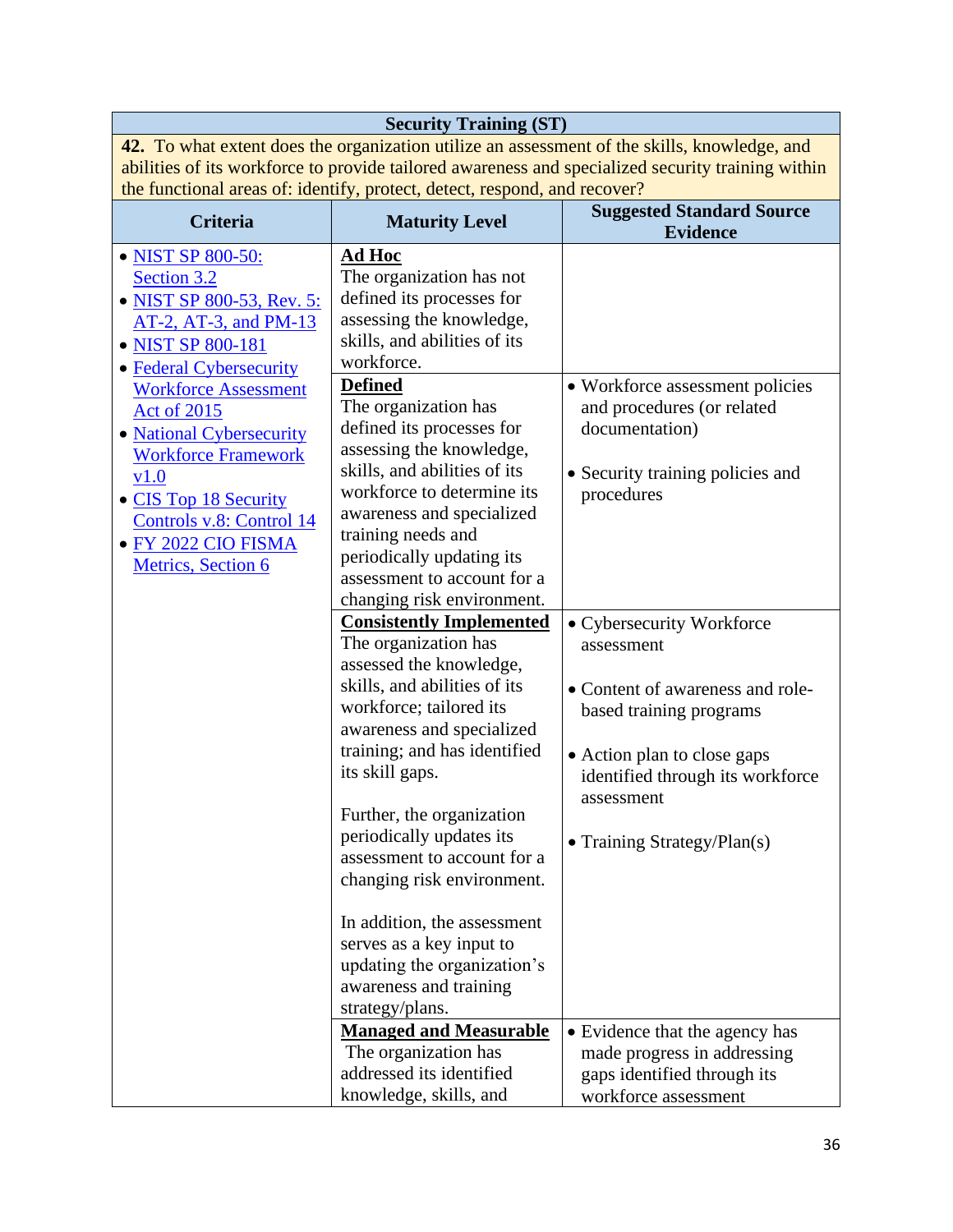| <b>Security Training (ST)</b>                                                                |                                                                           |                                                                                                   |
|----------------------------------------------------------------------------------------------|---------------------------------------------------------------------------|---------------------------------------------------------------------------------------------------|
| 42. To what extent does the organization utilize an assessment of the skills, knowledge, and |                                                                           |                                                                                                   |
|                                                                                              |                                                                           | abilities of its workforce to provide tailored awareness and specialized security training within |
|                                                                                              | the functional areas of: identify, protect, detect, respond, and recover? |                                                                                                   |
| <b>Criteria</b>                                                                              | <b>Maturity Level</b>                                                     | <b>Suggested Standard Source</b>                                                                  |
|                                                                                              |                                                                           | <b>Evidence</b>                                                                                   |
| • NIST SP 800-50:                                                                            | <b>Ad Hoc</b>                                                             |                                                                                                   |
| Section 3.2                                                                                  | The organization has not                                                  |                                                                                                   |
| • NIST SP 800-53, Rev. 5:                                                                    | defined its processes for                                                 |                                                                                                   |
| AT-2, AT-3, and PM-13                                                                        | assessing the knowledge,                                                  |                                                                                                   |
| • NIST SP 800-181                                                                            | skills, and abilities of its                                              |                                                                                                   |
| • Federal Cybersecurity                                                                      | workforce.                                                                |                                                                                                   |
| <b>Workforce Assessment</b>                                                                  | <b>Defined</b>                                                            | • Workforce assessment policies                                                                   |
| <b>Act of 2015</b>                                                                           | The organization has                                                      | and procedures (or related                                                                        |
| · National Cybersecurity                                                                     | defined its processes for                                                 | documentation)                                                                                    |
| <b>Workforce Framework</b>                                                                   | assessing the knowledge,<br>skills, and abilities of its                  |                                                                                                   |
| v1.0                                                                                         | workforce to determine its                                                | • Security training policies and                                                                  |
| • CIS Top 18 Security                                                                        | awareness and specialized                                                 | procedures                                                                                        |
| Controls v.8: Control 14                                                                     | training needs and                                                        |                                                                                                   |
| · FY 2022 CIO FISMA                                                                          | periodically updating its                                                 |                                                                                                   |
| Metrics, Section 6                                                                           | assessment to account for a                                               |                                                                                                   |
|                                                                                              | changing risk environment.                                                |                                                                                                   |
|                                                                                              | <b>Consistently Implemented</b>                                           | • Cybersecurity Workforce                                                                         |
|                                                                                              | The organization has                                                      | assessment                                                                                        |
|                                                                                              | assessed the knowledge,                                                   |                                                                                                   |
|                                                                                              | skills, and abilities of its                                              | • Content of awareness and role-                                                                  |
|                                                                                              | workforce; tailored its                                                   | based training programs                                                                           |
|                                                                                              | awareness and specialized                                                 |                                                                                                   |
|                                                                                              | training; and has identified                                              | • Action plan to close gaps                                                                       |
|                                                                                              | its skill gaps.                                                           | identified through its workforce                                                                  |
|                                                                                              |                                                                           | assessment                                                                                        |
|                                                                                              | Further, the organization                                                 |                                                                                                   |
|                                                                                              | periodically updates its                                                  | • Training Strategy/Plan(s)                                                                       |
|                                                                                              | assessment to account for a                                               |                                                                                                   |
|                                                                                              | changing risk environment.                                                |                                                                                                   |
|                                                                                              | In addition, the assessment                                               |                                                                                                   |
|                                                                                              | serves as a key input to                                                  |                                                                                                   |
|                                                                                              | updating the organization's                                               |                                                                                                   |
|                                                                                              | awareness and training                                                    |                                                                                                   |
|                                                                                              | strategy/plans.                                                           |                                                                                                   |
|                                                                                              | <b>Managed and Measurable</b>                                             | • Evidence that the agency has                                                                    |
|                                                                                              | The organization has                                                      | made progress in addressing                                                                       |
|                                                                                              | addressed its identified                                                  | gaps identified through its                                                                       |
|                                                                                              | knowledge, skills, and                                                    | workforce assessment                                                                              |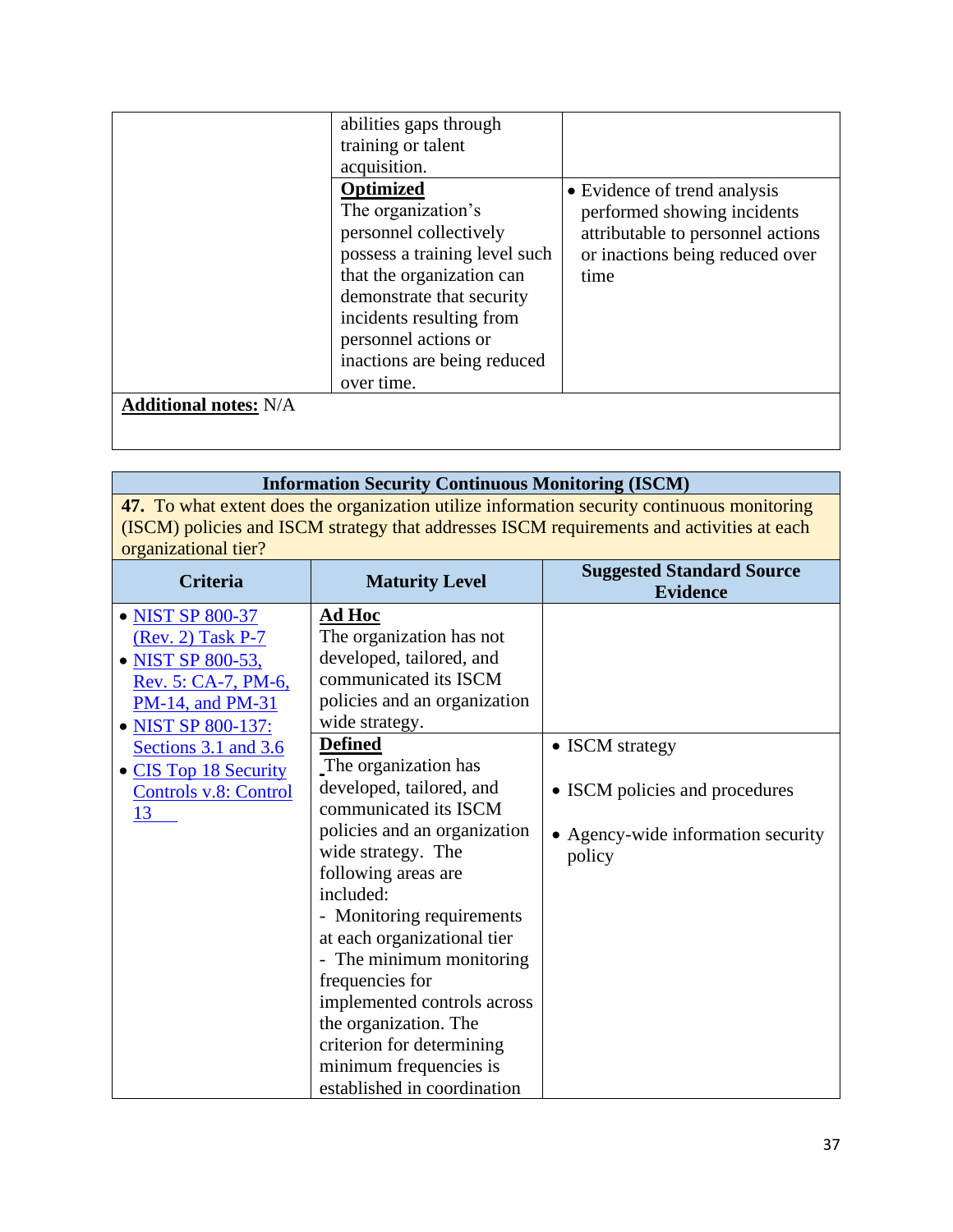|                              | abilities gaps through<br>training or talent<br>acquisition.                                                                                                                                                                                                 |                                                                                                                                             |
|------------------------------|--------------------------------------------------------------------------------------------------------------------------------------------------------------------------------------------------------------------------------------------------------------|---------------------------------------------------------------------------------------------------------------------------------------------|
|                              | <b>Optimized</b><br>The organization's<br>personnel collectively<br>possess a training level such<br>that the organization can<br>demonstrate that security<br>incidents resulting from<br>personnel actions or<br>inactions are being reduced<br>over time. | • Evidence of trend analysis<br>performed showing incidents<br>attributable to personnel actions<br>or inactions being reduced over<br>time |
| <b>Additional notes: N/A</b> |                                                                                                                                                                                                                                                              |                                                                                                                                             |

# **Information Security Continuous Monitoring (ISCM)**

**47.** To what extent does the organization utilize information security continuous monitoring (ISCM) policies and ISCM strategy that addresses ISCM requirements and activities at each organizational tier?

| Criteria              | <b>Maturity Level</b>        | <b>Suggested Standard Source</b><br><b>Evidence</b> |
|-----------------------|------------------------------|-----------------------------------------------------|
| • NIST SP 800-37      | Ad Hoc                       |                                                     |
| (Rev. 2) Task P-7     | The organization has not     |                                                     |
| • NIST SP 800-53,     | developed, tailored, and     |                                                     |
| Rev. 5: CA-7, PM-6,   | communicated its ISCM        |                                                     |
| PM-14, and PM-31      | policies and an organization |                                                     |
| • NIST SP 800-137:    | wide strategy.               |                                                     |
| Sections 3.1 and 3.6  | <b>Defined</b>               | • ISCM strategy                                     |
| • CIS Top 18 Security | The organization has         |                                                     |
| Controls v.8: Control | developed, tailored, and     | • ISCM policies and procedures                      |
| 13                    | communicated its ISCM        |                                                     |
|                       | policies and an organization | • Agency-wide information security                  |
|                       | wide strategy. The           | policy                                              |
|                       | following areas are          |                                                     |
|                       | included:                    |                                                     |
|                       | - Monitoring requirements    |                                                     |
|                       | at each organizational tier  |                                                     |
|                       | - The minimum monitoring     |                                                     |
|                       | frequencies for              |                                                     |
|                       | implemented controls across  |                                                     |
|                       | the organization. The        |                                                     |
|                       | criterion for determining    |                                                     |
|                       | minimum frequencies is       |                                                     |
|                       | established in coordination  |                                                     |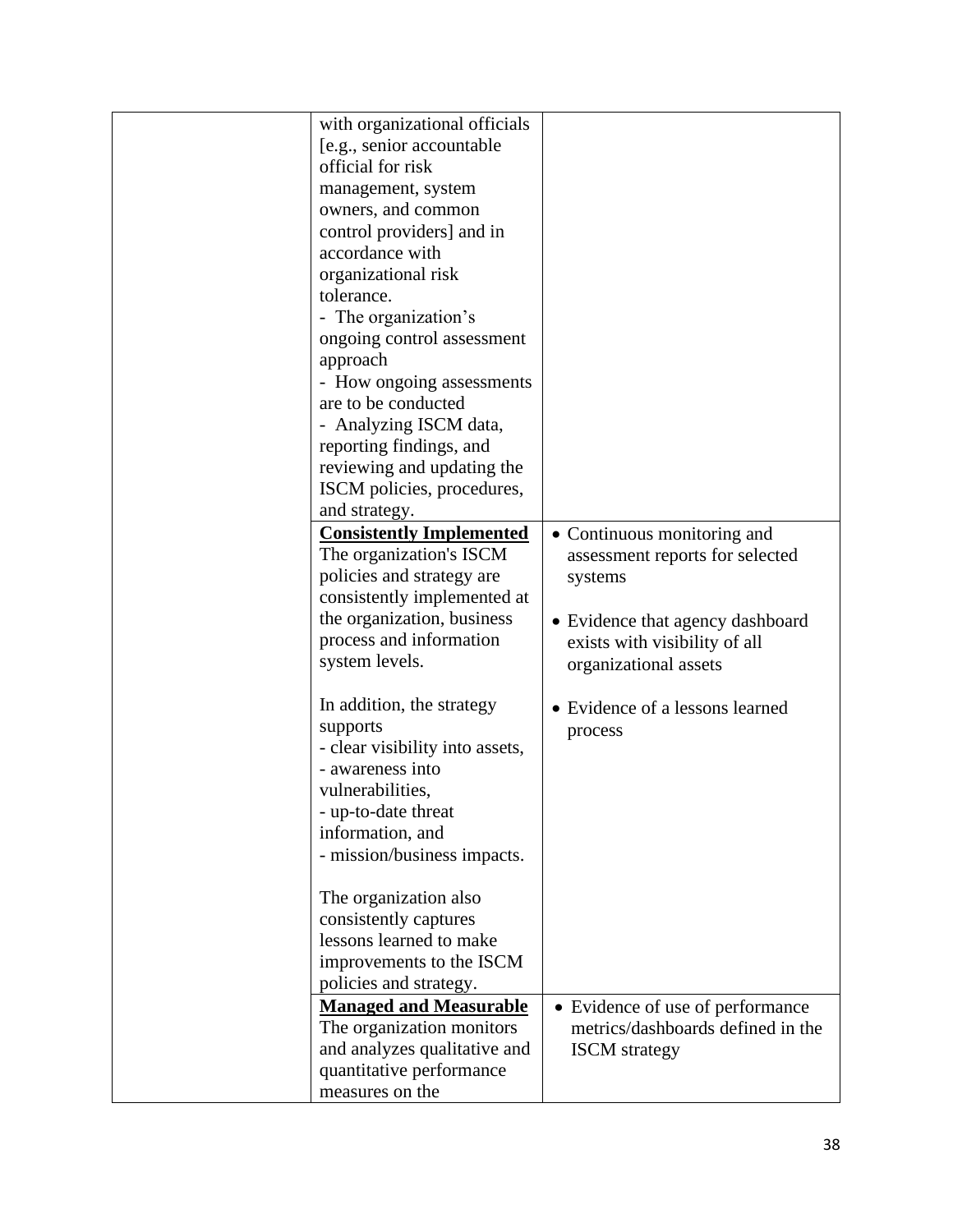| with organizational officials<br>[e.g., senior accountable<br>official for risk<br>management, system<br>owners, and common<br>control providers] and in<br>accordance with<br>organizational risk<br>tolerance.<br>- The organization's<br>ongoing control assessment<br>approach<br>- How ongoing assessments<br>are to be conducted<br>- Analyzing ISCM data,<br>reporting findings, and<br>reviewing and updating the<br>ISCM policies, procedures,<br>and strategy.<br><b>Consistently Implemented</b><br>The organization's ISCM<br>policies and strategy are<br>consistently implemented at | • Continuous monitoring and<br>assessment reports for selected<br>systems                                |
|----------------------------------------------------------------------------------------------------------------------------------------------------------------------------------------------------------------------------------------------------------------------------------------------------------------------------------------------------------------------------------------------------------------------------------------------------------------------------------------------------------------------------------------------------------------------------------------------------|----------------------------------------------------------------------------------------------------------|
| the organization, business<br>process and information<br>system levels.                                                                                                                                                                                                                                                                                                                                                                                                                                                                                                                            | • Evidence that agency dashboard<br>exists with visibility of all<br>organizational assets               |
| In addition, the strategy<br>supports<br>- clear visibility into assets,<br>- awareness into<br>vulnerabilities,<br>- up-to-date threat<br>information, and<br>- mission/business impacts.<br>The organization also<br>consistently captures                                                                                                                                                                                                                                                                                                                                                       | • Evidence of a lessons learned<br>process                                                               |
| lessons learned to make<br>improvements to the ISCM<br>policies and strategy.                                                                                                                                                                                                                                                                                                                                                                                                                                                                                                                      |                                                                                                          |
| <b>Managed and Measurable</b><br>The organization monitors<br>and analyzes qualitative and<br>quantitative performance<br>measures on the                                                                                                                                                                                                                                                                                                                                                                                                                                                          | Evidence of use of performance<br>$\bullet$<br>metrics/dashboards defined in the<br><b>ISCM</b> strategy |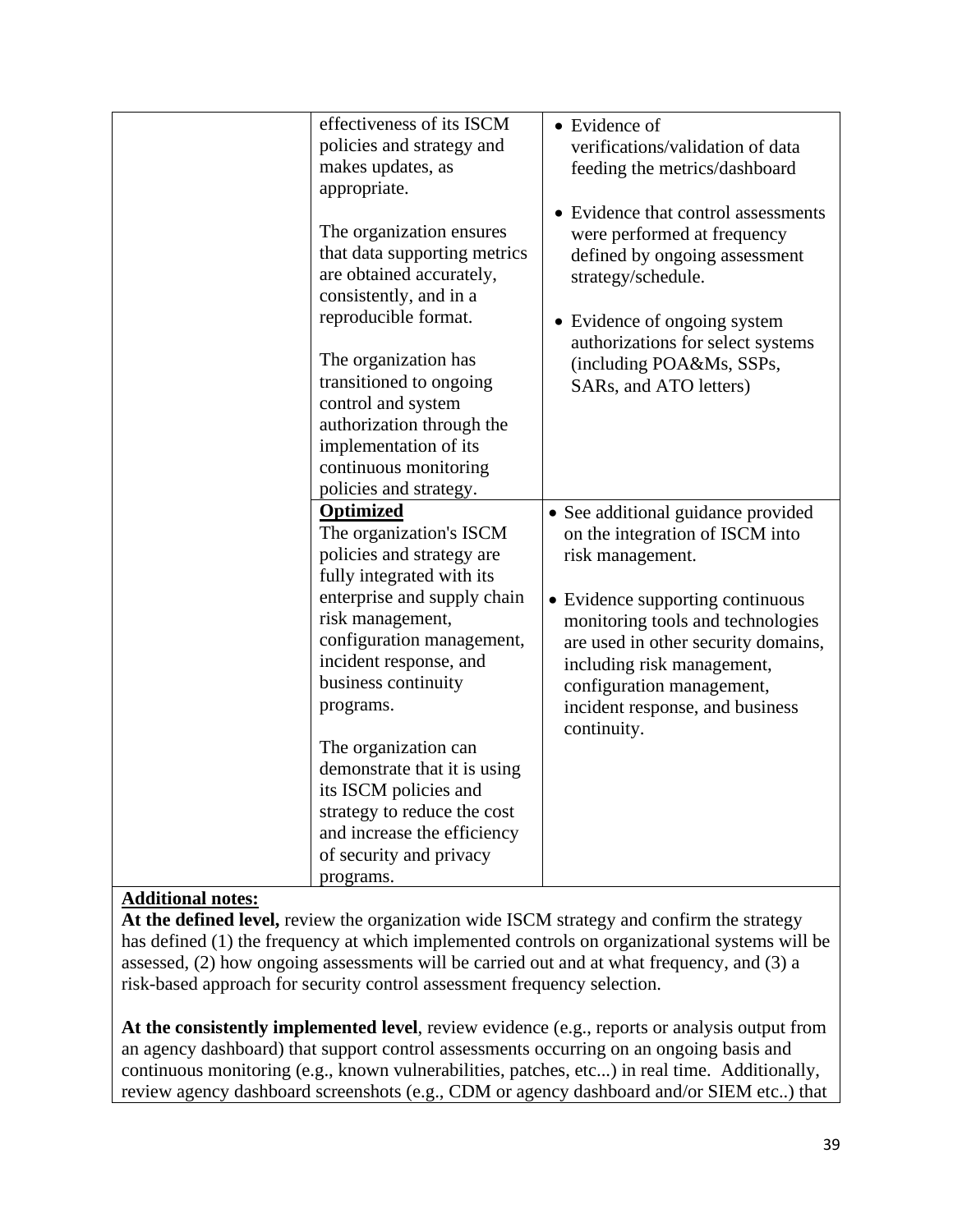| effectiveness of its ISCM    | • Evidence of                       |
|------------------------------|-------------------------------------|
| policies and strategy and    | verifications/validation of data    |
| makes updates, as            | feeding the metrics/dashboard       |
| appropriate.                 |                                     |
|                              | Evidence that control assessments   |
| The organization ensures     | were performed at frequency         |
| that data supporting metrics | defined by ongoing assessment       |
| are obtained accurately,     | strategy/schedule.                  |
| consistently, and in a       |                                     |
| reproducible format.         | • Evidence of ongoing system        |
|                              | authorizations for select systems   |
| The organization has         | (including POA&Ms, SSPs,            |
| transitioned to ongoing      | SARs, and ATO letters)              |
| control and system           |                                     |
| authorization through the    |                                     |
| implementation of its        |                                     |
| continuous monitoring        |                                     |
| policies and strategy.       |                                     |
| Optimized                    | • See additional guidance provided  |
| The organization's ISCM      | on the integration of ISCM into     |
| policies and strategy are    | risk management.                    |
| fully integrated with its    |                                     |
| enterprise and supply chain  | • Evidence supporting continuous    |
| risk management,             | monitoring tools and technologies   |
| configuration management,    | are used in other security domains, |
| incident response, and       | including risk management,          |
| business continuity          | configuration management,           |
| programs.                    | incident response, and business     |
|                              | continuity.                         |
| The organization can         |                                     |
| demonstrate that it is using |                                     |
| its ISCM policies and        |                                     |
| strategy to reduce the cost  |                                     |
| and increase the efficiency  |                                     |
| of security and privacy      |                                     |
| programs.                    |                                     |
|                              |                                     |

**At the defined level,** review the organization wide ISCM strategy and confirm the strategy has defined (1) the frequency at which implemented controls on organizational systems will be assessed, (2) how ongoing assessments will be carried out and at what frequency, and (3) a risk-based approach for security control assessment frequency selection.

**At the consistently implemented level**, review evidence (e.g., reports or analysis output from an agency dashboard) that support control assessments occurring on an ongoing basis and continuous monitoring (e.g., known vulnerabilities, patches, etc...) in real time. Additionally, review agency dashboard screenshots (e.g., CDM or agency dashboard and/or SIEM etc..) that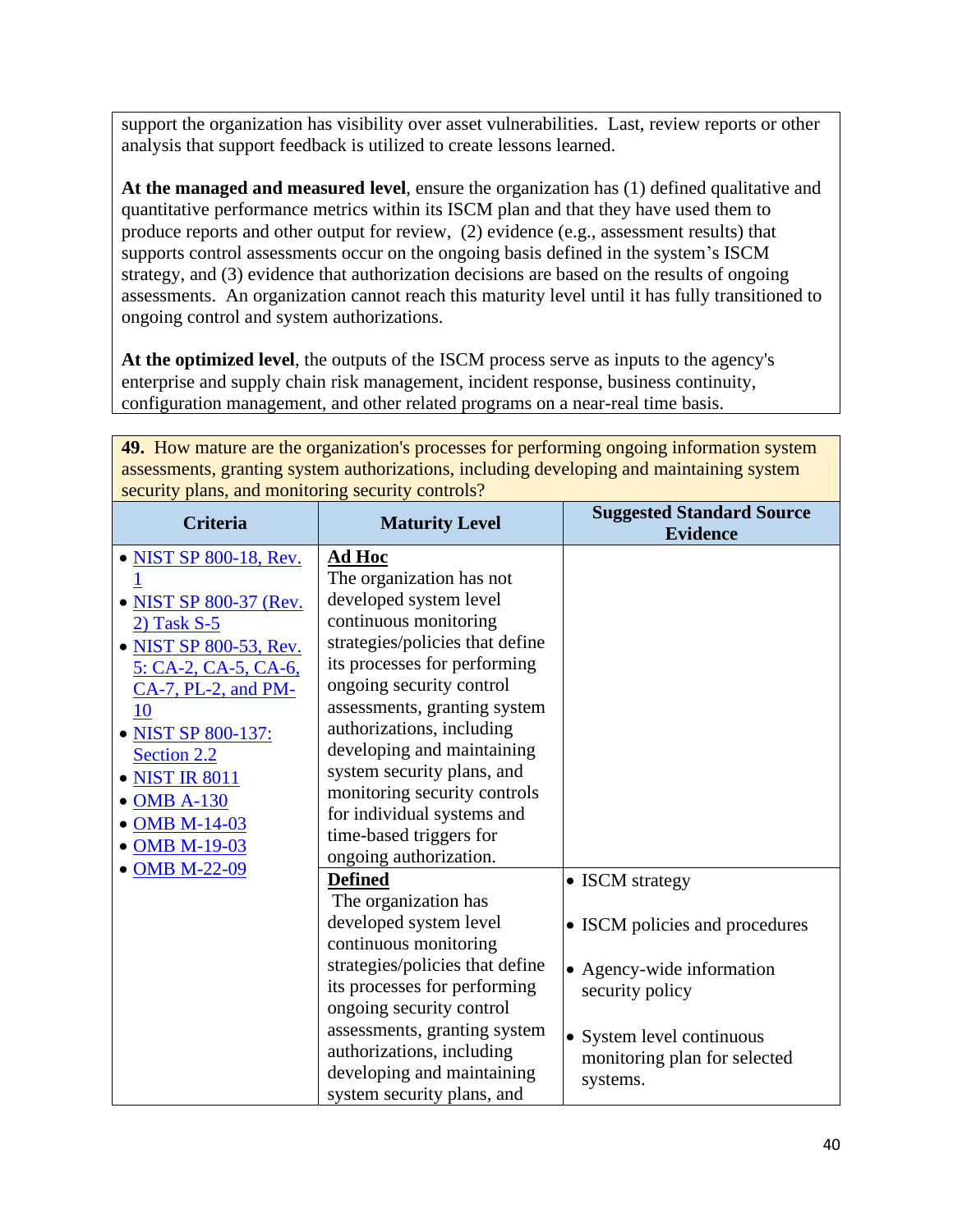support the organization has visibility over asset vulnerabilities. Last, review reports or other analysis that support feedback is utilized to create lessons learned.

**At the managed and measured level**, ensure the organization has (1) defined qualitative and quantitative performance metrics within its ISCM plan and that they have used them to produce reports and other output for review, (2) evidence (e.g., assessment results) that supports control assessments occur on the ongoing basis defined in the system's ISCM strategy, and (3) evidence that authorization decisions are based on the results of ongoing assessments. An organization cannot reach this maturity level until it has fully transitioned to ongoing control and system authorizations.

**At the optimized level**, the outputs of the ISCM process serve as inputs to the agency's enterprise and supply chain risk management, incident response, business continuity, configuration management, and other related programs on a near-real time basis.

| assessments, granting system authorizations, including developing and maintaining system<br>security plans, and monitoring security controls?                                                                                                                             |                                                                                                                                                                                                                                                                                                                                                                                                                                         |                                                                                                                                                                            |
|---------------------------------------------------------------------------------------------------------------------------------------------------------------------------------------------------------------------------------------------------------------------------|-----------------------------------------------------------------------------------------------------------------------------------------------------------------------------------------------------------------------------------------------------------------------------------------------------------------------------------------------------------------------------------------------------------------------------------------|----------------------------------------------------------------------------------------------------------------------------------------------------------------------------|
| <b>Criteria</b>                                                                                                                                                                                                                                                           | <b>Maturity Level</b>                                                                                                                                                                                                                                                                                                                                                                                                                   | <b>Suggested Standard Source</b><br><b>Evidence</b>                                                                                                                        |
| • NIST SP 800-18, Rev.<br>• NIST SP 800-37 (Rev.<br>$2)$ Task S-5<br>• NIST SP 800-53, Rev.<br>5: CA-2, CA-5, CA-6,<br>CA-7, PL-2, and PM-<br>10<br>• NIST SP 800-137:<br>Section 2.2<br>• NIST IR 8011<br>• OMB A-130<br>• OMB M-14-03<br>• OMB M-19-03<br>• OMB M-22-09 | <b>Ad Hoc</b><br>The organization has not<br>developed system level<br>continuous monitoring<br>strategies/policies that define<br>its processes for performing<br>ongoing security control<br>assessments, granting system<br>authorizations, including<br>developing and maintaining<br>system security plans, and<br>monitoring security controls<br>for individual systems and<br>time-based triggers for<br>ongoing authorization. |                                                                                                                                                                            |
|                                                                                                                                                                                                                                                                           | <b>Defined</b><br>The organization has<br>developed system level<br>continuous monitoring<br>strategies/policies that define<br>its processes for performing<br>ongoing security control<br>assessments, granting system<br>authorizations, including<br>developing and maintaining<br>system security plans, and                                                                                                                       | • ISCM strategy<br>• ISCM policies and procedures<br>• Agency-wide information<br>security policy<br>• System level continuous<br>monitoring plan for selected<br>systems. |

**49.** How mature are the organization's processes for performing ongoing information system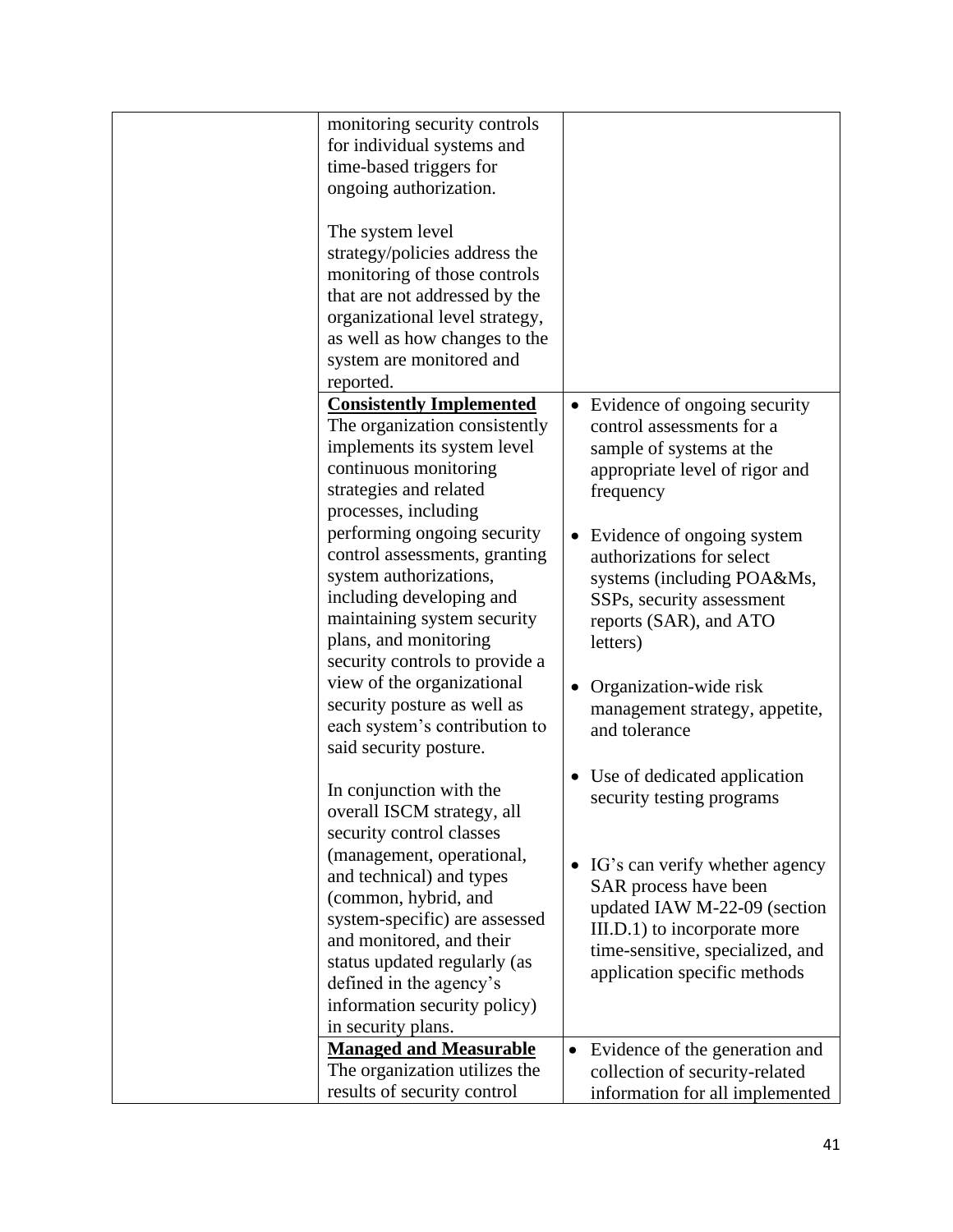| monitoring security controls    |                                             |
|---------------------------------|---------------------------------------------|
| for individual systems and      |                                             |
| time-based triggers for         |                                             |
| ongoing authorization.          |                                             |
| The system level                |                                             |
| strategy/policies address the   |                                             |
| monitoring of those controls    |                                             |
| that are not addressed by the   |                                             |
| organizational level strategy,  |                                             |
| as well as how changes to the   |                                             |
| system are monitored and        |                                             |
| reported.                       |                                             |
| <b>Consistently Implemented</b> | • Evidence of ongoing security              |
| The organization consistently   | control assessments for a                   |
| implements its system level     | sample of systems at the                    |
| continuous monitoring           |                                             |
| strategies and related          | appropriate level of rigor and              |
| processes, including            | frequency                                   |
| performing ongoing security     |                                             |
| control assessments, granting   | Evidence of ongoing system                  |
|                                 | authorizations for select                   |
| system authorizations,          | systems (including POA&Ms,                  |
| including developing and        | SSPs, security assessment                   |
| maintaining system security     | reports (SAR), and ATO                      |
| plans, and monitoring           | letters)                                    |
| security controls to provide a  |                                             |
| view of the organizational      | Organization-wide risk                      |
| security posture as well as     | management strategy, appetite,              |
| each system's contribution to   | and tolerance                               |
| said security posture.          |                                             |
| In conjunction with the         | Use of dedicated application                |
| overall ISCM strategy, all      | security testing programs                   |
| security control classes        |                                             |
| (management, operational,       |                                             |
| and technical) and types        | IG's can verify whether agency<br>$\bullet$ |
| (common, hybrid, and            | SAR process have been                       |
| system-specific) are assessed   | updated IAW M-22-09 (section                |
| and monitored, and their        | III.D.1) to incorporate more                |
| status updated regularly (as    | time-sensitive, specialized, and            |
| defined in the agency's         | application specific methods                |
| information security policy)    |                                             |
| in security plans.              |                                             |
| <b>Managed and Measurable</b>   |                                             |
| The organization utilizes the   | Evidence of the generation and<br>$\bullet$ |
| results of security control     | collection of security-related              |
|                                 | information for all implemented             |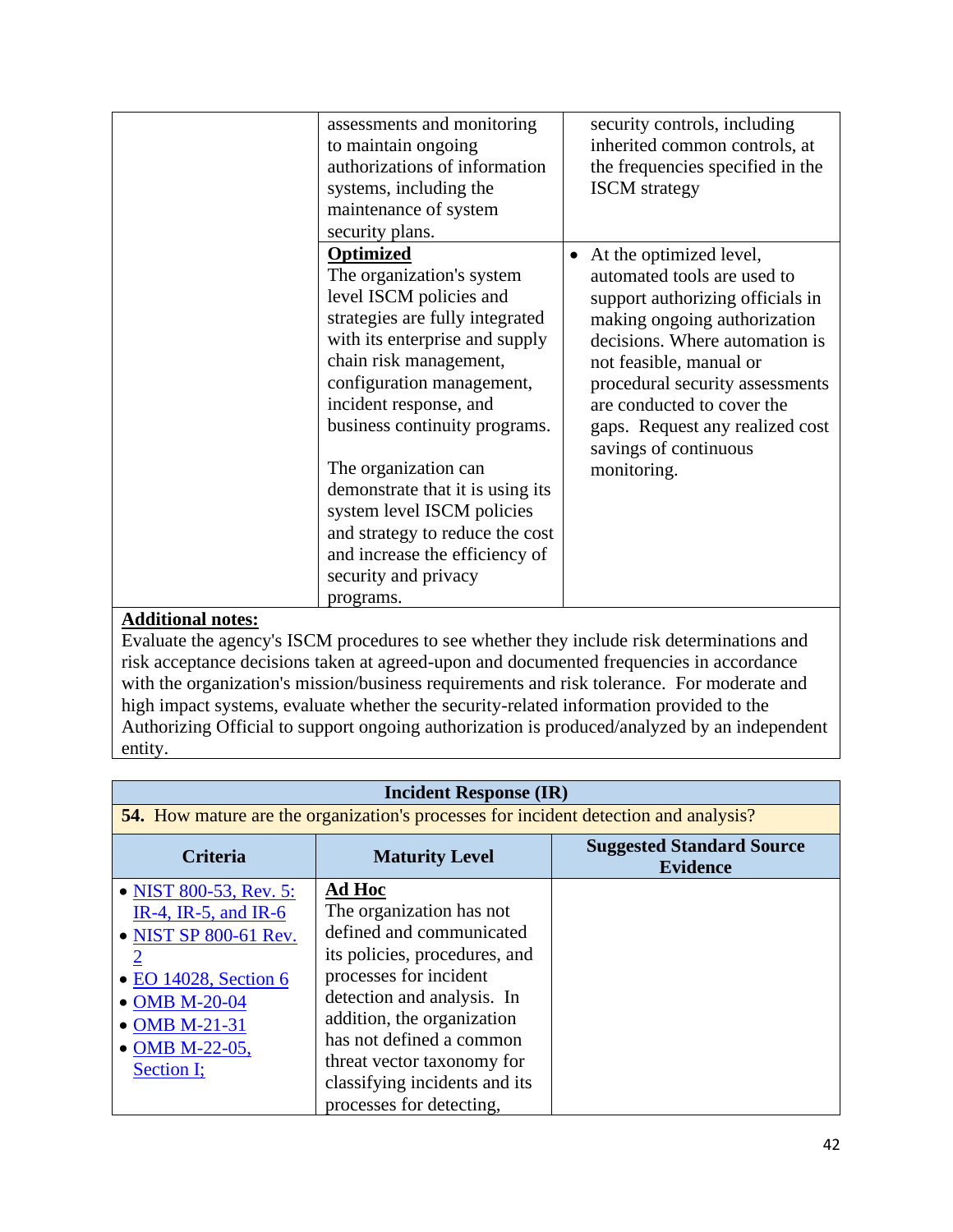| assessments and monitoring<br>to maintain ongoing<br>authorizations of information<br>systems, including the<br><b>ISCM</b> strategy<br>maintenance of system<br>security plans.<br>Optimized<br>$\bullet$<br>The organization's system<br>level ISCM policies and<br>strategies are fully integrated<br>with its enterprise and supply<br>chain risk management,<br>configuration management,<br>incident response, and<br>business continuity programs.<br>The organization can<br>monitoring.<br>demonstrate that it is using its<br>system level ISCM policies<br>and strategy to reduce the cost<br>and increase the efficiency of<br>security and privacy |                                                                                                                                                                                                                                                                                                                      |
|-----------------------------------------------------------------------------------------------------------------------------------------------------------------------------------------------------------------------------------------------------------------------------------------------------------------------------------------------------------------------------------------------------------------------------------------------------------------------------------------------------------------------------------------------------------------------------------------------------------------------------------------------------------------|----------------------------------------------------------------------------------------------------------------------------------------------------------------------------------------------------------------------------------------------------------------------------------------------------------------------|
|                                                                                                                                                                                                                                                                                                                                                                                                                                                                                                                                                                                                                                                                 | security controls, including<br>inherited common controls, at<br>the frequencies specified in the                                                                                                                                                                                                                    |
| programs.                                                                                                                                                                                                                                                                                                                                                                                                                                                                                                                                                                                                                                                       | At the optimized level,<br>automated tools are used to<br>support authorizing officials in<br>making ongoing authorization<br>decisions. Where automation is<br>not feasible, manual or<br>procedural security assessments<br>are conducted to cover the<br>gaps. Request any realized cost<br>savings of continuous |

Evaluate the agency's ISCM procedures to see whether they include risk determinations and risk acceptance decisions taken at agreed-upon and documented frequencies in accordance with the organization's mission/business requirements and risk tolerance. For moderate and high impact systems, evaluate whether the security-related information provided to the Authorizing Official to support ongoing authorization is produced/analyzed by an independent entity.

| <b>Incident Response (IR)</b>                                                                                                                                                        |                                                                                                                                                                                                                                                 |                                                     |  |
|--------------------------------------------------------------------------------------------------------------------------------------------------------------------------------------|-------------------------------------------------------------------------------------------------------------------------------------------------------------------------------------------------------------------------------------------------|-----------------------------------------------------|--|
|                                                                                                                                                                                      | <b>54.</b> How mature are the organization's processes for incident detection and analysis?                                                                                                                                                     |                                                     |  |
| <b>Criteria</b>                                                                                                                                                                      | <b>Maturity Level</b>                                                                                                                                                                                                                           | <b>Suggested Standard Source</b><br><b>Evidence</b> |  |
| • NIST 800-53, Rev. 5:<br>IR-4, IR-5, and IR-6<br>• NIST SP 800-61 Rev.<br>$\overline{2}$<br>• EO 14028, Section 6<br>• OMB M-20-04<br>• OMB M-21-31<br>• OMB M-22-05,<br>Section I; | Ad Hoc<br>The organization has not<br>defined and communicated<br>its policies, procedures, and<br>processes for incident<br>detection and analysis. In<br>addition, the organization<br>has not defined a common<br>threat vector taxonomy for |                                                     |  |
|                                                                                                                                                                                      | classifying incidents and its<br>processes for detecting.                                                                                                                                                                                       |                                                     |  |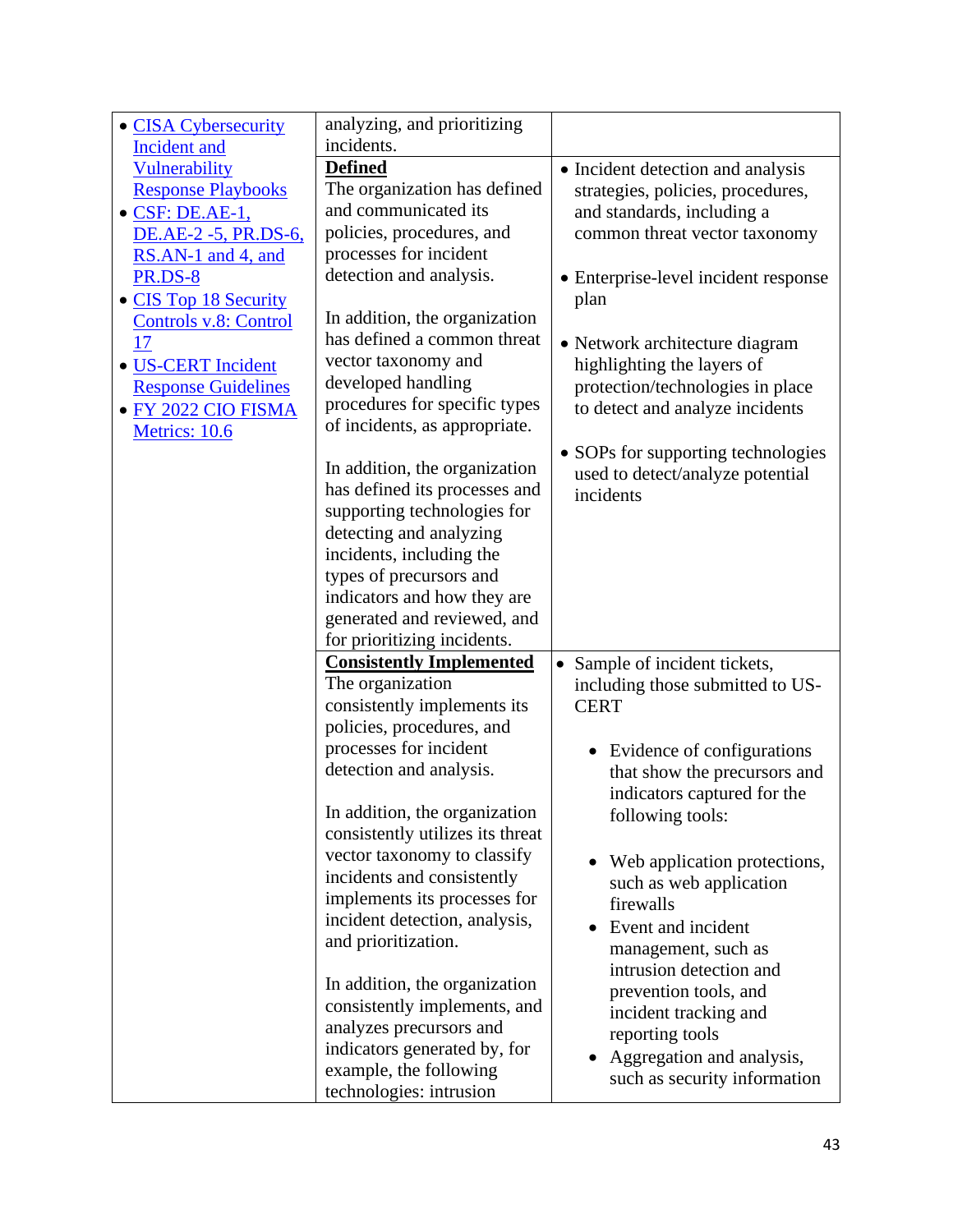| • CISA Cybersecurity       | analyzing, and prioritizing      |                                      |
|----------------------------|----------------------------------|--------------------------------------|
| <b>Incident and</b>        | incidents.                       |                                      |
| Vulnerability              | <b>Defined</b>                   | • Incident detection and analysis    |
| <b>Response Playbooks</b>  | The organization has defined     | strategies, policies, procedures,    |
| · CSF: DE.AE-1,            | and communicated its             | and standards, including a           |
| DE.AE-2 -5, PR.DS-6,       | policies, procedures, and        | common threat vector taxonomy        |
| RS.AN-1 and 4, and         | processes for incident           |                                      |
| <b>PR.DS-8</b>             | detection and analysis.          | • Enterprise-level incident response |
| • CIS Top 18 Security      |                                  | plan                                 |
| Controls v.8: Control      | In addition, the organization    |                                      |
| 17                         | has defined a common threat      | • Network architecture diagram       |
| · US-CERT Incident         | vector taxonomy and              | highlighting the layers of           |
| <b>Response Guidelines</b> | developed handling               | protection/technologies in place     |
| • FY 2022 CIO FISMA        | procedures for specific types    | to detect and analyze incidents      |
| Metrics: 10.6              | of incidents, as appropriate.    |                                      |
|                            |                                  | • SOPs for supporting technologies   |
|                            | In addition, the organization    | used to detect/analyze potential     |
|                            | has defined its processes and    | incidents                            |
|                            | supporting technologies for      |                                      |
|                            | detecting and analyzing          |                                      |
|                            | incidents, including the         |                                      |
|                            | types of precursors and          |                                      |
|                            | indicators and how they are      |                                      |
|                            | generated and reviewed, and      |                                      |
|                            | for prioritizing incidents.      |                                      |
|                            | <b>Consistently Implemented</b>  | Sample of incident tickets,          |
|                            | The organization                 | including those submitted to US-     |
|                            | consistently implements its      | <b>CERT</b>                          |
|                            | policies, procedures, and        |                                      |
|                            | processes for incident           | Evidence of configurations           |
|                            | detection and analysis.          | that show the precursors and         |
|                            |                                  | indicators captured for the          |
|                            | In addition, the organization    | following tools:                     |
|                            | consistently utilizes its threat |                                      |
|                            | vector taxonomy to classify      | Web application protections,         |
|                            | incidents and consistently       | such as web application              |
|                            | implements its processes for     | firewalls                            |
|                            | incident detection, analysis,    | Event and incident                   |
|                            | and prioritization.              | management, such as                  |
|                            |                                  | intrusion detection and              |
|                            | In addition, the organization    | prevention tools, and                |
|                            | consistently implements, and     | incident tracking and                |
|                            | analyzes precursors and          | reporting tools                      |
|                            | indicators generated by, for     | Aggregation and analysis,            |
|                            | example, the following           | such as security information         |
|                            | technologies: intrusion          |                                      |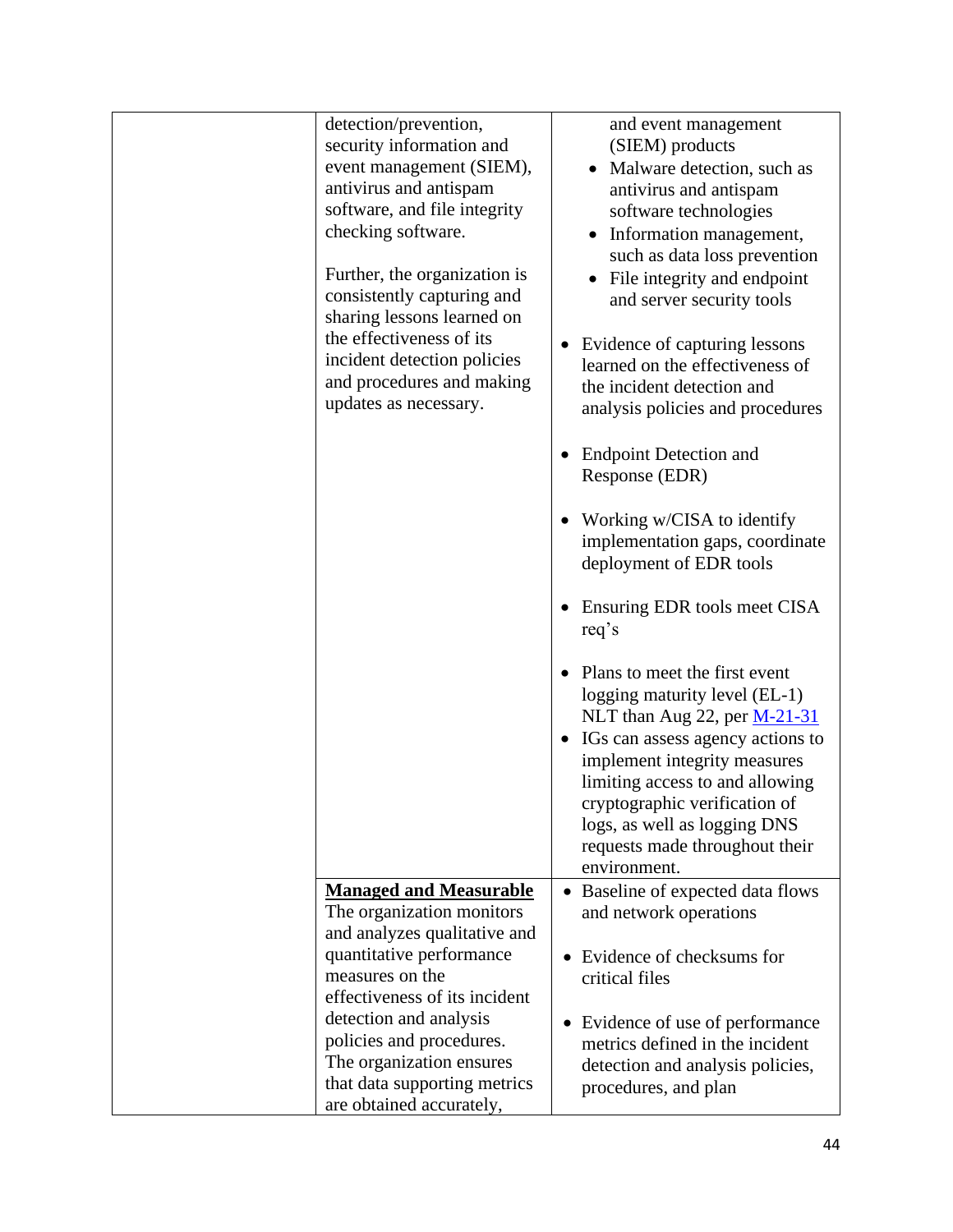| detection/prevention,<br>security information and<br>event management (SIEM),<br>antivirus and antispam<br>software, and file integrity<br>checking software.<br>Further, the organization is<br>consistently capturing and<br>sharing lessons learned on<br>the effectiveness of its<br>incident detection policies<br>and procedures and making<br>updates as necessary. | and event management<br>(SIEM) products<br>Malware detection, such as<br>$\bullet$<br>antivirus and antispam<br>software technologies<br>Information management,<br>such as data loss prevention<br>File integrity and endpoint<br>and server security tools<br>Evidence of capturing lessons<br>learned on the effectiveness of<br>the incident detection and<br>analysis policies and procedures<br><b>Endpoint Detection and</b><br>Response (EDR)<br>Working w/CISA to identify<br>implementation gaps, coordinate<br>deployment of EDR tools<br>Ensuring EDR tools meet CISA<br>req's<br>Plans to meet the first event<br>logging maturity level (EL-1)<br>NLT than Aug 22, per $M-21-31$<br>IGs can assess agency actions to<br>implement integrity measures<br>limiting access to and allowing<br>cryptographic verification of<br>logs, as well as logging DNS<br>requests made throughout their<br>environment. |
|----------------------------------------------------------------------------------------------------------------------------------------------------------------------------------------------------------------------------------------------------------------------------------------------------------------------------------------------------------------------------|--------------------------------------------------------------------------------------------------------------------------------------------------------------------------------------------------------------------------------------------------------------------------------------------------------------------------------------------------------------------------------------------------------------------------------------------------------------------------------------------------------------------------------------------------------------------------------------------------------------------------------------------------------------------------------------------------------------------------------------------------------------------------------------------------------------------------------------------------------------------------------------------------------------------------|
| <b>Managed and Measurable</b>                                                                                                                                                                                                                                                                                                                                              | Baseline of expected data flows                                                                                                                                                                                                                                                                                                                                                                                                                                                                                                                                                                                                                                                                                                                                                                                                                                                                                          |
| The organization monitors<br>and analyzes qualitative and                                                                                                                                                                                                                                                                                                                  | and network operations                                                                                                                                                                                                                                                                                                                                                                                                                                                                                                                                                                                                                                                                                                                                                                                                                                                                                                   |
| quantitative performance                                                                                                                                                                                                                                                                                                                                                   | Evidence of checksums for                                                                                                                                                                                                                                                                                                                                                                                                                                                                                                                                                                                                                                                                                                                                                                                                                                                                                                |
| measures on the<br>effectiveness of its incident                                                                                                                                                                                                                                                                                                                           | critical files                                                                                                                                                                                                                                                                                                                                                                                                                                                                                                                                                                                                                                                                                                                                                                                                                                                                                                           |
| detection and analysis                                                                                                                                                                                                                                                                                                                                                     | Evidence of use of performance                                                                                                                                                                                                                                                                                                                                                                                                                                                                                                                                                                                                                                                                                                                                                                                                                                                                                           |
| policies and procedures.                                                                                                                                                                                                                                                                                                                                                   | metrics defined in the incident                                                                                                                                                                                                                                                                                                                                                                                                                                                                                                                                                                                                                                                                                                                                                                                                                                                                                          |
| The organization ensures                                                                                                                                                                                                                                                                                                                                                   | detection and analysis policies,                                                                                                                                                                                                                                                                                                                                                                                                                                                                                                                                                                                                                                                                                                                                                                                                                                                                                         |
| that data supporting metrics<br>are obtained accurately,                                                                                                                                                                                                                                                                                                                   | procedures, and plan                                                                                                                                                                                                                                                                                                                                                                                                                                                                                                                                                                                                                                                                                                                                                                                                                                                                                                     |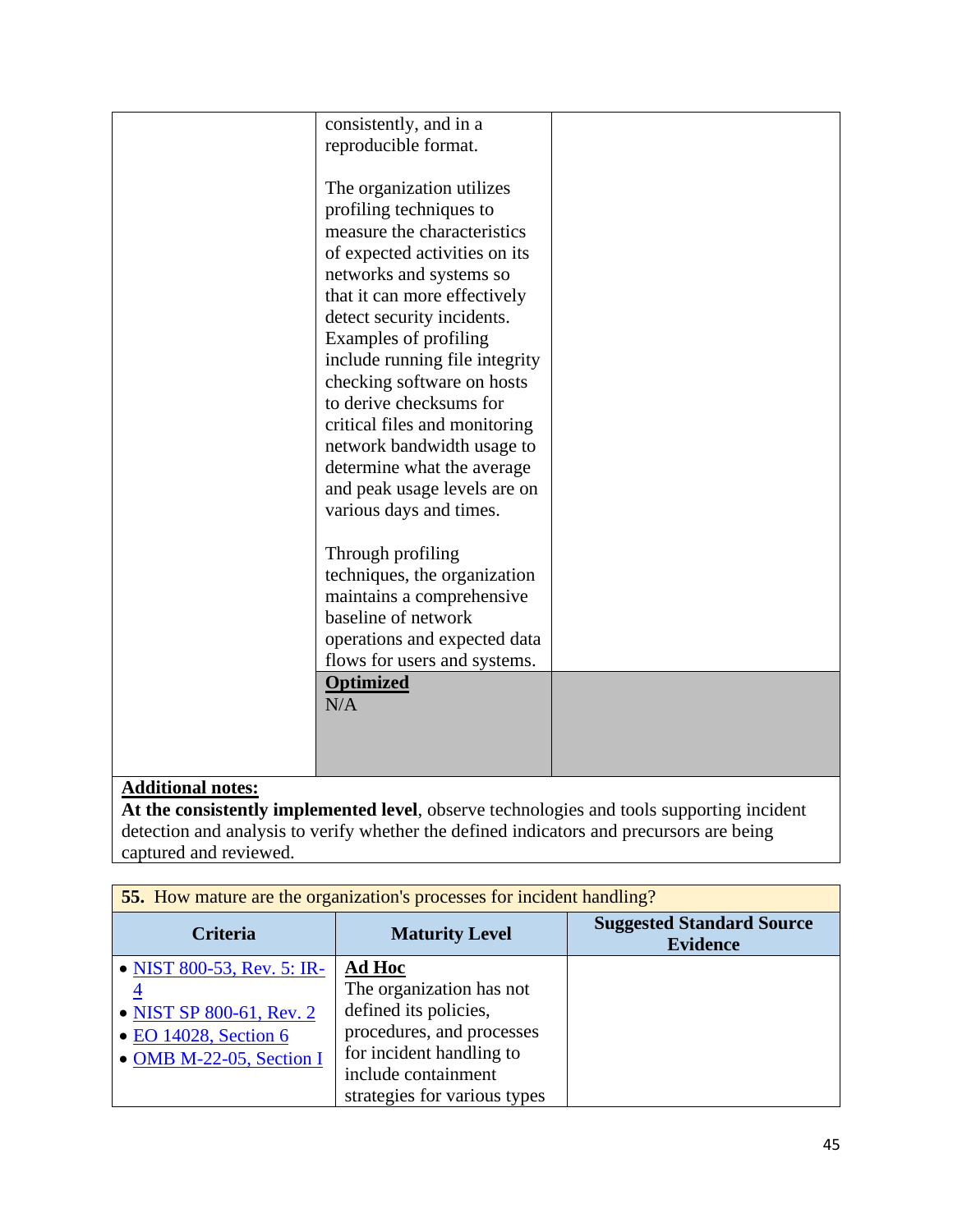| consistently, and in a         |  |
|--------------------------------|--|
| reproducible format.           |  |
|                                |  |
| The organization utilizes      |  |
| profiling techniques to        |  |
| measure the characteristics    |  |
| of expected activities on its  |  |
| networks and systems so        |  |
| that it can more effectively   |  |
| detect security incidents.     |  |
| Examples of profiling          |  |
| include running file integrity |  |
| checking software on hosts     |  |
| to derive checksums for        |  |
| critical files and monitoring  |  |
| network bandwidth usage to     |  |
| determine what the average     |  |
| and peak usage levels are on   |  |
| various days and times.        |  |
|                                |  |
| Through profiling              |  |
| techniques, the organization   |  |
| maintains a comprehensive      |  |
| baseline of network            |  |
| operations and expected data   |  |
| flows for users and systems.   |  |
| <b>Optimized</b>               |  |
| N/A                            |  |
|                                |  |
|                                |  |
|                                |  |

**At the consistently implemented level**, observe technologies and tools supporting incident detection and analysis to verify whether the defined indicators and precursors are being captured and reviewed.

| <b>55.</b> How mature are the organization's processes for incident handling?                                                         |                                                                                                                                                                                    |                                                     |
|---------------------------------------------------------------------------------------------------------------------------------------|------------------------------------------------------------------------------------------------------------------------------------------------------------------------------------|-----------------------------------------------------|
| <b>Criteria</b>                                                                                                                       | <b>Maturity Level</b>                                                                                                                                                              | <b>Suggested Standard Source</b><br><b>Evidence</b> |
| • NIST 800-53, Rev. 5: IR-<br>$\overline{4}$<br>• NIST SP 800-61, Rev. 2<br>$\bullet$ EO 14028, Section 6<br>• OMB M-22-05, Section I | <b>Ad Hoc</b><br>The organization has not<br>defined its policies,<br>procedures, and processes<br>for incident handling to<br>include containment<br>strategies for various types |                                                     |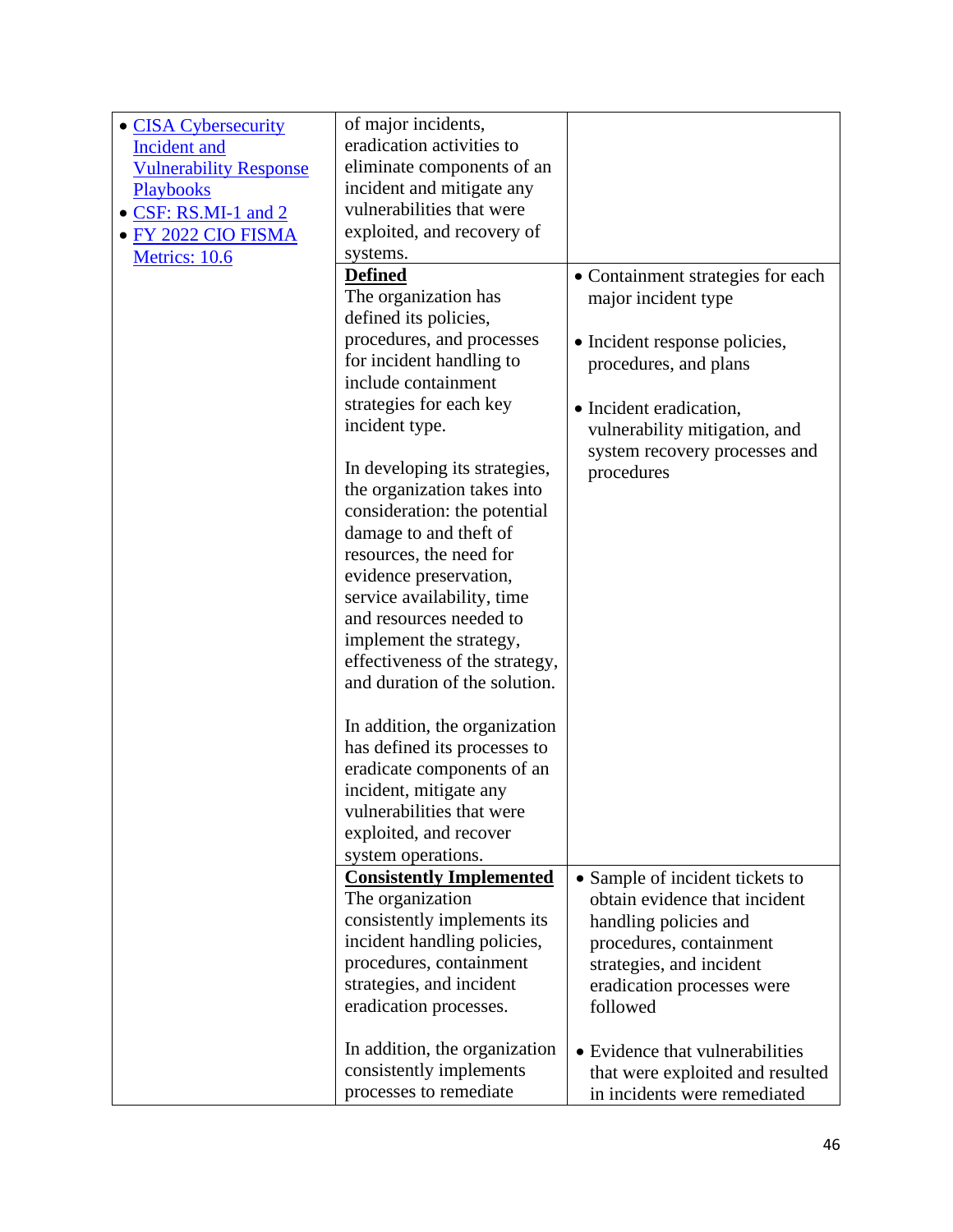| • CISA Cybersecurity          | of major incidents,                                 |                                                                  |
|-------------------------------|-----------------------------------------------------|------------------------------------------------------------------|
| Incident and                  | eradication activities to                           |                                                                  |
| <b>Vulnerability Response</b> | eliminate components of an                          |                                                                  |
| Playbooks                     | incident and mitigate any                           |                                                                  |
| · CSF: RS.MI-1 and 2          | vulnerabilities that were                           |                                                                  |
| • FY 2022 CIO FISMA           | exploited, and recovery of                          |                                                                  |
| Metrics: 10.6                 | systems.                                            |                                                                  |
|                               | <b>Defined</b>                                      | • Containment strategies for each                                |
|                               | The organization has                                | major incident type                                              |
|                               | defined its policies,                               |                                                                  |
|                               | procedures, and processes                           | • Incident response policies,                                    |
|                               | for incident handling to                            | procedures, and plans                                            |
|                               | include containment                                 |                                                                  |
|                               | strategies for each key                             | • Incident eradication,                                          |
|                               | incident type.                                      | vulnerability mitigation, and                                    |
|                               |                                                     | system recovery processes and                                    |
|                               | In developing its strategies,                       | procedures                                                       |
|                               | the organization takes into                         |                                                                  |
|                               | consideration: the potential                        |                                                                  |
|                               | damage to and theft of                              |                                                                  |
|                               | resources, the need for                             |                                                                  |
|                               | evidence preservation,                              |                                                                  |
|                               | service availability, time                          |                                                                  |
|                               | and resources needed to                             |                                                                  |
|                               | implement the strategy,                             |                                                                  |
|                               | effectiveness of the strategy,                      |                                                                  |
|                               | and duration of the solution.                       |                                                                  |
|                               |                                                     |                                                                  |
|                               | In addition, the organization                       |                                                                  |
|                               | has defined its processes to                        |                                                                  |
|                               | eradicate components of an                          |                                                                  |
|                               | incident, mitigate any                              |                                                                  |
|                               | vulnerabilities that were                           |                                                                  |
|                               | exploited, and recover                              |                                                                  |
|                               | system operations.                                  |                                                                  |
|                               | <b>Consistently Implemented</b><br>The organization | • Sample of incident tickets to<br>obtain evidence that incident |
|                               | consistently implements its                         | handling policies and                                            |
|                               | incident handling policies,                         | procedures, containment                                          |
|                               | procedures, containment                             | strategies, and incident                                         |
|                               | strategies, and incident                            | eradication processes were                                       |
|                               | eradication processes.                              | followed                                                         |
|                               |                                                     |                                                                  |
|                               | In addition, the organization                       | • Evidence that vulnerabilities                                  |
|                               | consistently implements                             | that were exploited and resulted                                 |
|                               | processes to remediate                              | in incidents were remediated                                     |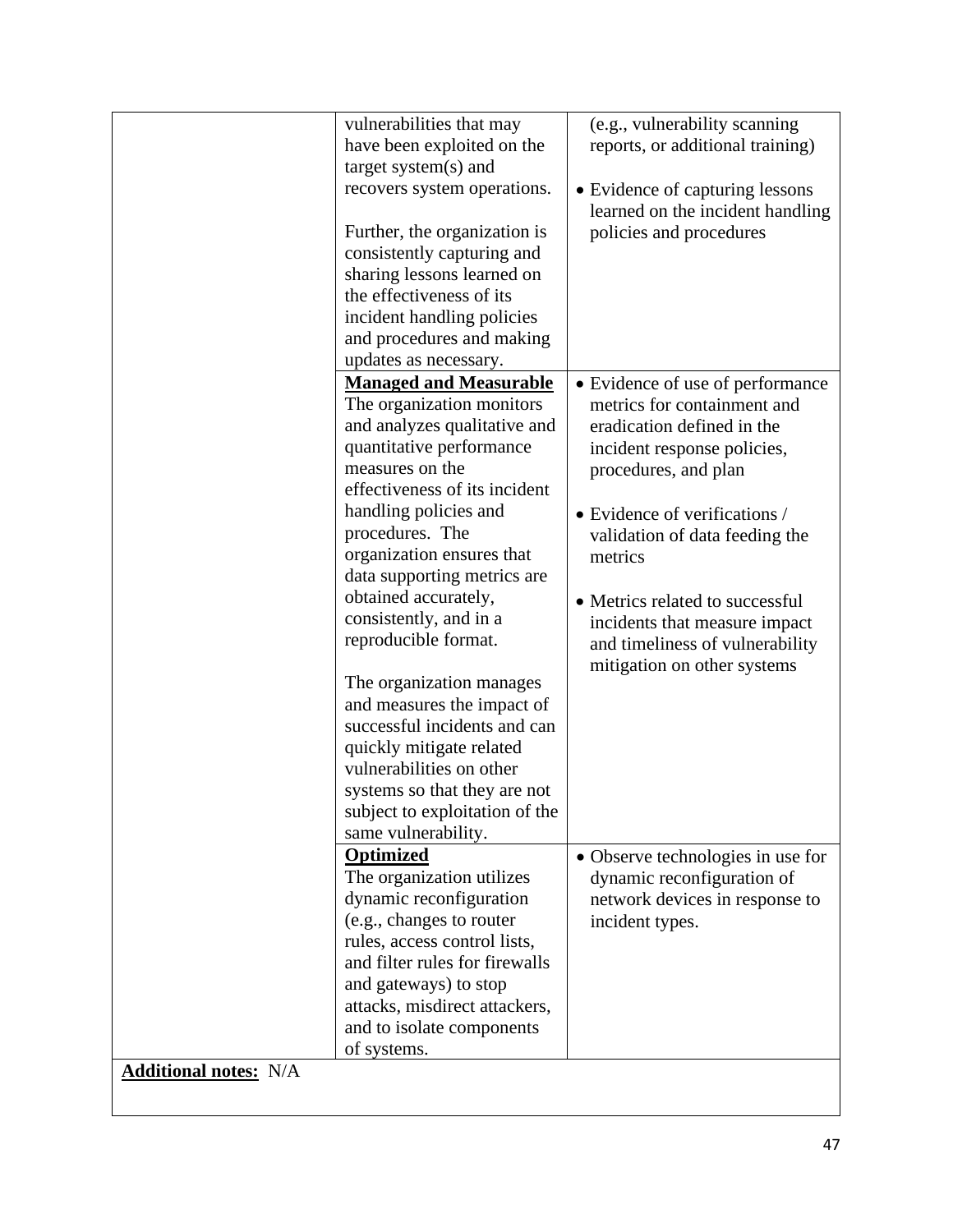|                              | vulnerabilities that may<br>have been exploited on the<br>target system(s) and<br>recovers system operations.<br>Further, the organization is<br>consistently capturing and<br>sharing lessons learned on<br>the effectiveness of its<br>incident handling policies<br>and procedures and making<br>updates as necessary.                                                                                                                                                                                                                                                                               | (e.g., vulnerability scanning<br>reports, or additional training)<br>• Evidence of capturing lessons<br>learned on the incident handling<br>policies and procedures                                                                                                                                                                                                      |
|------------------------------|---------------------------------------------------------------------------------------------------------------------------------------------------------------------------------------------------------------------------------------------------------------------------------------------------------------------------------------------------------------------------------------------------------------------------------------------------------------------------------------------------------------------------------------------------------------------------------------------------------|--------------------------------------------------------------------------------------------------------------------------------------------------------------------------------------------------------------------------------------------------------------------------------------------------------------------------------------------------------------------------|
|                              | <b>Managed and Measurable</b><br>The organization monitors<br>and analyzes qualitative and<br>quantitative performance<br>measures on the<br>effectiveness of its incident<br>handling policies and<br>procedures. The<br>organization ensures that<br>data supporting metrics are<br>obtained accurately,<br>consistently, and in a<br>reproducible format.<br>The organization manages<br>and measures the impact of<br>successful incidents and can<br>quickly mitigate related<br>vulnerabilities on other<br>systems so that they are not<br>subject to exploitation of the<br>same vulnerability. | • Evidence of use of performance<br>metrics for containment and<br>eradication defined in the<br>incident response policies,<br>procedures, and plan<br>• Evidence of verifications /<br>validation of data feeding the<br>metrics<br>• Metrics related to successful<br>incidents that measure impact<br>and timeliness of vulnerability<br>mitigation on other systems |
| <b>Additional notes:</b> N/A | <b>Optimized</b><br>The organization utilizes<br>dynamic reconfiguration<br>(e.g., changes to router<br>rules, access control lists,<br>and filter rules for firewalls<br>and gateways) to stop<br>attacks, misdirect attackers,<br>and to isolate components<br>of systems.                                                                                                                                                                                                                                                                                                                            | • Observe technologies in use for<br>dynamic reconfiguration of<br>network devices in response to<br>incident types.                                                                                                                                                                                                                                                     |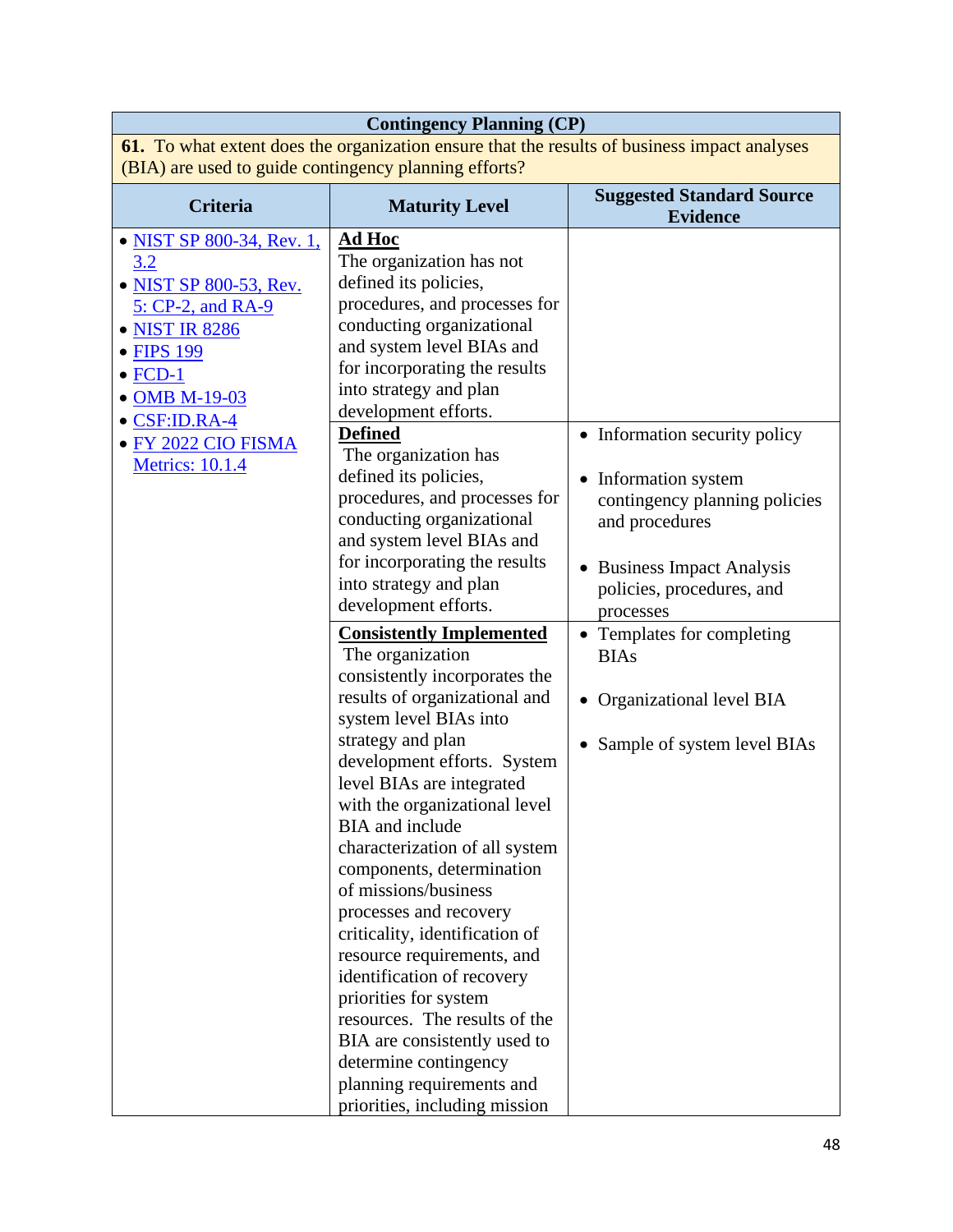| <b>Contingency Planning (CP)</b>                                                                                                                                                                                              |                                                                                                                                                                                                                                                                                                                                                                                                                                                                                                                                                                                                                                                                                                                                                                                                                                                                                                                                                                                                                                                                                                                                                                 |                                                                                                                                                                                                                                                                                        |  |
|-------------------------------------------------------------------------------------------------------------------------------------------------------------------------------------------------------------------------------|-----------------------------------------------------------------------------------------------------------------------------------------------------------------------------------------------------------------------------------------------------------------------------------------------------------------------------------------------------------------------------------------------------------------------------------------------------------------------------------------------------------------------------------------------------------------------------------------------------------------------------------------------------------------------------------------------------------------------------------------------------------------------------------------------------------------------------------------------------------------------------------------------------------------------------------------------------------------------------------------------------------------------------------------------------------------------------------------------------------------------------------------------------------------|----------------------------------------------------------------------------------------------------------------------------------------------------------------------------------------------------------------------------------------------------------------------------------------|--|
| 61. To what extent does the organization ensure that the results of business impact analyses<br>(BIA) are used to guide contingency planning efforts?                                                                         |                                                                                                                                                                                                                                                                                                                                                                                                                                                                                                                                                                                                                                                                                                                                                                                                                                                                                                                                                                                                                                                                                                                                                                 |                                                                                                                                                                                                                                                                                        |  |
| <b>Criteria</b>                                                                                                                                                                                                               | <b>Maturity Level</b>                                                                                                                                                                                                                                                                                                                                                                                                                                                                                                                                                                                                                                                                                                                                                                                                                                                                                                                                                                                                                                                                                                                                           | <b>Suggested Standard Source</b><br><b>Evidence</b>                                                                                                                                                                                                                                    |  |
| • NIST SP 800-34, Rev. 1,<br>3.2<br>• NIST SP 800-53, Rev.<br>5: CP-2, and RA-9<br>• NIST IR 8286<br>• FIPS 199<br>$\bullet$ FCD-1<br>• OMB M-19-03<br>$\bullet$ CSF:ID.RA-4<br>• FY 2022 CIO FISMA<br><b>Metrics: 10.1.4</b> | <b>Ad Hoc</b><br>The organization has not<br>defined its policies,<br>procedures, and processes for<br>conducting organizational<br>and system level BIAs and<br>for incorporating the results<br>into strategy and plan<br>development efforts.<br><b>Defined</b><br>The organization has<br>defined its policies,<br>procedures, and processes for<br>conducting organizational<br>and system level BIAs and<br>for incorporating the results<br>into strategy and plan<br>development efforts.<br><b>Consistently Implemented</b><br>The organization<br>consistently incorporates the<br>results of organizational and<br>system level BIAs into<br>strategy and plan<br>development efforts. System<br>level BIAs are integrated<br>with the organizational level<br><b>BIA</b> and include<br>characterization of all system<br>components, determination<br>of missions/business<br>processes and recovery<br>criticality, identification of<br>resource requirements, and<br>identification of recovery<br>priorities for system<br>resources. The results of the<br>BIA are consistently used to<br>determine contingency<br>planning requirements and | • Information security policy<br>Information system<br>contingency planning policies<br>and procedures<br>• Business Impact Analysis<br>policies, procedures, and<br>processes<br>• Templates for completing<br><b>BIAs</b><br>Organizational level BIA<br>Sample of system level BIAs |  |
|                                                                                                                                                                                                                               | priorities, including mission                                                                                                                                                                                                                                                                                                                                                                                                                                                                                                                                                                                                                                                                                                                                                                                                                                                                                                                                                                                                                                                                                                                                   |                                                                                                                                                                                                                                                                                        |  |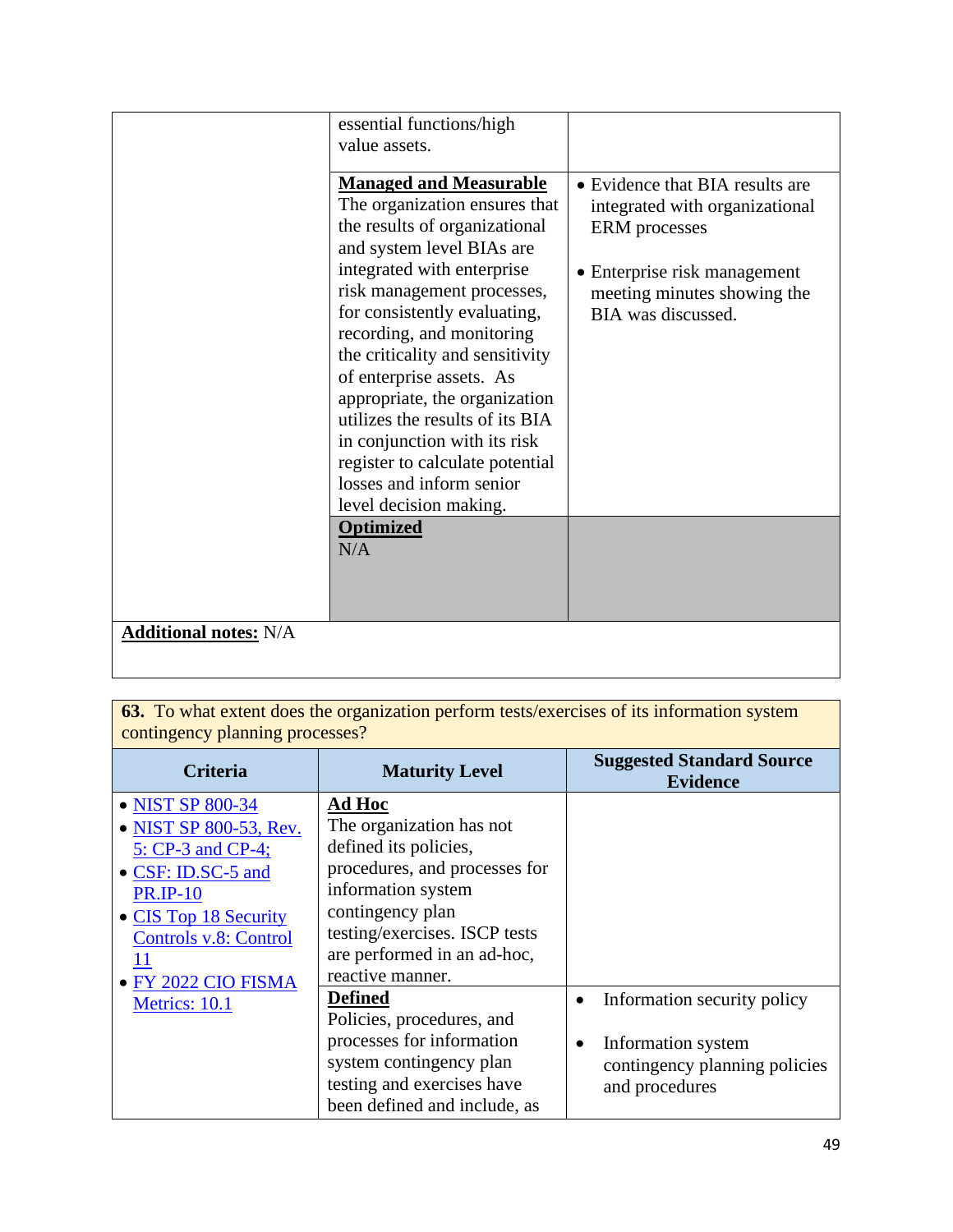| • Evidence that BIA results are<br>integrated with organizational<br><b>ERM</b> processes<br>• Enterprise risk management<br>meeting minutes showing the<br>BIA was discussed. |
|--------------------------------------------------------------------------------------------------------------------------------------------------------------------------------|
|                                                                                                                                                                                |
|                                                                                                                                                                                |

**63.** To what extent does the organization perform tests/exercises of its information system contingency planning processes?

| <b>Criteria</b>                                                                                                                                                  | <b>Maturity Level</b>                                                                                                                                                                                                      | <b>Suggested Standard Source</b><br><b>Evidence</b>                                                               |
|------------------------------------------------------------------------------------------------------------------------------------------------------------------|----------------------------------------------------------------------------------------------------------------------------------------------------------------------------------------------------------------------------|-------------------------------------------------------------------------------------------------------------------|
| • NIST SP 800-34<br>• NIST SP 800-53, Rev.<br>5: CP-3 and CP-4;<br>• CSF: ID.SC-5 and<br><b>PR.IP-10</b><br>• CIS Top 18 Security<br>Controls v.8: Control<br>11 | Ad Hoc<br>The organization has not<br>defined its policies,<br>procedures, and processes for<br>information system<br>contingency plan<br>testing/exercises. ISCP tests<br>are performed in an ad-hoc,<br>reactive manner. |                                                                                                                   |
| · FY 2022 CIO FISMA<br>Metrics: 10.1                                                                                                                             | <b>Defined</b><br>Policies, procedures, and<br>processes for information<br>system contingency plan<br>testing and exercises have<br>been defined and include, as                                                          | Information security policy<br>Information system<br>$\bullet$<br>contingency planning policies<br>and procedures |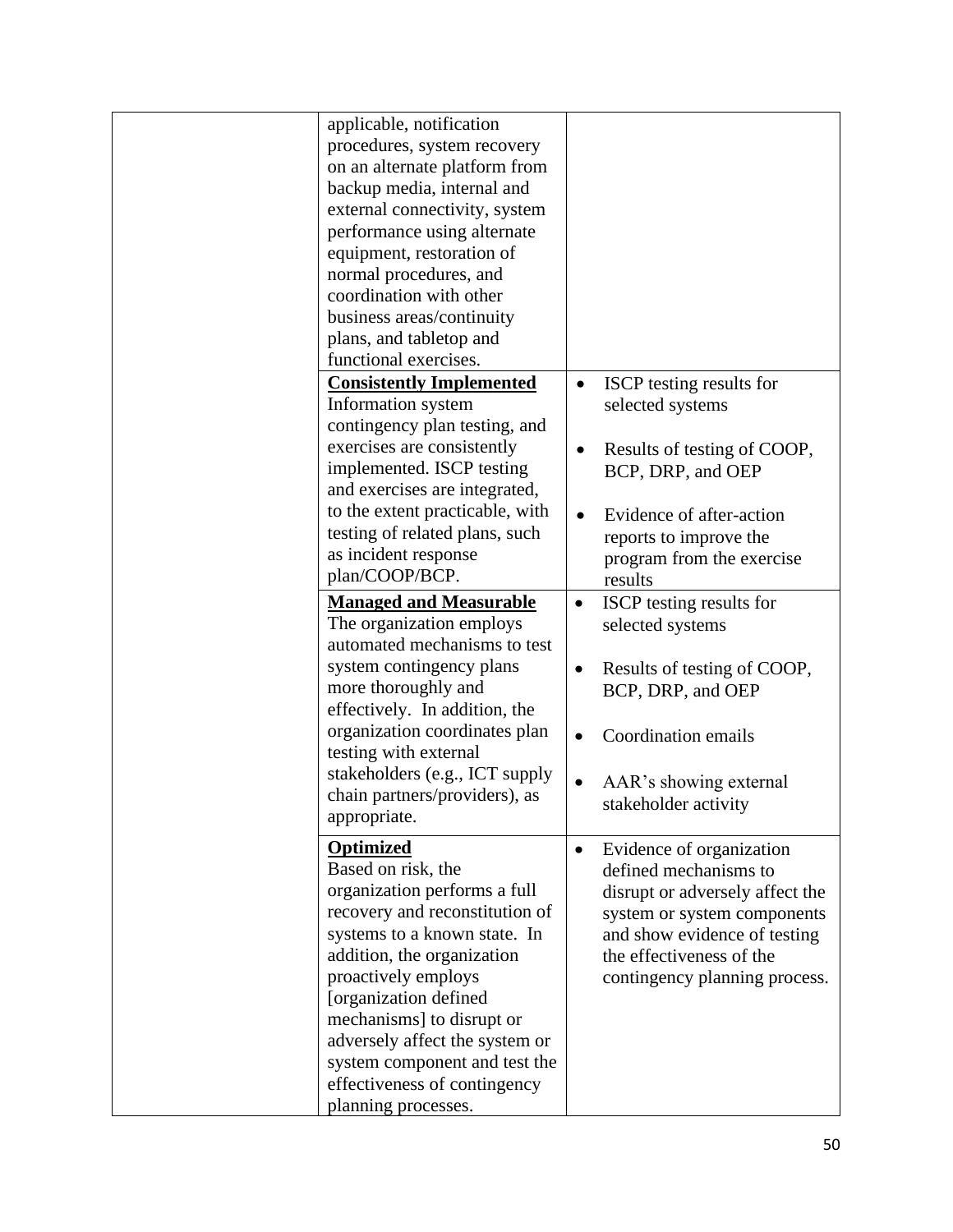| applicable, notification        |                                          |
|---------------------------------|------------------------------------------|
| procedures, system recovery     |                                          |
| on an alternate platform from   |                                          |
| backup media, internal and      |                                          |
| external connectivity, system   |                                          |
| performance using alternate     |                                          |
| equipment, restoration of       |                                          |
| normal procedures, and          |                                          |
| coordination with other         |                                          |
| business areas/continuity       |                                          |
| plans, and tabletop and         |                                          |
| functional exercises.           |                                          |
| <b>Consistently Implemented</b> | ISCP testing results for<br>$\bullet$    |
| Information system              | selected systems                         |
|                                 |                                          |
| contingency plan testing, and   |                                          |
| exercises are consistently      | Results of testing of COOP,              |
| implemented. ISCP testing       | BCP, DRP, and OEP                        |
| and exercises are integrated,   |                                          |
| to the extent practicable, with | Evidence of after-action                 |
| testing of related plans, such  | reports to improve the                   |
| as incident response            | program from the exercise                |
| plan/COOP/BCP.                  | results                                  |
| <b>Managed and Measurable</b>   | ISCP testing results for<br>$\bullet$    |
| The organization employs        | selected systems                         |
| automated mechanisms to test    |                                          |
| system contingency plans        | Results of testing of COOP,<br>$\bullet$ |
| more thoroughly and             | BCP, DRP, and OEP                        |
| effectively. In addition, the   |                                          |
| organization coordinates plan   | Coordination emails                      |
| testing with external           |                                          |
| stakeholders (e.g., ICT supply  |                                          |
| chain partners/providers), as   | AAR's showing external                   |
| appropriate.                    | stakeholder activity                     |
|                                 |                                          |
| <b>Optimized</b>                | Evidence of organization<br>$\bullet$    |
| Based on risk, the              | defined mechanisms to                    |
| organization performs a full    | disrupt or adversely affect the          |
| recovery and reconstitution of  | system or system components              |
| systems to a known state. In    | and show evidence of testing             |
| addition, the organization      | the effectiveness of the                 |
| proactively employs             | contingency planning process.            |
| [organization defined           |                                          |
| mechanisms] to disrupt or       |                                          |
| adversely affect the system or  |                                          |
| system component and test the   |                                          |
| effectiveness of contingency    |                                          |
| planning processes.             |                                          |
|                                 |                                          |